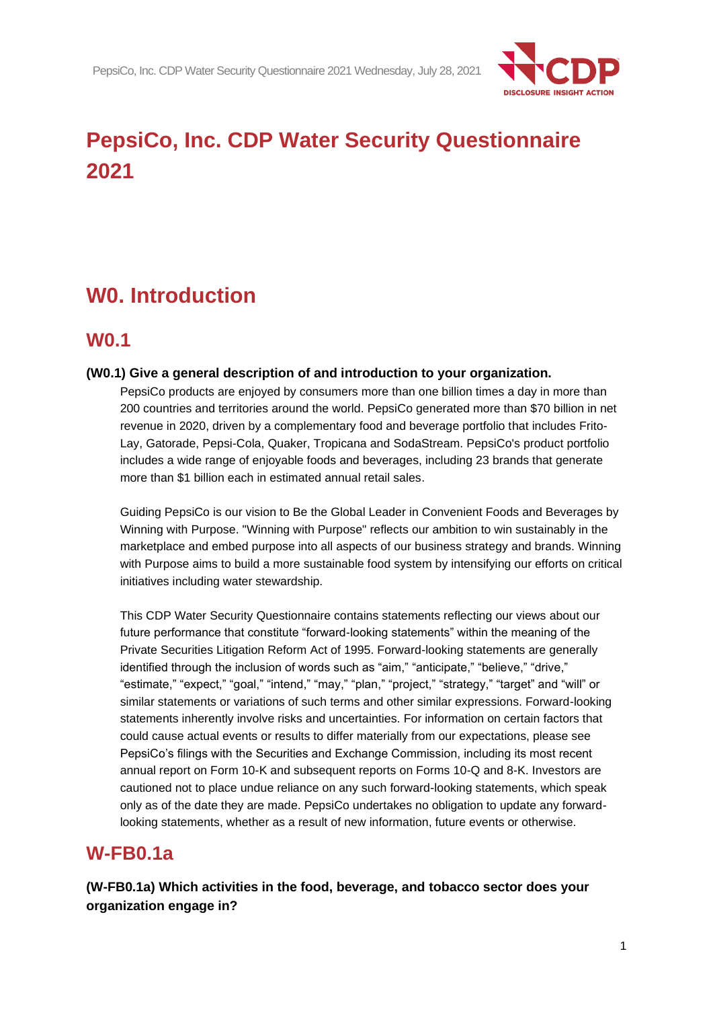

# **PepsiCo, Inc. CDP Water Security Questionnaire 2021**

# **W0. Introduction**

# **W0.1**

#### **(W0.1) Give a general description of and introduction to your organization.**

PepsiCo products are enjoyed by consumers more than one billion times a day in more than 200 countries and territories around the world. PepsiCo generated more than \$70 billion in net revenue in 2020, driven by a complementary food and beverage portfolio that includes Frito-Lay, Gatorade, Pepsi-Cola, Quaker, Tropicana and SodaStream. PepsiCo's product portfolio includes a wide range of enjoyable foods and beverages, including 23 brands that generate more than \$1 billion each in estimated annual retail sales.

Guiding PepsiCo is our vision to Be the Global Leader in Convenient Foods and Beverages by Winning with Purpose. "Winning with Purpose" reflects our ambition to win sustainably in the marketplace and embed purpose into all aspects of our business strategy and brands. Winning with Purpose aims to build a more sustainable food system by intensifying our efforts on critical initiatives including water stewardship.

This CDP Water Security Questionnaire contains statements reflecting our views about our future performance that constitute "forward-looking statements" within the meaning of the Private Securities Litigation Reform Act of 1995. Forward-looking statements are generally identified through the inclusion of words such as "aim," "anticipate," "believe," "drive," "estimate," "expect," "goal," "intend," "may," "plan," "project," "strategy," "target" and "will" or similar statements or variations of such terms and other similar expressions. Forward-looking statements inherently involve risks and uncertainties. For information on certain factors that could cause actual events or results to differ materially from our expectations, please see PepsiCo's filings with the Securities and Exchange Commission, including its most recent annual report on Form 10-K and subsequent reports on Forms 10-Q and 8-K. Investors are cautioned not to place undue reliance on any such forward-looking statements, which speak only as of the date they are made. PepsiCo undertakes no obligation to update any forwardlooking statements, whether as a result of new information, future events or otherwise.

## **W-FB0.1a**

**(W-FB0.1a) Which activities in the food, beverage, and tobacco sector does your organization engage in?**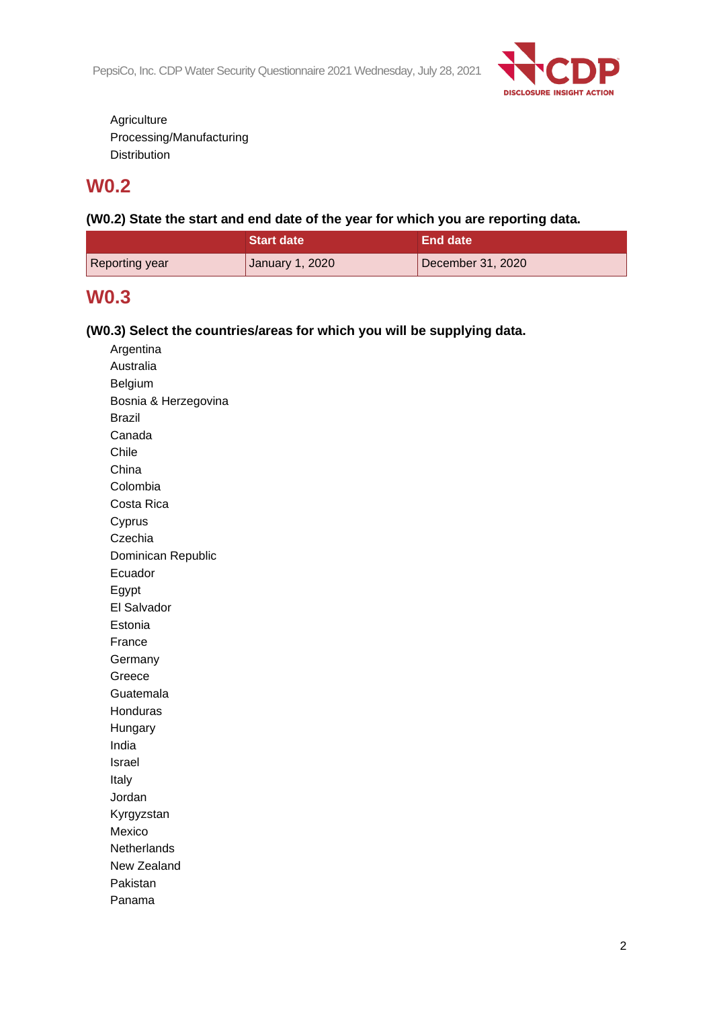PepsiCo, Inc. CDP Water Security Questionnaire 2021 Wednesday, July 28, 2021



**Agriculture** Processing/Manufacturing Distribution

# **W0.2**

**(W0.2) State the start and end date of the year for which you are reporting data.**

|                | Start date      | End date          |
|----------------|-----------------|-------------------|
| Reporting year | January 1, 2020 | December 31, 2020 |

## **W0.3**

### **(W0.3) Select the countries/areas for which you will be supplying data.**

| Argentina            |
|----------------------|
| Australia            |
| Belgium              |
| Bosnia & Herzegovina |
| <b>Brazil</b>        |
| Canada               |
| Chile                |
| China                |
| Colombia             |
| Costa Rica           |
| Cyprus               |
| Czechia              |
| Dominican Republic   |
| Ecuador              |
| Egypt                |
| El Salvador          |
| Estonia              |
| France               |
| Germany              |
| Greece               |
| Guatemala            |
| Honduras             |
| Hungary              |
| India                |
| Israel               |
| Italy                |
| Jordan               |
| Kyrgyzstan           |
| Mexico               |
| Netherlands          |
| New Zealand          |
| Pakistan             |
| Panama               |
|                      |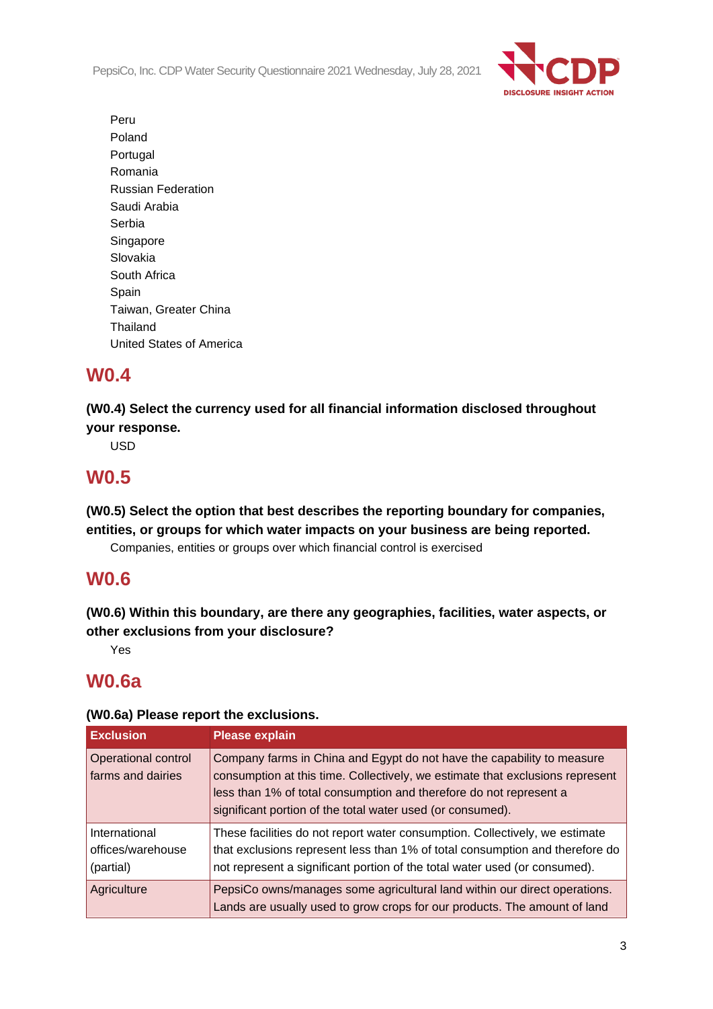PepsiCo, Inc. CDP Water Security Questionnaire 2021 Wednesday, July 28, 2021



Peru Poland Portugal Romania Russian Federation Saudi Arabia Serbia Singapore Slovakia South Africa Spain Taiwan, Greater China Thailand United States of America

# **W0.4**

**(W0.4) Select the currency used for all financial information disclosed throughout your response.**

USD

# **W0.5**

**(W0.5) Select the option that best describes the reporting boundary for companies, entities, or groups for which water impacts on your business are being reported.**

Companies, entities or groups over which financial control is exercised

## **W0.6**

**(W0.6) Within this boundary, are there any geographies, facilities, water aspects, or other exclusions from your disclosure?**

Yes

# **W0.6a**

### **(W0.6a) Please report the exclusions.**

| <b>Exclusion</b>                                | <b>Please explain</b>                                                                                                                                                                                                                                                                       |
|-------------------------------------------------|---------------------------------------------------------------------------------------------------------------------------------------------------------------------------------------------------------------------------------------------------------------------------------------------|
| Operational control<br>farms and dairies        | Company farms in China and Egypt do not have the capability to measure<br>consumption at this time. Collectively, we estimate that exclusions represent<br>less than 1% of total consumption and therefore do not represent a<br>significant portion of the total water used (or consumed). |
| International<br>offices/warehouse<br>(partial) | These facilities do not report water consumption. Collectively, we estimate<br>that exclusions represent less than 1% of total consumption and therefore do<br>not represent a significant portion of the total water used (or consumed).                                                   |
| Agriculture                                     | PepsiCo owns/manages some agricultural land within our direct operations.<br>Lands are usually used to grow crops for our products. The amount of land                                                                                                                                      |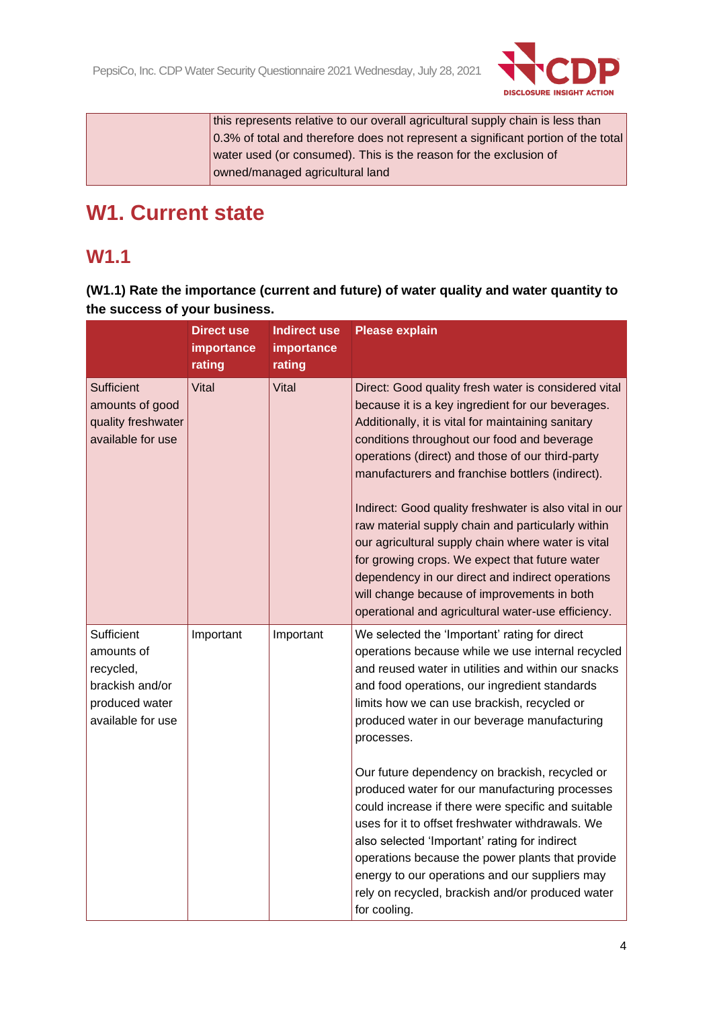

this represents relative to our overall agricultural supply chain is less than 0.3% of total and therefore does not represent a significant portion of the total water used (or consumed). This is the reason for the exclusion of owned/managed agricultural land

# **W1. Current state**

# **W1.1**

**(W1.1) Rate the importance (current and future) of water quality and water quantity to the success of your business.**

|                                                                                                 | <b>Direct use</b><br>importance | <b>Indirect use</b><br>importance | Please explain                                                                                                                                                                                                                                                                                                                                                                                                                                                                                                                                                                                                                                                                                                                                                   |
|-------------------------------------------------------------------------------------------------|---------------------------------|-----------------------------------|------------------------------------------------------------------------------------------------------------------------------------------------------------------------------------------------------------------------------------------------------------------------------------------------------------------------------------------------------------------------------------------------------------------------------------------------------------------------------------------------------------------------------------------------------------------------------------------------------------------------------------------------------------------------------------------------------------------------------------------------------------------|
|                                                                                                 | rating                          | rating                            |                                                                                                                                                                                                                                                                                                                                                                                                                                                                                                                                                                                                                                                                                                                                                                  |
| <b>Sufficient</b><br>amounts of good<br>quality freshwater<br>available for use                 | Vital                           | Vital                             | Direct: Good quality fresh water is considered vital<br>because it is a key ingredient for our beverages.<br>Additionally, it is vital for maintaining sanitary<br>conditions throughout our food and beverage<br>operations (direct) and those of our third-party<br>manufacturers and franchise bottlers (indirect).<br>Indirect: Good quality freshwater is also vital in our<br>raw material supply chain and particularly within<br>our agricultural supply chain where water is vital<br>for growing crops. We expect that future water<br>dependency in our direct and indirect operations<br>will change because of improvements in both<br>operational and agricultural water-use efficiency.                                                           |
| Sufficient<br>amounts of<br>recycled,<br>brackish and/or<br>produced water<br>available for use | Important                       | Important                         | We selected the 'Important' rating for direct<br>operations because while we use internal recycled<br>and reused water in utilities and within our snacks<br>and food operations, our ingredient standards<br>limits how we can use brackish, recycled or<br>produced water in our beverage manufacturing<br>processes.<br>Our future dependency on brackish, recycled or<br>produced water for our manufacturing processes<br>could increase if there were specific and suitable<br>uses for it to offset freshwater withdrawals. We<br>also selected 'Important' rating for indirect<br>operations because the power plants that provide<br>energy to our operations and our suppliers may<br>rely on recycled, brackish and/or produced water<br>for cooling. |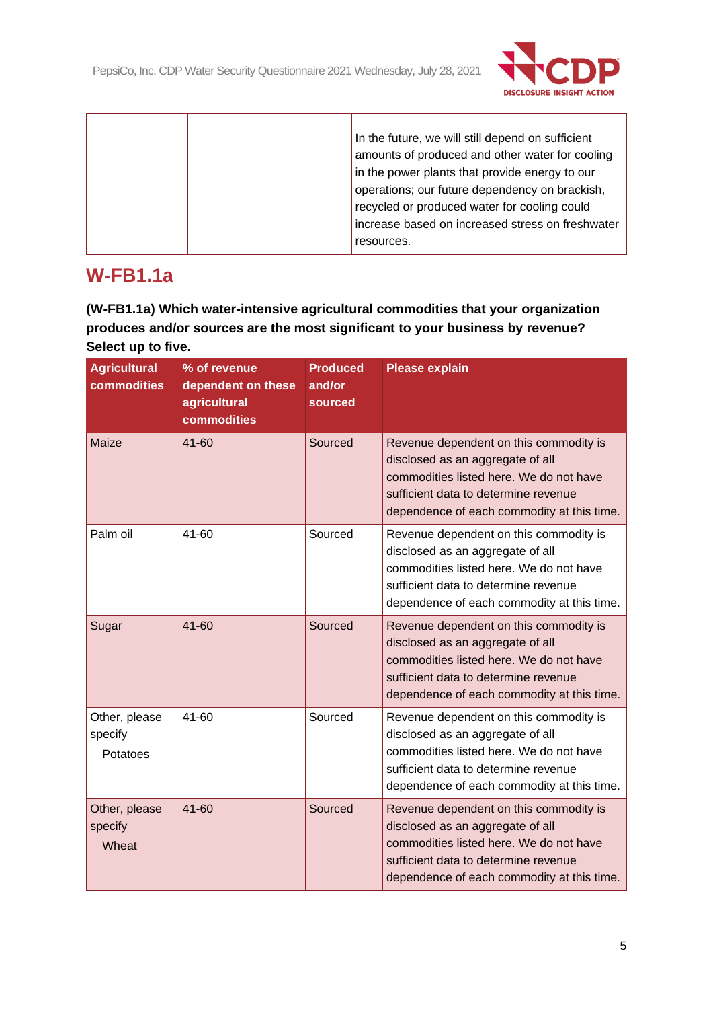$\overline{\phantom{a}}$ 



|  | In the future, we will still depend on sufficient |
|--|---------------------------------------------------|
|  | amounts of produced and other water for cooling   |
|  | in the power plants that provide energy to our    |
|  | operations; our future dependency on brackish,    |
|  | recycled or produced water for cooling could      |
|  | increase based on increased stress on freshwater  |
|  | resources.                                        |

# **W-FB1.1a**

 $\top$ 

**(W-FB1.1a) Which water-intensive agricultural commodities that your organization produces and/or sources are the most significant to your business by revenue? Select up to five.**

| <b>Agricultural</b><br>commodities   | % of revenue<br>dependent on these<br>agricultural<br>commodities | <b>Produced</b><br>and/or<br>sourced | <b>Please explain</b>                                                                                                                                                                                       |
|--------------------------------------|-------------------------------------------------------------------|--------------------------------------|-------------------------------------------------------------------------------------------------------------------------------------------------------------------------------------------------------------|
| Maize                                | 41-60                                                             | Sourced                              | Revenue dependent on this commodity is<br>disclosed as an aggregate of all<br>commodities listed here. We do not have<br>sufficient data to determine revenue<br>dependence of each commodity at this time. |
| Palm oil                             | 41-60                                                             | Sourced                              | Revenue dependent on this commodity is<br>disclosed as an aggregate of all<br>commodities listed here. We do not have<br>sufficient data to determine revenue<br>dependence of each commodity at this time. |
| Sugar                                | 41-60                                                             | Sourced                              | Revenue dependent on this commodity is<br>disclosed as an aggregate of all<br>commodities listed here. We do not have<br>sufficient data to determine revenue<br>dependence of each commodity at this time. |
| Other, please<br>specify<br>Potatoes | 41-60                                                             | Sourced                              | Revenue dependent on this commodity is<br>disclosed as an aggregate of all<br>commodities listed here. We do not have<br>sufficient data to determine revenue<br>dependence of each commodity at this time. |
| Other, please<br>specify<br>Wheat    | $41 - 60$                                                         | Sourced                              | Revenue dependent on this commodity is<br>disclosed as an aggregate of all<br>commodities listed here. We do not have<br>sufficient data to determine revenue<br>dependence of each commodity at this time. |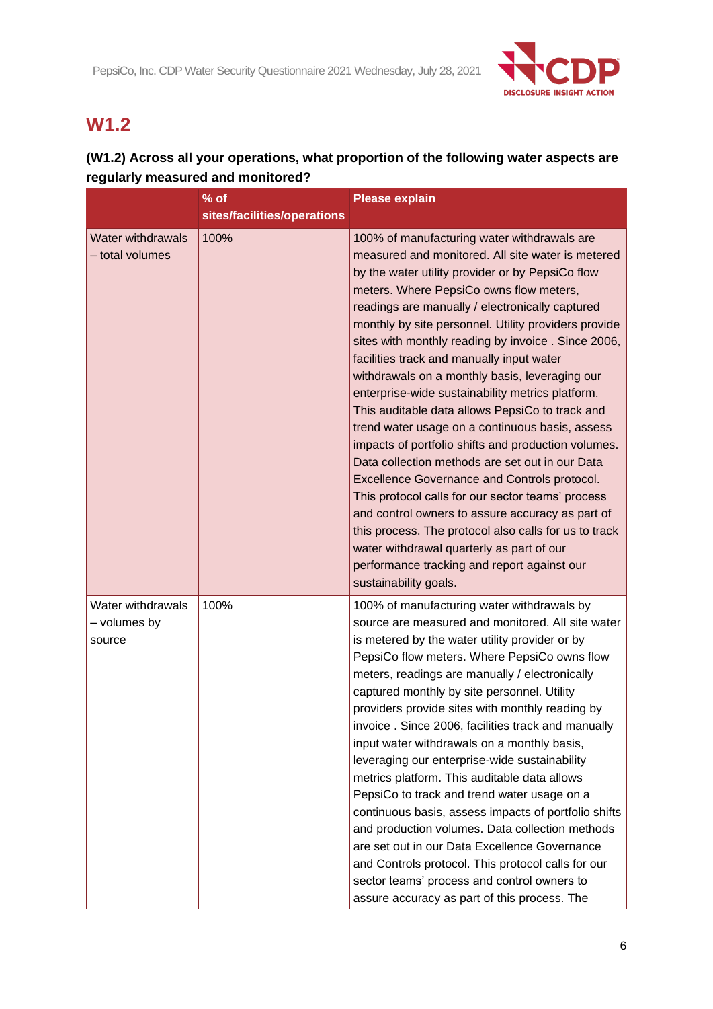

# **W1.2**

## **(W1.2) Across all your operations, what proportion of the following water aspects are regularly measured and monitored?**

|                                             | $%$ of                      | <b>Please explain</b>                                                                                                                                                                                                                                                                                                                                                                                                                                                                                                                                                                                                                                                                                                                                                                                                                                                                                                                                                                                                                                                             |
|---------------------------------------------|-----------------------------|-----------------------------------------------------------------------------------------------------------------------------------------------------------------------------------------------------------------------------------------------------------------------------------------------------------------------------------------------------------------------------------------------------------------------------------------------------------------------------------------------------------------------------------------------------------------------------------------------------------------------------------------------------------------------------------------------------------------------------------------------------------------------------------------------------------------------------------------------------------------------------------------------------------------------------------------------------------------------------------------------------------------------------------------------------------------------------------|
|                                             | sites/facilities/operations |                                                                                                                                                                                                                                                                                                                                                                                                                                                                                                                                                                                                                                                                                                                                                                                                                                                                                                                                                                                                                                                                                   |
| Water withdrawals<br>- total volumes        | 100%                        | 100% of manufacturing water withdrawals are<br>measured and monitored. All site water is metered<br>by the water utility provider or by PepsiCo flow<br>meters. Where PepsiCo owns flow meters,<br>readings are manually / electronically captured<br>monthly by site personnel. Utility providers provide<br>sites with monthly reading by invoice. Since 2006,<br>facilities track and manually input water<br>withdrawals on a monthly basis, leveraging our<br>enterprise-wide sustainability metrics platform.<br>This auditable data allows PepsiCo to track and<br>trend water usage on a continuous basis, assess<br>impacts of portfolio shifts and production volumes.<br>Data collection methods are set out in our Data<br><b>Excellence Governance and Controls protocol.</b><br>This protocol calls for our sector teams' process<br>and control owners to assure accuracy as part of<br>this process. The protocol also calls for us to track<br>water withdrawal quarterly as part of our<br>performance tracking and report against our<br>sustainability goals. |
| Water withdrawals<br>- volumes by<br>source | 100%                        | 100% of manufacturing water withdrawals by<br>source are measured and monitored. All site water<br>is metered by the water utility provider or by<br>PepsiCo flow meters. Where PepsiCo owns flow<br>meters, readings are manually / electronically<br>captured monthly by site personnel. Utility<br>providers provide sites with monthly reading by<br>invoice. Since 2006, facilities track and manually<br>input water withdrawals on a monthly basis,<br>leveraging our enterprise-wide sustainability<br>metrics platform. This auditable data allows<br>PepsiCo to track and trend water usage on a<br>continuous basis, assess impacts of portfolio shifts<br>and production volumes. Data collection methods<br>are set out in our Data Excellence Governance<br>and Controls protocol. This protocol calls for our<br>sector teams' process and control owners to<br>assure accuracy as part of this process. The                                                                                                                                                       |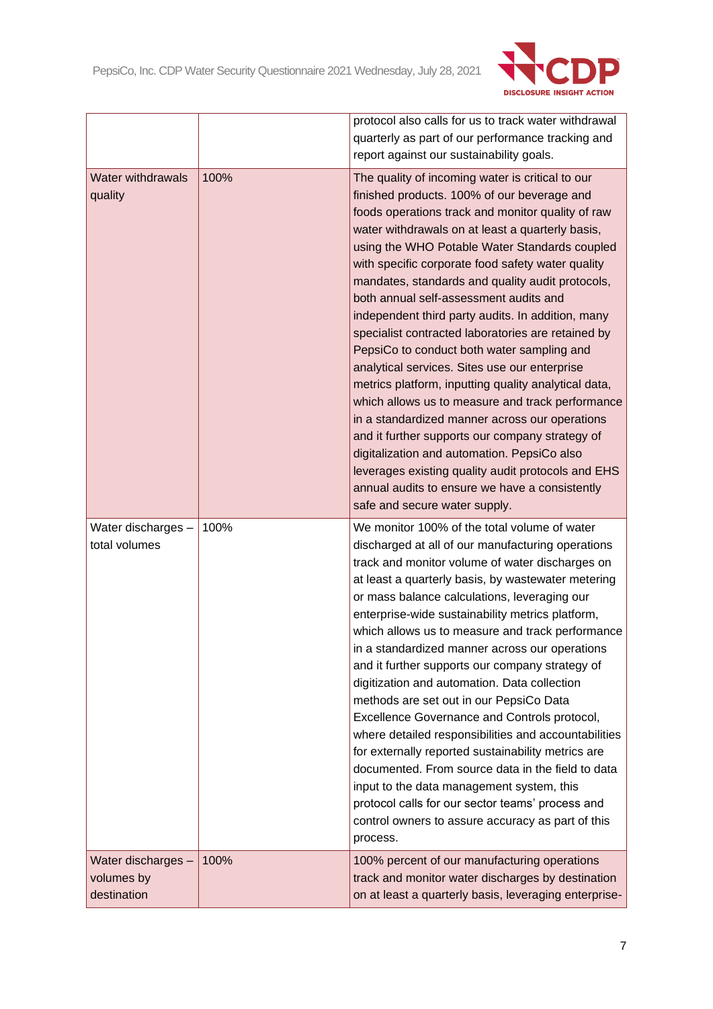

|                                                 |      | protocol also calls for us to track water withdrawal<br>quarterly as part of our performance tracking and<br>report against our sustainability goals.                                                                                                                                                                                                                                                                                                                                                                                                                                                                                                                                                                                                                                                                                                                                                                                                                                                                           |
|-------------------------------------------------|------|---------------------------------------------------------------------------------------------------------------------------------------------------------------------------------------------------------------------------------------------------------------------------------------------------------------------------------------------------------------------------------------------------------------------------------------------------------------------------------------------------------------------------------------------------------------------------------------------------------------------------------------------------------------------------------------------------------------------------------------------------------------------------------------------------------------------------------------------------------------------------------------------------------------------------------------------------------------------------------------------------------------------------------|
| <b>Water withdrawals</b><br>quality             | 100% | The quality of incoming water is critical to our<br>finished products. 100% of our beverage and<br>foods operations track and monitor quality of raw<br>water withdrawals on at least a quarterly basis,<br>using the WHO Potable Water Standards coupled<br>with specific corporate food safety water quality<br>mandates, standards and quality audit protocols,<br>both annual self-assessment audits and<br>independent third party audits. In addition, many<br>specialist contracted laboratories are retained by<br>PepsiCo to conduct both water sampling and<br>analytical services. Sites use our enterprise<br>metrics platform, inputting quality analytical data,<br>which allows us to measure and track performance<br>in a standardized manner across our operations<br>and it further supports our company strategy of<br>digitalization and automation. PepsiCo also<br>leverages existing quality audit protocols and EHS<br>annual audits to ensure we have a consistently<br>safe and secure water supply. |
| Water discharges -<br>total volumes             | 100% | We monitor 100% of the total volume of water<br>discharged at all of our manufacturing operations<br>track and monitor volume of water discharges on<br>at least a quarterly basis, by wastewater metering<br>or mass balance calculations, leveraging our<br>enterprise-wide sustainability metrics platform,<br>which allows us to measure and track performance<br>in a standardized manner across our operations<br>and it further supports our company strategy of<br>digitization and automation. Data collection<br>methods are set out in our PepsiCo Data<br>Excellence Governance and Controls protocol,<br>where detailed responsibilities and accountabilities<br>for externally reported sustainability metrics are<br>documented. From source data in the field to data<br>input to the data management system, this<br>protocol calls for our sector teams' process and<br>control owners to assure accuracy as part of this<br>process.                                                                         |
| Water discharges -<br>volumes by<br>destination | 100% | 100% percent of our manufacturing operations<br>track and monitor water discharges by destination<br>on at least a quarterly basis, leveraging enterprise-                                                                                                                                                                                                                                                                                                                                                                                                                                                                                                                                                                                                                                                                                                                                                                                                                                                                      |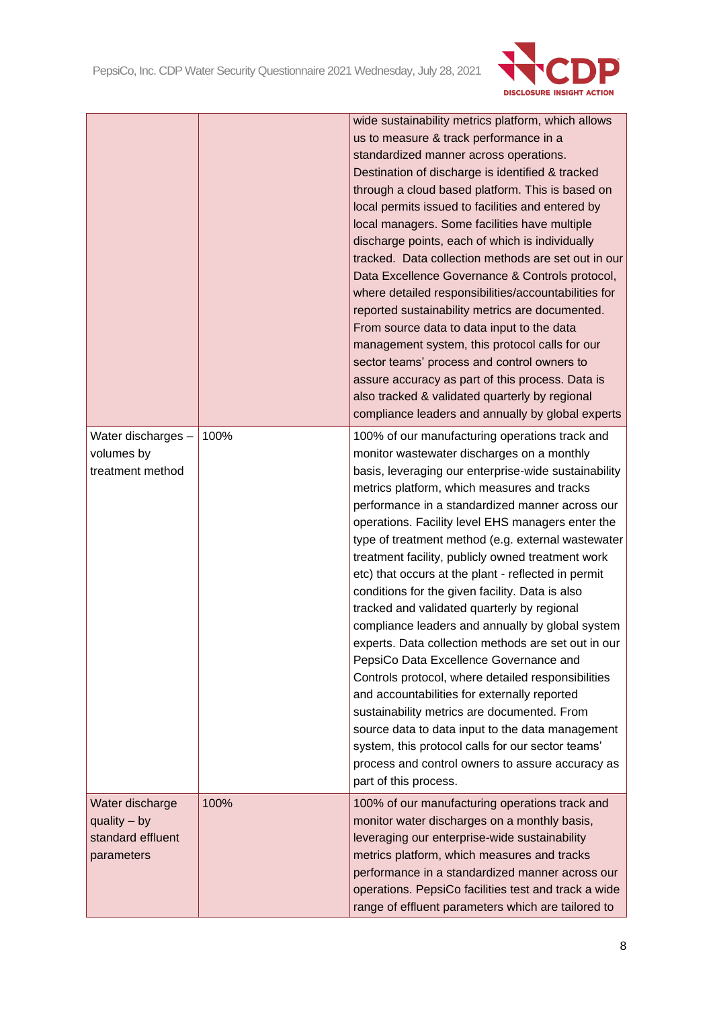

|                                                                      |      | wide sustainability metrics platform, which allows<br>us to measure & track performance in a<br>standardized manner across operations.<br>Destination of discharge is identified & tracked<br>through a cloud based platform. This is based on<br>local permits issued to facilities and entered by<br>local managers. Some facilities have multiple<br>discharge points, each of which is individually<br>tracked. Data collection methods are set out in our<br>Data Excellence Governance & Controls protocol,<br>where detailed responsibilities/accountabilities for<br>reported sustainability metrics are documented.<br>From source data to data input to the data<br>management system, this protocol calls for our<br>sector teams' process and control owners to<br>assure accuracy as part of this process. Data is<br>also tracked & validated quarterly by regional<br>compliance leaders and annually by global experts                                                                                                                                          |
|----------------------------------------------------------------------|------|---------------------------------------------------------------------------------------------------------------------------------------------------------------------------------------------------------------------------------------------------------------------------------------------------------------------------------------------------------------------------------------------------------------------------------------------------------------------------------------------------------------------------------------------------------------------------------------------------------------------------------------------------------------------------------------------------------------------------------------------------------------------------------------------------------------------------------------------------------------------------------------------------------------------------------------------------------------------------------------------------------------------------------------------------------------------------------|
| Water discharges -<br>volumes by<br>treatment method                 | 100% | 100% of our manufacturing operations track and<br>monitor wastewater discharges on a monthly<br>basis, leveraging our enterprise-wide sustainability<br>metrics platform, which measures and tracks<br>performance in a standardized manner across our<br>operations. Facility level EHS managers enter the<br>type of treatment method (e.g. external wastewater<br>treatment facility, publicly owned treatment work<br>etc) that occurs at the plant - reflected in permit<br>conditions for the given facility. Data is also<br>tracked and validated quarterly by regional<br>compliance leaders and annually by global system<br>experts. Data collection methods are set out in our<br>PepsiCo Data Excellence Governance and<br>Controls protocol, where detailed responsibilities<br>and accountabilities for externally reported<br>sustainability metrics are documented. From<br>source data to data input to the data management<br>system, this protocol calls for our sector teams'<br>process and control owners to assure accuracy as<br>part of this process. |
| Water discharge<br>$quality - by$<br>standard effluent<br>parameters | 100% | 100% of our manufacturing operations track and<br>monitor water discharges on a monthly basis,<br>leveraging our enterprise-wide sustainability<br>metrics platform, which measures and tracks<br>performance in a standardized manner across our<br>operations. PepsiCo facilities test and track a wide<br>range of effluent parameters which are tailored to                                                                                                                                                                                                                                                                                                                                                                                                                                                                                                                                                                                                                                                                                                                 |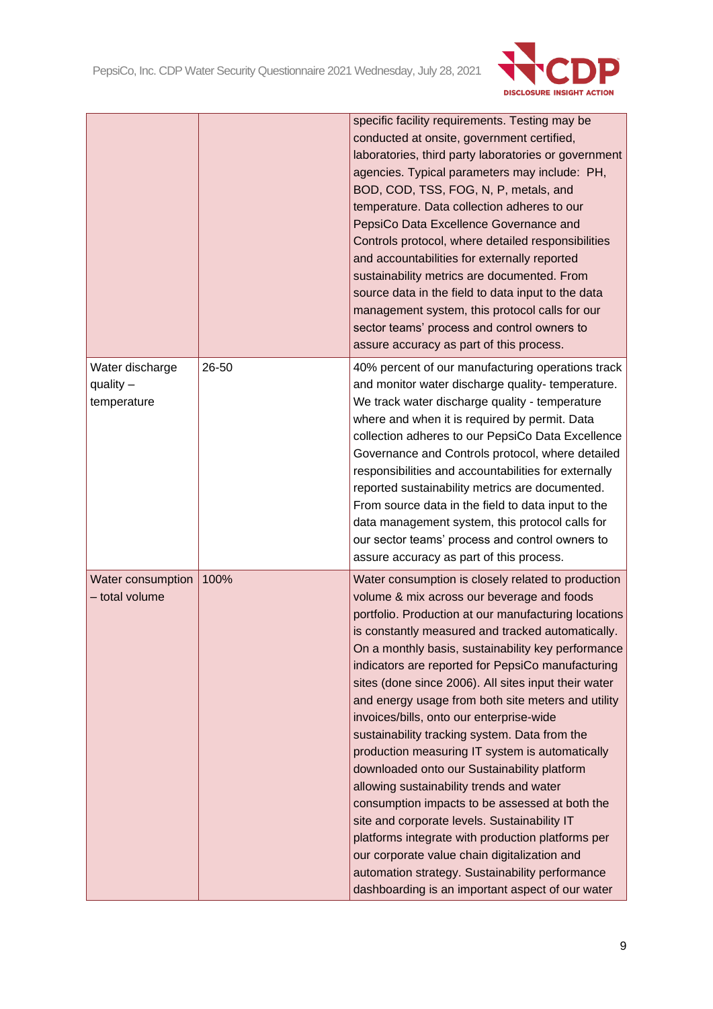

|                                               |       | specific facility requirements. Testing may be<br>conducted at onsite, government certified,<br>laboratories, third party laboratories or government<br>agencies. Typical parameters may include: PH,<br>BOD, COD, TSS, FOG, N, P, metals, and<br>temperature. Data collection adheres to our<br>PepsiCo Data Excellence Governance and<br>Controls protocol, where detailed responsibilities<br>and accountabilities for externally reported<br>sustainability metrics are documented. From<br>source data in the field to data input to the data<br>management system, this protocol calls for our<br>sector teams' process and control owners to<br>assure accuracy as part of this process.                                                                                                                                                                                                                                                                                                 |
|-----------------------------------------------|-------|-------------------------------------------------------------------------------------------------------------------------------------------------------------------------------------------------------------------------------------------------------------------------------------------------------------------------------------------------------------------------------------------------------------------------------------------------------------------------------------------------------------------------------------------------------------------------------------------------------------------------------------------------------------------------------------------------------------------------------------------------------------------------------------------------------------------------------------------------------------------------------------------------------------------------------------------------------------------------------------------------|
| Water discharge<br>quality $-$<br>temperature | 26-50 | 40% percent of our manufacturing operations track<br>and monitor water discharge quality- temperature.<br>We track water discharge quality - temperature<br>where and when it is required by permit. Data<br>collection adheres to our PepsiCo Data Excellence<br>Governance and Controls protocol, where detailed<br>responsibilities and accountabilities for externally<br>reported sustainability metrics are documented.<br>From source data in the field to data input to the<br>data management system, this protocol calls for<br>our sector teams' process and control owners to<br>assure accuracy as part of this process.                                                                                                                                                                                                                                                                                                                                                           |
| Water consumption<br>- total volume           | 100%  | Water consumption is closely related to production<br>volume & mix across our beverage and foods<br>portfolio. Production at our manufacturing locations<br>is constantly measured and tracked automatically.<br>On a monthly basis, sustainability key performance<br>indicators are reported for PepsiCo manufacturing<br>sites (done since 2006). All sites input their water<br>and energy usage from both site meters and utility<br>invoices/bills, onto our enterprise-wide<br>sustainability tracking system. Data from the<br>production measuring IT system is automatically<br>downloaded onto our Sustainability platform<br>allowing sustainability trends and water<br>consumption impacts to be assessed at both the<br>site and corporate levels. Sustainability IT<br>platforms integrate with production platforms per<br>our corporate value chain digitalization and<br>automation strategy. Sustainability performance<br>dashboarding is an important aspect of our water |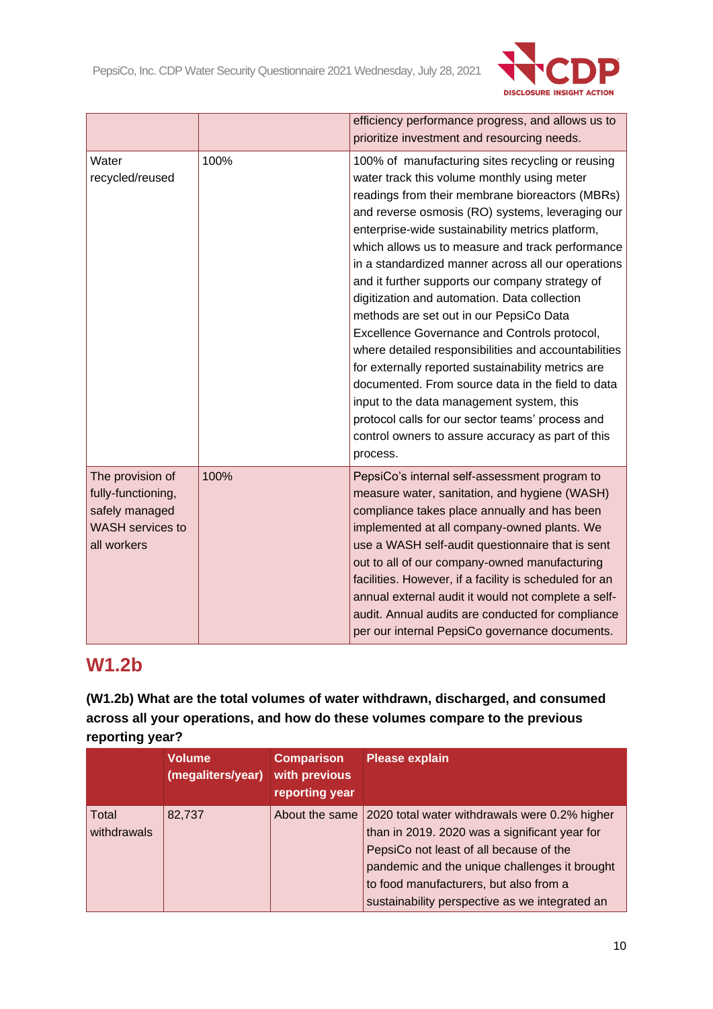

|                                                                                                    |      | efficiency performance progress, and allows us to<br>prioritize investment and resourcing needs.                                                                                                                                                                                                                                                                                                                                                                                                                                                                                                                                                                                                                                                                                                                                                                                                        |
|----------------------------------------------------------------------------------------------------|------|---------------------------------------------------------------------------------------------------------------------------------------------------------------------------------------------------------------------------------------------------------------------------------------------------------------------------------------------------------------------------------------------------------------------------------------------------------------------------------------------------------------------------------------------------------------------------------------------------------------------------------------------------------------------------------------------------------------------------------------------------------------------------------------------------------------------------------------------------------------------------------------------------------|
| Water<br>recycled/reused                                                                           | 100% | 100% of manufacturing sites recycling or reusing<br>water track this volume monthly using meter<br>readings from their membrane bioreactors (MBRs)<br>and reverse osmosis (RO) systems, leveraging our<br>enterprise-wide sustainability metrics platform,<br>which allows us to measure and track performance<br>in a standardized manner across all our operations<br>and it further supports our company strategy of<br>digitization and automation. Data collection<br>methods are set out in our PepsiCo Data<br>Excellence Governance and Controls protocol,<br>where detailed responsibilities and accountabilities<br>for externally reported sustainability metrics are<br>documented. From source data in the field to data<br>input to the data management system, this<br>protocol calls for our sector teams' process and<br>control owners to assure accuracy as part of this<br>process. |
| The provision of<br>fully-functioning,<br>safely managed<br><b>WASH</b> services to<br>all workers | 100% | PepsiCo's internal self-assessment program to<br>measure water, sanitation, and hygiene (WASH)<br>compliance takes place annually and has been<br>implemented at all company-owned plants. We<br>use a WASH self-audit questionnaire that is sent<br>out to all of our company-owned manufacturing<br>facilities. However, if a facility is scheduled for an<br>annual external audit it would not complete a self-<br>audit. Annual audits are conducted for compliance<br>per our internal PepsiCo governance documents.                                                                                                                                                                                                                                                                                                                                                                              |

# **W1.2b**

**(W1.2b) What are the total volumes of water withdrawn, discharged, and consumed across all your operations, and how do these volumes compare to the previous reporting year?**

|                      | <b>Volume</b><br>(megaliters/year) | <b>Comparison</b><br>with previous<br>reporting year | <b>Please explain</b>                                                                                                                                                                                                                                                                  |
|----------------------|------------------------------------|------------------------------------------------------|----------------------------------------------------------------------------------------------------------------------------------------------------------------------------------------------------------------------------------------------------------------------------------------|
| Total<br>withdrawals | 82,737                             | About the same                                       | 2020 total water withdrawals were 0.2% higher<br>than in 2019. 2020 was a significant year for<br>PepsiCo not least of all because of the<br>pandemic and the unique challenges it brought<br>to food manufacturers, but also from a<br>sustainability perspective as we integrated an |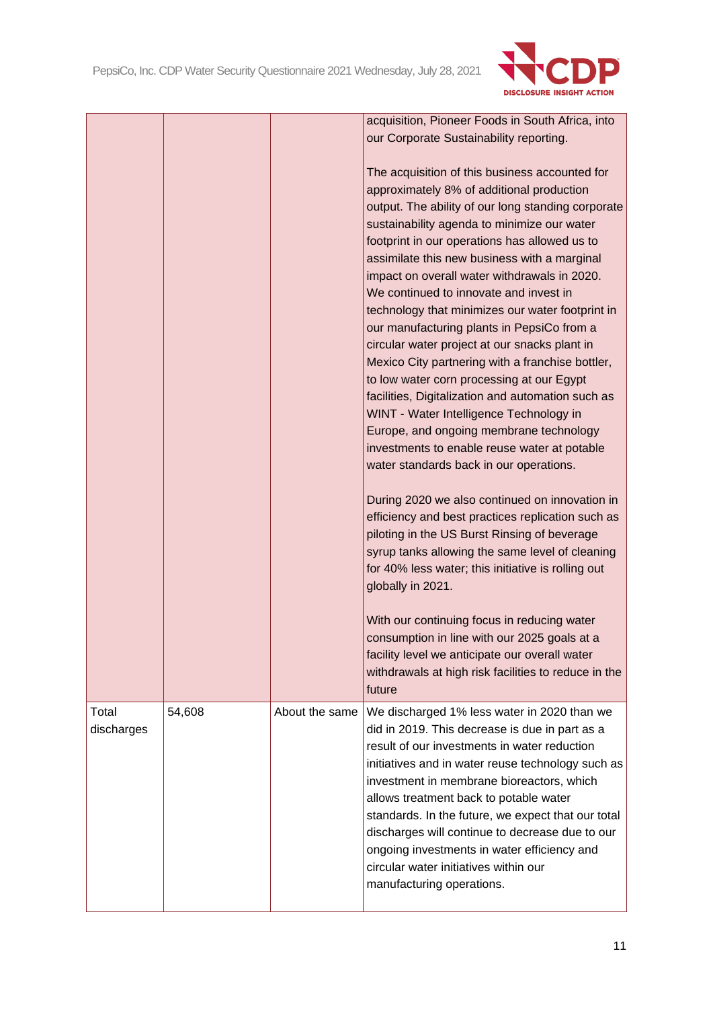

|            |        |                | acquisition, Pioneer Foods in South Africa, into                                     |
|------------|--------|----------------|--------------------------------------------------------------------------------------|
|            |        |                | our Corporate Sustainability reporting.                                              |
|            |        |                |                                                                                      |
|            |        |                | The acquisition of this business accounted for                                       |
|            |        |                | approximately 8% of additional production                                            |
|            |        |                | output. The ability of our long standing corporate                                   |
|            |        |                | sustainability agenda to minimize our water                                          |
|            |        |                | footprint in our operations has allowed us to                                        |
|            |        |                | assimilate this new business with a marginal                                         |
|            |        |                | impact on overall water withdrawals in 2020.                                         |
|            |        |                | We continued to innovate and invest in                                               |
|            |        |                |                                                                                      |
|            |        |                | technology that minimizes our water footprint in                                     |
|            |        |                | our manufacturing plants in PepsiCo from a                                           |
|            |        |                | circular water project at our snacks plant in                                        |
|            |        |                | Mexico City partnering with a franchise bottler,                                     |
|            |        |                | to low water corn processing at our Egypt                                            |
|            |        |                | facilities, Digitalization and automation such as                                    |
|            |        |                | WINT - Water Intelligence Technology in                                              |
|            |        |                | Europe, and ongoing membrane technology                                              |
|            |        |                | investments to enable reuse water at potable                                         |
|            |        |                | water standards back in our operations.                                              |
|            |        |                |                                                                                      |
|            |        |                | During 2020 we also continued on innovation in                                       |
|            |        |                | efficiency and best practices replication such as                                    |
|            |        |                | piloting in the US Burst Rinsing of beverage                                         |
|            |        |                | syrup tanks allowing the same level of cleaning                                      |
|            |        |                | for 40% less water; this initiative is rolling out                                   |
|            |        |                | globally in 2021.                                                                    |
|            |        |                |                                                                                      |
|            |        |                |                                                                                      |
|            |        |                | With our continuing focus in reducing water                                          |
|            |        |                | consumption in line with our 2025 goals at a                                         |
|            |        |                | facility level we anticipate our overall water                                       |
|            |        |                | withdrawals at high risk facilities to reduce in the                                 |
|            |        |                | future                                                                               |
| Total      | 54,608 | About the same | We discharged 1% less water in 2020 than we                                          |
| discharges |        |                | did in 2019. This decrease is due in part as a                                       |
|            |        |                | result of our investments in water reduction                                         |
|            |        |                | initiatives and in water reuse technology such as                                    |
|            |        |                | investment in membrane bioreactors, which                                            |
|            |        |                | allows treatment back to potable water                                               |
|            |        |                | standards. In the future, we expect that our total                                   |
|            |        |                | discharges will continue to decrease due to our                                      |
|            |        |                |                                                                                      |
|            |        |                | ongoing investments in water efficiency and<br>circular water initiatives within our |
|            |        |                |                                                                                      |
|            |        |                | manufacturing operations.                                                            |
|            |        |                |                                                                                      |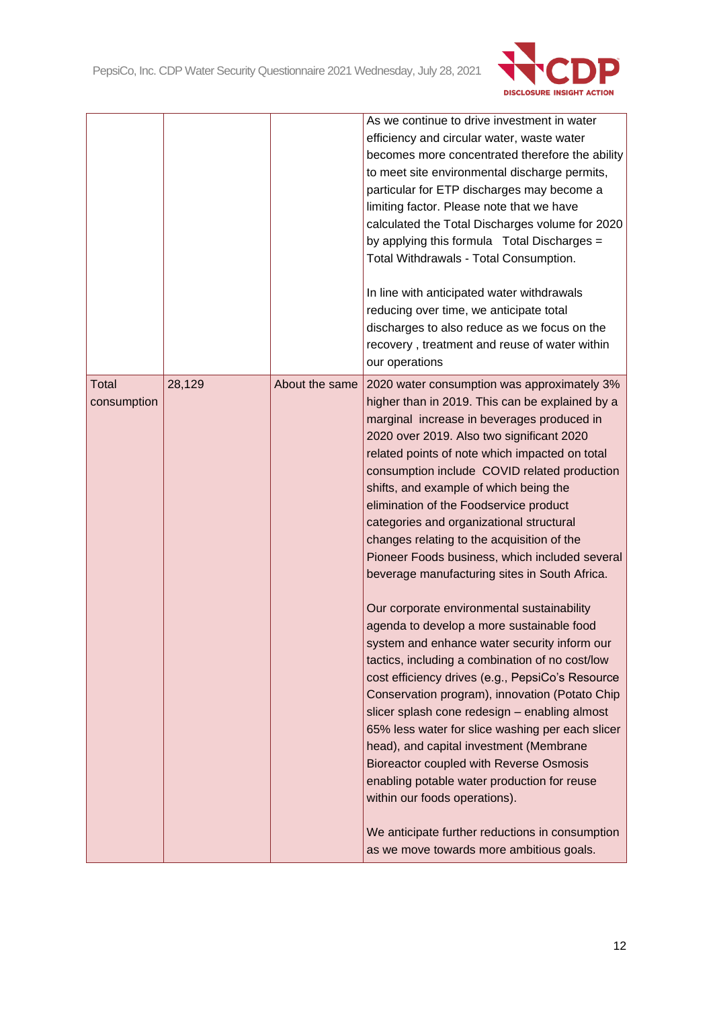

|                      |        |                | As we continue to drive investment in water<br>efficiency and circular water, waste water<br>becomes more concentrated therefore the ability<br>to meet site environmental discharge permits,<br>particular for ETP discharges may become a<br>limiting factor. Please note that we have<br>calculated the Total Discharges volume for 2020<br>by applying this formula Total Discharges =<br>Total Withdrawals - Total Consumption.<br>In line with anticipated water withdrawals<br>reducing over time, we anticipate total<br>discharges to also reduce as we focus on the<br>recovery, treatment and reuse of water within<br>our operations |
|----------------------|--------|----------------|--------------------------------------------------------------------------------------------------------------------------------------------------------------------------------------------------------------------------------------------------------------------------------------------------------------------------------------------------------------------------------------------------------------------------------------------------------------------------------------------------------------------------------------------------------------------------------------------------------------------------------------------------|
| Total<br>consumption | 28,129 | About the same | 2020 water consumption was approximately 3%<br>higher than in 2019. This can be explained by a<br>marginal increase in beverages produced in<br>2020 over 2019. Also two significant 2020<br>related points of note which impacted on total<br>consumption include COVID related production<br>shifts, and example of which being the<br>elimination of the Foodservice product<br>categories and organizational structural<br>changes relating to the acquisition of the<br>Pioneer Foods business, which included several<br>beverage manufacturing sites in South Africa.                                                                     |
|                      |        |                | Our corporate environmental sustainability<br>agenda to develop a more sustainable food<br>system and enhance water security inform our<br>tactics, including a combination of no cost/low<br>cost efficiency drives (e.g., PepsiCo's Resource<br>Conservation program), innovation (Potato Chip<br>slicer splash cone redesign - enabling almost<br>65% less water for slice washing per each slicer<br>head), and capital investment (Membrane<br>Bioreactor coupled with Reverse Osmosis<br>enabling potable water production for reuse<br>within our foods operations).<br>We anticipate further reductions in consumption                   |
|                      |        |                | as we move towards more ambitious goals.                                                                                                                                                                                                                                                                                                                                                                                                                                                                                                                                                                                                         |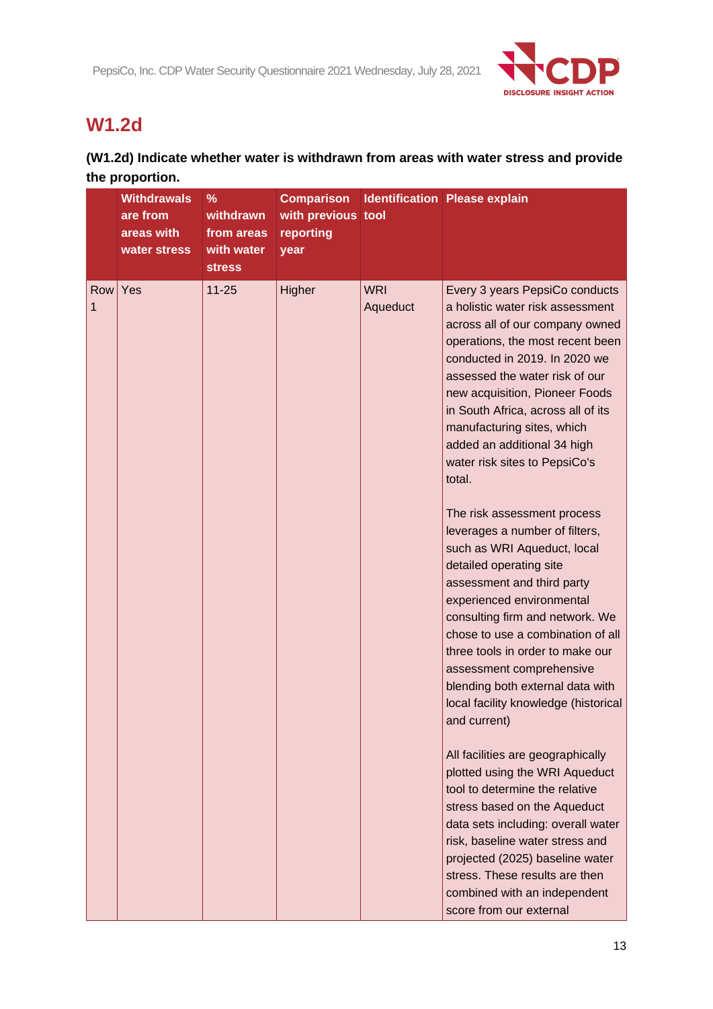

# **W1.2d**

## **(W1.2d) Indicate whether water is withdrawn from areas with water stress and provide the proportion.**

|          | <b>Withdrawals</b><br>are from<br>areas with<br>water stress | $\%$<br>withdrawn<br>from areas<br>with water<br><b>stress</b> | <b>Comparison</b><br>with previous tool<br>reporting<br>year |                        | <b>Identification Please explain</b>                                                                                                                                                                                                                                                                                                                                                                                                                                                                                                                                                                                                                                                                                                                                                                                                                                                                                                                                                                                                                                                                                                                                     |
|----------|--------------------------------------------------------------|----------------------------------------------------------------|--------------------------------------------------------------|------------------------|--------------------------------------------------------------------------------------------------------------------------------------------------------------------------------------------------------------------------------------------------------------------------------------------------------------------------------------------------------------------------------------------------------------------------------------------------------------------------------------------------------------------------------------------------------------------------------------------------------------------------------------------------------------------------------------------------------------------------------------------------------------------------------------------------------------------------------------------------------------------------------------------------------------------------------------------------------------------------------------------------------------------------------------------------------------------------------------------------------------------------------------------------------------------------|
| Row<br>1 | Yes                                                          | $11 - 25$                                                      | Higher                                                       | <b>WRI</b><br>Aqueduct | Every 3 years PepsiCo conducts<br>a holistic water risk assessment<br>across all of our company owned<br>operations, the most recent been<br>conducted in 2019. In 2020 we<br>assessed the water risk of our<br>new acquisition, Pioneer Foods<br>in South Africa, across all of its<br>manufacturing sites, which<br>added an additional 34 high<br>water risk sites to PepsiCo's<br>total.<br>The risk assessment process<br>leverages a number of filters,<br>such as WRI Aqueduct, local<br>detailed operating site<br>assessment and third party<br>experienced environmental<br>consulting firm and network. We<br>chose to use a combination of all<br>three tools in order to make our<br>assessment comprehensive<br>blending both external data with<br>local facility knowledge (historical<br>and current)<br>All facilities are geographically<br>plotted using the WRI Aqueduct<br>tool to determine the relative<br>stress based on the Aqueduct<br>data sets including: overall water<br>risk, baseline water stress and<br>projected (2025) baseline water<br>stress. These results are then<br>combined with an independent<br>score from our external |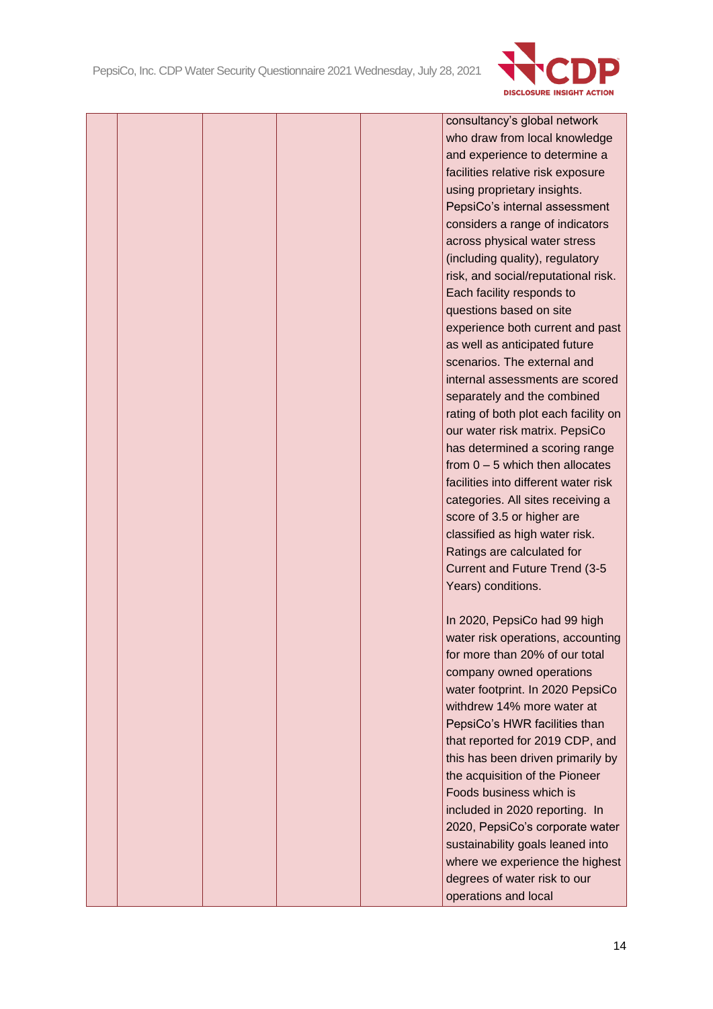

consultancy's global network who draw from local knowledge and experience to determine a facilities relative risk exposure using proprietary insights. PepsiCo's internal assessment considers a range of indicators across physical water stress (including quality), regulatory risk, and social/reputational risk. Each facility responds to questions based on site experience both current and past as well as anticipated future scenarios. The external and internal assessments are scored separately and the combined rating of both plot each facility on our water risk matrix. PepsiCo has determined a scoring range from  $0 - 5$  which then allocates facilities into different water risk categories. All sites receiving a score of 3.5 or higher are classified as high water risk. Ratings are calculated for Current and Future Trend (3-5 Years) conditions.

In 2020, PepsiCo had 99 high water risk operations, accounting for more than 20% of our total company owned operations water footprint. In 2020 PepsiCo withdrew 14% more water at PepsiCo's HWR facilities than that reported for 2019 CDP, and this has been driven primarily by the acquisition of the Pioneer Foods business which is included in 2020 reporting. In 2020, PepsiCo's corporate water sustainability goals leaned into where we experience the highest degrees of water risk to our operations and local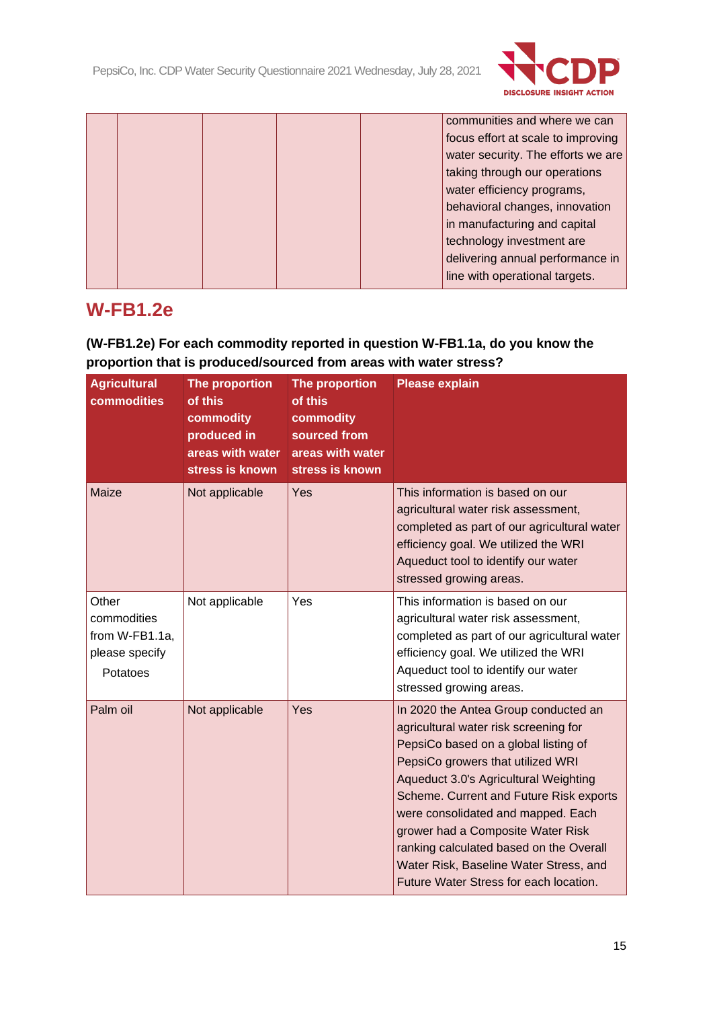

|  |  |  | communities and where we can       |
|--|--|--|------------------------------------|
|  |  |  | focus effort at scale to improving |
|  |  |  | water security. The efforts we are |
|  |  |  | taking through our operations      |
|  |  |  | water efficiency programs,         |
|  |  |  | behavioral changes, innovation     |
|  |  |  | in manufacturing and capital       |
|  |  |  | technology investment are          |
|  |  |  | delivering annual performance in   |
|  |  |  | line with operational targets.     |
|  |  |  |                                    |

# **W-FB1.2e**

## **(W-FB1.2e) For each commodity reported in question W-FB1.1a, do you know the proportion that is produced/sourced from areas with water stress?**

| <b>Agricultural</b><br>commodities                                   | The proportion<br>of this<br>commodity<br>produced in<br>areas with water<br>stress is known | The proportion<br>of this<br>commodity<br>sourced from<br>areas with water<br>stress is known | <b>Please explain</b>                                                                                                                                                                                                                                                                                                                                                                                                                                    |
|----------------------------------------------------------------------|----------------------------------------------------------------------------------------------|-----------------------------------------------------------------------------------------------|----------------------------------------------------------------------------------------------------------------------------------------------------------------------------------------------------------------------------------------------------------------------------------------------------------------------------------------------------------------------------------------------------------------------------------------------------------|
| Maize                                                                | Not applicable                                                                               | Yes                                                                                           | This information is based on our<br>agricultural water risk assessment,<br>completed as part of our agricultural water<br>efficiency goal. We utilized the WRI<br>Aqueduct tool to identify our water<br>stressed growing areas.                                                                                                                                                                                                                         |
| Other<br>commodities<br>from W-FB1.1a,<br>please specify<br>Potatoes | Not applicable                                                                               | Yes                                                                                           | This information is based on our<br>agricultural water risk assessment,<br>completed as part of our agricultural water<br>efficiency goal. We utilized the WRI<br>Aqueduct tool to identify our water<br>stressed growing areas.                                                                                                                                                                                                                         |
| Palm oil                                                             | Not applicable                                                                               | Yes                                                                                           | In 2020 the Antea Group conducted an<br>agricultural water risk screening for<br>PepsiCo based on a global listing of<br>PepsiCo growers that utilized WRI<br>Aqueduct 3.0's Agricultural Weighting<br>Scheme. Current and Future Risk exports<br>were consolidated and mapped. Each<br>grower had a Composite Water Risk<br>ranking calculated based on the Overall<br>Water Risk, Baseline Water Stress, and<br>Future Water Stress for each location. |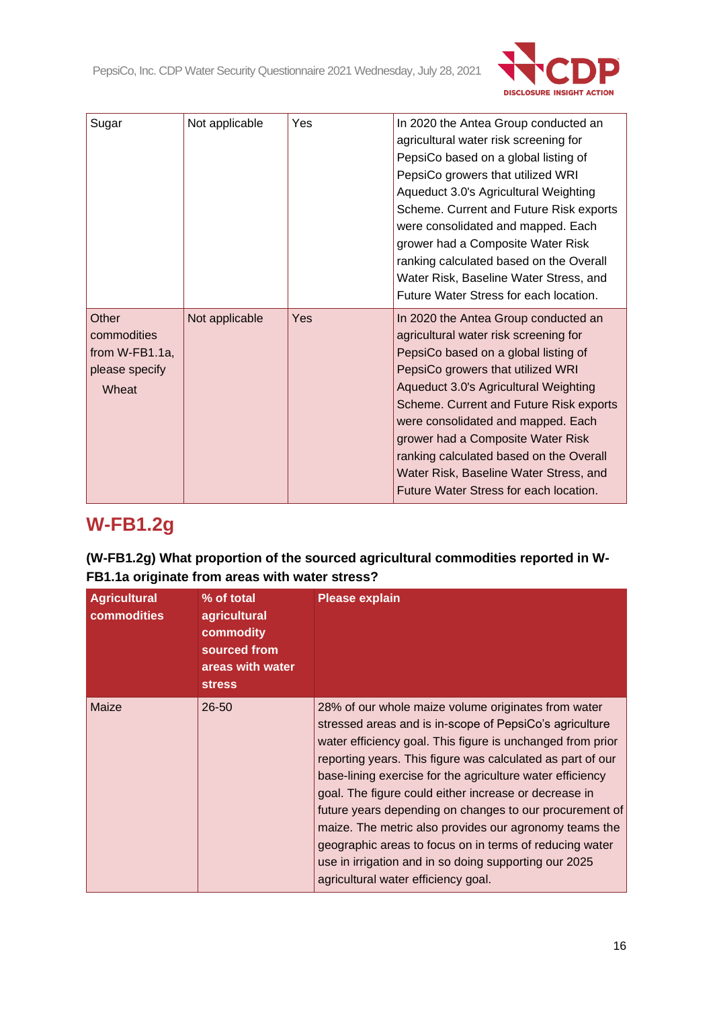

| Sugar             | Not applicable | Yes | In 2020 the Antea Group conducted an    |
|-------------------|----------------|-----|-----------------------------------------|
|                   |                |     | agricultural water risk screening for   |
|                   |                |     | PepsiCo based on a global listing of    |
|                   |                |     | PepsiCo growers that utilized WRI       |
|                   |                |     | Aqueduct 3.0's Agricultural Weighting   |
|                   |                |     | Scheme. Current and Future Risk exports |
|                   |                |     | were consolidated and mapped. Each      |
|                   |                |     | grower had a Composite Water Risk       |
|                   |                |     | ranking calculated based on the Overall |
|                   |                |     | Water Risk, Baseline Water Stress, and  |
|                   |                |     | Future Water Stress for each location.  |
| Other             | Not applicable | Yes | In 2020 the Antea Group conducted an    |
| commodities       |                |     | agricultural water risk screening for   |
| from $W-FB1.1a$ , |                |     | PepsiCo based on a global listing of    |
| please specify    |                |     | PepsiCo growers that utilized WRI       |
| Wheat             |                |     |                                         |
|                   |                |     | Aqueduct 3.0's Agricultural Weighting   |
|                   |                |     | Scheme. Current and Future Risk exports |
|                   |                |     | were consolidated and mapped. Each      |
|                   |                |     | grower had a Composite Water Risk       |
|                   |                |     | ranking calculated based on the Overall |
|                   |                |     | Water Risk, Baseline Water Stress, and  |
|                   |                |     | Future Water Stress for each location.  |

# **W-FB1.2g**

**(W-FB1.2g) What proportion of the sourced agricultural commodities reported in W-FB1.1a originate from areas with water stress?**

| <b>Agricultural</b><br>commodities | % of total<br>agricultural<br>commodity<br>sourced from<br>areas with water<br><b>stress</b> | <b>Please explain</b>                                                                                                                                                                                                                                                                                                                                                                                                                                                                                                                                                                                                                            |
|------------------------------------|----------------------------------------------------------------------------------------------|--------------------------------------------------------------------------------------------------------------------------------------------------------------------------------------------------------------------------------------------------------------------------------------------------------------------------------------------------------------------------------------------------------------------------------------------------------------------------------------------------------------------------------------------------------------------------------------------------------------------------------------------------|
| Maize                              | $26 - 50$                                                                                    | 28% of our whole maize volume originates from water<br>stressed areas and is in-scope of PepsiCo's agriculture<br>water efficiency goal. This figure is unchanged from prior<br>reporting years. This figure was calculated as part of our<br>base-lining exercise for the agriculture water efficiency<br>goal. The figure could either increase or decrease in<br>future years depending on changes to our procurement of<br>maize. The metric also provides our agronomy teams the<br>geographic areas to focus on in terms of reducing water<br>use in irrigation and in so doing supporting our 2025<br>agricultural water efficiency goal. |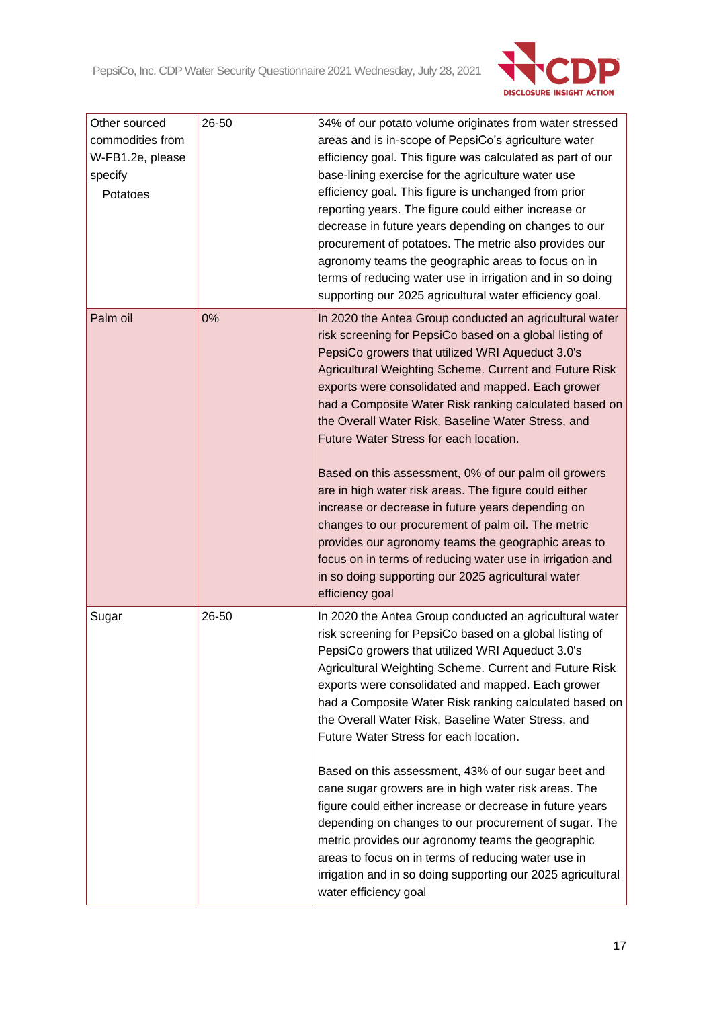

| Other sourced<br>commodities from<br>W-FB1.2e, please<br>specify<br>Potatoes | 26-50 | 34% of our potato volume originates from water stressed<br>areas and is in-scope of PepsiCo's agriculture water<br>efficiency goal. This figure was calculated as part of our<br>base-lining exercise for the agriculture water use<br>efficiency goal. This figure is unchanged from prior<br>reporting years. The figure could either increase or<br>decrease in future years depending on changes to our<br>procurement of potatoes. The metric also provides our<br>agronomy teams the geographic areas to focus on in<br>terms of reducing water use in irrigation and in so doing<br>supporting our 2025 agricultural water efficiency goal.                                                                                                                                                                                                                                      |
|------------------------------------------------------------------------------|-------|-----------------------------------------------------------------------------------------------------------------------------------------------------------------------------------------------------------------------------------------------------------------------------------------------------------------------------------------------------------------------------------------------------------------------------------------------------------------------------------------------------------------------------------------------------------------------------------------------------------------------------------------------------------------------------------------------------------------------------------------------------------------------------------------------------------------------------------------------------------------------------------------|
| Palm oil                                                                     | 0%    | In 2020 the Antea Group conducted an agricultural water<br>risk screening for PepsiCo based on a global listing of<br>PepsiCo growers that utilized WRI Aqueduct 3.0's<br>Agricultural Weighting Scheme. Current and Future Risk<br>exports were consolidated and mapped. Each grower<br>had a Composite Water Risk ranking calculated based on<br>the Overall Water Risk, Baseline Water Stress, and<br>Future Water Stress for each location.<br>Based on this assessment, 0% of our palm oil growers<br>are in high water risk areas. The figure could either<br>increase or decrease in future years depending on<br>changes to our procurement of palm oil. The metric<br>provides our agronomy teams the geographic areas to<br>focus on in terms of reducing water use in irrigation and<br>in so doing supporting our 2025 agricultural water<br>efficiency goal                |
| Sugar                                                                        | 26-50 | In 2020 the Antea Group conducted an agricultural water<br>risk screening for PepsiCo based on a global listing of<br>PepsiCo growers that utilized WRI Aqueduct 3.0's<br>Agricultural Weighting Scheme. Current and Future Risk<br>exports were consolidated and mapped. Each grower<br>had a Composite Water Risk ranking calculated based on<br>the Overall Water Risk, Baseline Water Stress, and<br>Future Water Stress for each location.<br>Based on this assessment, 43% of our sugar beet and<br>cane sugar growers are in high water risk areas. The<br>figure could either increase or decrease in future years<br>depending on changes to our procurement of sugar. The<br>metric provides our agronomy teams the geographic<br>areas to focus on in terms of reducing water use in<br>irrigation and in so doing supporting our 2025 agricultural<br>water efficiency goal |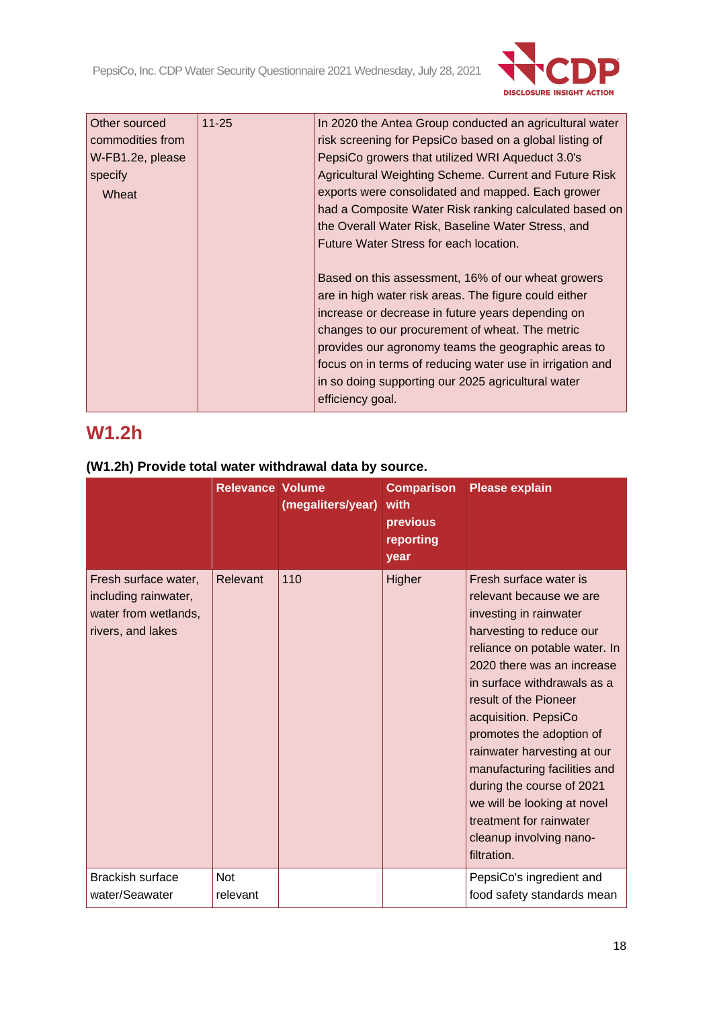

| <b>Other sourced</b><br>commodities from<br>W-FB1.2e, please<br>specify<br>Wheat | $11 - 25$ | In 2020 the Antea Group conducted an agricultural water<br>risk screening for PepsiCo based on a global listing of<br>PepsiCo growers that utilized WRI Aqueduct 3.0's<br>Agricultural Weighting Scheme. Current and Future Risk<br>exports were consolidated and mapped. Each grower<br>had a Composite Water Risk ranking calculated based on<br>the Overall Water Risk, Baseline Water Stress, and<br>Future Water Stress for each location. |
|----------------------------------------------------------------------------------|-----------|-------------------------------------------------------------------------------------------------------------------------------------------------------------------------------------------------------------------------------------------------------------------------------------------------------------------------------------------------------------------------------------------------------------------------------------------------|
|                                                                                  |           | Based on this assessment, 16% of our wheat growers<br>are in high water risk areas. The figure could either<br>increase or decrease in future years depending on<br>changes to our procurement of wheat. The metric<br>provides our agronomy teams the geographic areas to<br>focus on in terms of reducing water use in irrigation and<br>in so doing supporting our 2025 agricultural water<br>efficiency goal.                               |

# **W1.2h**

|                                                                                           | <b>Relevance Volume</b> | (megaliters/year) | <b>Comparison</b><br>with<br>previous<br>reporting<br>year | <b>Please explain</b>                                                                                                                                                                                                                                                                                                                                                                                                                                                              |
|-------------------------------------------------------------------------------------------|-------------------------|-------------------|------------------------------------------------------------|------------------------------------------------------------------------------------------------------------------------------------------------------------------------------------------------------------------------------------------------------------------------------------------------------------------------------------------------------------------------------------------------------------------------------------------------------------------------------------|
| Fresh surface water,<br>including rainwater,<br>water from wetlands,<br>rivers, and lakes | Relevant                | 110               | Higher                                                     | Fresh surface water is<br>relevant because we are<br>investing in rainwater<br>harvesting to reduce our<br>reliance on potable water. In<br>2020 there was an increase<br>in surface withdrawals as a<br>result of the Pioneer<br>acquisition. PepsiCo<br>promotes the adoption of<br>rainwater harvesting at our<br>manufacturing facilities and<br>during the course of 2021<br>we will be looking at novel<br>treatment for rainwater<br>cleanup involving nano-<br>filtration. |
| <b>Brackish surface</b><br>water/Seawater                                                 | <b>Not</b><br>relevant  |                   |                                                            | PepsiCo's ingredient and<br>food safety standards mean                                                                                                                                                                                                                                                                                                                                                                                                                             |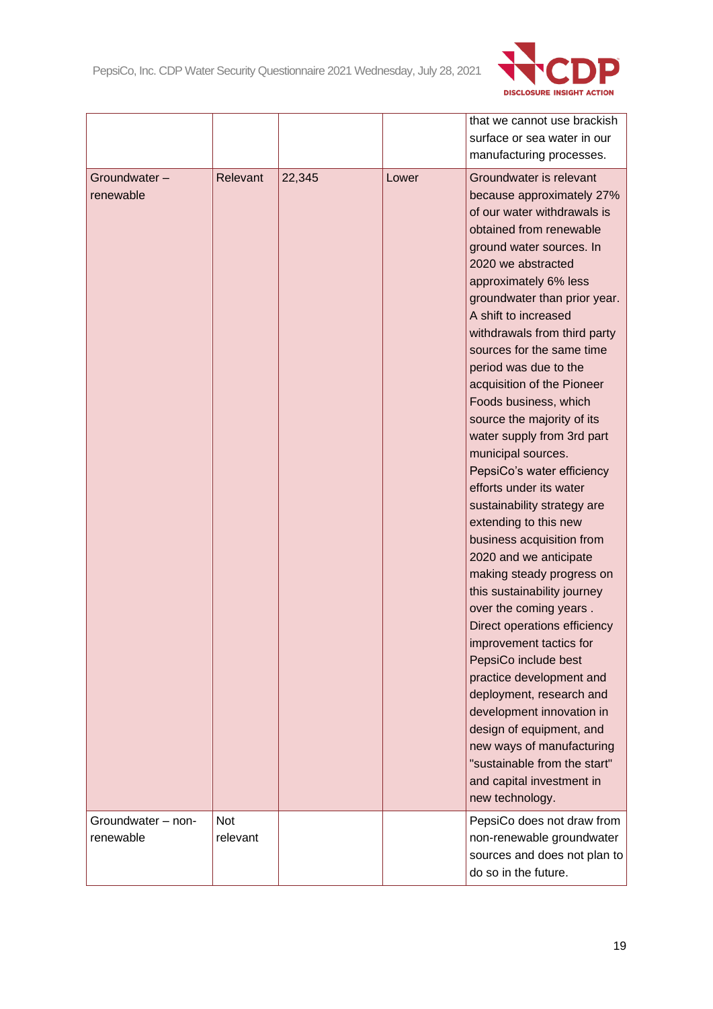

| surface or sea water in our<br>manufacturing processes.<br>Groundwater is relevant<br>Groundwater-<br>Relevant<br>22,345<br>Lower<br>renewable<br>because approximately 27%<br>of our water withdrawals is<br>obtained from renewable<br>ground water sources. In<br>2020 we abstracted<br>approximately 6% less<br>groundwater than prior year.<br>A shift to increased<br>withdrawals from third party<br>sources for the same time<br>period was due to the<br>acquisition of the Pioneer |
|----------------------------------------------------------------------------------------------------------------------------------------------------------------------------------------------------------------------------------------------------------------------------------------------------------------------------------------------------------------------------------------------------------------------------------------------------------------------------------------------|
|                                                                                                                                                                                                                                                                                                                                                                                                                                                                                              |
|                                                                                                                                                                                                                                                                                                                                                                                                                                                                                              |
|                                                                                                                                                                                                                                                                                                                                                                                                                                                                                              |
|                                                                                                                                                                                                                                                                                                                                                                                                                                                                                              |
|                                                                                                                                                                                                                                                                                                                                                                                                                                                                                              |
|                                                                                                                                                                                                                                                                                                                                                                                                                                                                                              |
|                                                                                                                                                                                                                                                                                                                                                                                                                                                                                              |
|                                                                                                                                                                                                                                                                                                                                                                                                                                                                                              |
|                                                                                                                                                                                                                                                                                                                                                                                                                                                                                              |
|                                                                                                                                                                                                                                                                                                                                                                                                                                                                                              |
|                                                                                                                                                                                                                                                                                                                                                                                                                                                                                              |
|                                                                                                                                                                                                                                                                                                                                                                                                                                                                                              |
|                                                                                                                                                                                                                                                                                                                                                                                                                                                                                              |
|                                                                                                                                                                                                                                                                                                                                                                                                                                                                                              |
|                                                                                                                                                                                                                                                                                                                                                                                                                                                                                              |
| Foods business, which                                                                                                                                                                                                                                                                                                                                                                                                                                                                        |
| source the majority of its                                                                                                                                                                                                                                                                                                                                                                                                                                                                   |
| water supply from 3rd part                                                                                                                                                                                                                                                                                                                                                                                                                                                                   |
| municipal sources.                                                                                                                                                                                                                                                                                                                                                                                                                                                                           |
| PepsiCo's water efficiency                                                                                                                                                                                                                                                                                                                                                                                                                                                                   |
| efforts under its water                                                                                                                                                                                                                                                                                                                                                                                                                                                                      |
| sustainability strategy are                                                                                                                                                                                                                                                                                                                                                                                                                                                                  |
| extending to this new                                                                                                                                                                                                                                                                                                                                                                                                                                                                        |
| business acquisition from                                                                                                                                                                                                                                                                                                                                                                                                                                                                    |
| 2020 and we anticipate                                                                                                                                                                                                                                                                                                                                                                                                                                                                       |
| making steady progress on                                                                                                                                                                                                                                                                                                                                                                                                                                                                    |
| this sustainability journey                                                                                                                                                                                                                                                                                                                                                                                                                                                                  |
| over the coming years.                                                                                                                                                                                                                                                                                                                                                                                                                                                                       |
| Direct operations efficiency                                                                                                                                                                                                                                                                                                                                                                                                                                                                 |
| improvement tactics for                                                                                                                                                                                                                                                                                                                                                                                                                                                                      |
| PepsiCo include best                                                                                                                                                                                                                                                                                                                                                                                                                                                                         |
| practice development and                                                                                                                                                                                                                                                                                                                                                                                                                                                                     |
| deployment, research and                                                                                                                                                                                                                                                                                                                                                                                                                                                                     |
| development innovation in                                                                                                                                                                                                                                                                                                                                                                                                                                                                    |
| design of equipment, and                                                                                                                                                                                                                                                                                                                                                                                                                                                                     |
| new ways of manufacturing                                                                                                                                                                                                                                                                                                                                                                                                                                                                    |
| "sustainable from the start"                                                                                                                                                                                                                                                                                                                                                                                                                                                                 |
| and capital investment in                                                                                                                                                                                                                                                                                                                                                                                                                                                                    |
| new technology.                                                                                                                                                                                                                                                                                                                                                                                                                                                                              |
| <b>Not</b><br>PepsiCo does not draw from<br>Groundwater - non-                                                                                                                                                                                                                                                                                                                                                                                                                               |
| relevant<br>renewable<br>non-renewable groundwater                                                                                                                                                                                                                                                                                                                                                                                                                                           |
| sources and does not plan to                                                                                                                                                                                                                                                                                                                                                                                                                                                                 |
| do so in the future.                                                                                                                                                                                                                                                                                                                                                                                                                                                                         |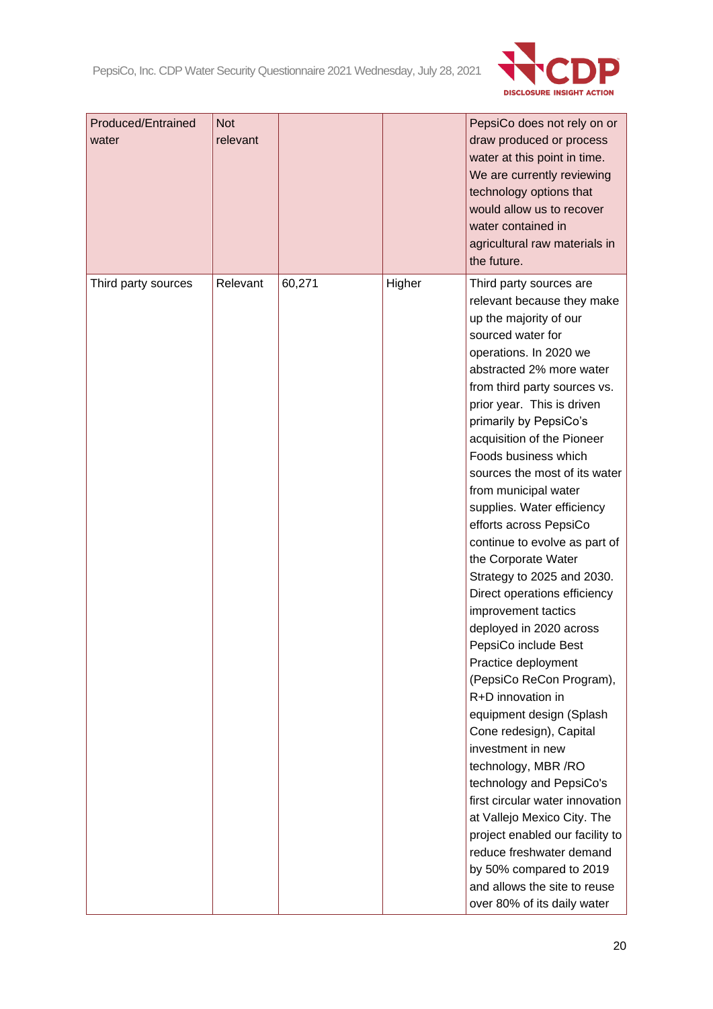

| <b>Produced/Entrained</b><br>water | <b>Not</b><br>relevant |        |        | PepsiCo does not rely on or<br>draw produced or process<br>water at this point in time.<br>We are currently reviewing<br>technology options that<br>would allow us to recover<br>water contained in<br>agricultural raw materials in<br>the future.                                                                                                                                                                                                                                                                                                                                                                                                                                                                                                                                                                                                                                                                                                                                                                                                         |
|------------------------------------|------------------------|--------|--------|-------------------------------------------------------------------------------------------------------------------------------------------------------------------------------------------------------------------------------------------------------------------------------------------------------------------------------------------------------------------------------------------------------------------------------------------------------------------------------------------------------------------------------------------------------------------------------------------------------------------------------------------------------------------------------------------------------------------------------------------------------------------------------------------------------------------------------------------------------------------------------------------------------------------------------------------------------------------------------------------------------------------------------------------------------------|
| Third party sources                | Relevant               | 60,271 | Higher | Third party sources are<br>relevant because they make<br>up the majority of our<br>sourced water for<br>operations. In 2020 we<br>abstracted 2% more water<br>from third party sources vs.<br>prior year. This is driven<br>primarily by PepsiCo's<br>acquisition of the Pioneer<br>Foods business which<br>sources the most of its water<br>from municipal water<br>supplies. Water efficiency<br>efforts across PepsiCo<br>continue to evolve as part of<br>the Corporate Water<br>Strategy to 2025 and 2030.<br>Direct operations efficiency<br>improvement tactics<br>deployed in 2020 across<br>PepsiCo include Best<br>Practice deployment<br>(PepsiCo ReCon Program),<br>R+D innovation in<br>equipment design (Splash<br>Cone redesign), Capital<br>investment in new<br>technology, MBR /RO<br>technology and PepsiCo's<br>first circular water innovation<br>at Vallejo Mexico City. The<br>project enabled our facility to<br>reduce freshwater demand<br>by 50% compared to 2019<br>and allows the site to reuse<br>over 80% of its daily water |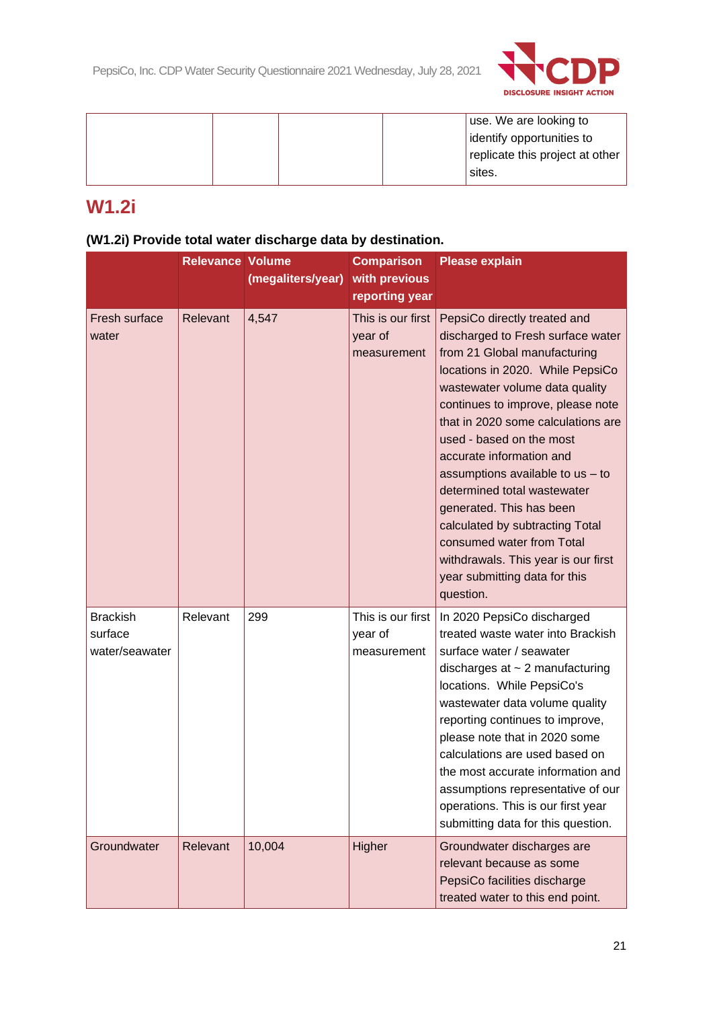

|  |  | use. We are looking to          |
|--|--|---------------------------------|
|  |  | dentify opportunities to        |
|  |  | replicate this project at other |
|  |  | sites.                          |
|  |  |                                 |

# **W1.2i**

## **(W1.2i) Provide total water discharge data by destination.**

|                                              | <b>Relevance Volume</b> | (megaliters/year) | <b>Comparison</b><br>with previous<br>reporting year | <b>Please explain</b>                                                                                                                                                                                                                                                                                                                                                                                                                                                                                                                                            |
|----------------------------------------------|-------------------------|-------------------|------------------------------------------------------|------------------------------------------------------------------------------------------------------------------------------------------------------------------------------------------------------------------------------------------------------------------------------------------------------------------------------------------------------------------------------------------------------------------------------------------------------------------------------------------------------------------------------------------------------------------|
| Fresh surface<br>water                       | Relevant                | 4,547             | This is our first<br>year of<br>measurement          | PepsiCo directly treated and<br>discharged to Fresh surface water<br>from 21 Global manufacturing<br>locations in 2020. While PepsiCo<br>wastewater volume data quality<br>continues to improve, please note<br>that in 2020 some calculations are<br>used - based on the most<br>accurate information and<br>assumptions available to $us - to$<br>determined total wastewater<br>generated. This has been<br>calculated by subtracting Total<br>consumed water from Total<br>withdrawals. This year is our first<br>year submitting data for this<br>question. |
| <b>Brackish</b><br>surface<br>water/seawater | Relevant                | 299               | This is our first<br>year of<br>measurement          | In 2020 PepsiCo discharged<br>treated waste water into Brackish<br>surface water / seawater<br>discharges at $\sim$ 2 manufacturing<br>locations. While PepsiCo's<br>wastewater data volume quality<br>reporting continues to improve,<br>please note that in 2020 some<br>calculations are used based on<br>the most accurate information and<br>assumptions representative of our<br>operations. This is our first year<br>submitting data for this question.                                                                                                  |
| Groundwater                                  | Relevant                | 10,004            | Higher                                               | Groundwater discharges are<br>relevant because as some<br>PepsiCo facilities discharge<br>treated water to this end point.                                                                                                                                                                                                                                                                                                                                                                                                                                       |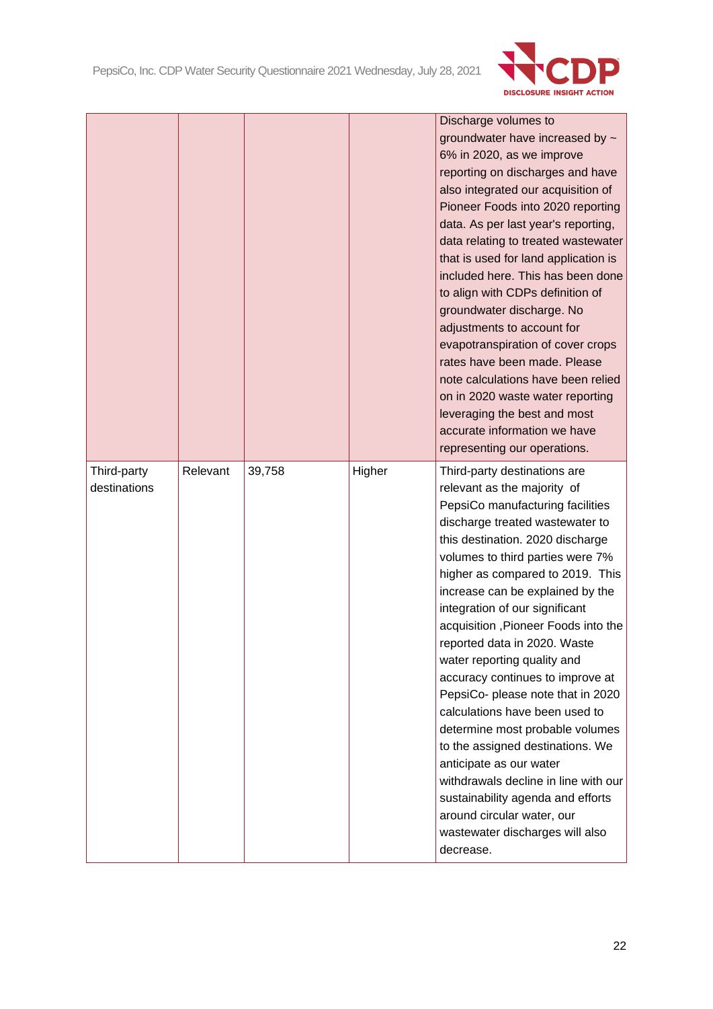

|                             |          |        |        | Discharge volumes to<br>groundwater have increased by ~<br>6% in 2020, as we improve<br>reporting on discharges and have<br>also integrated our acquisition of<br>Pioneer Foods into 2020 reporting<br>data. As per last year's reporting,<br>data relating to treated wastewater<br>that is used for land application is<br>included here. This has been done<br>to align with CDPs definition of<br>groundwater discharge. No<br>adjustments to account for<br>evapotranspiration of cover crops<br>rates have been made. Please<br>note calculations have been relied<br>on in 2020 waste water reporting<br>leveraging the best and most<br>accurate information we have                                                                                                                       |
|-----------------------------|----------|--------|--------|----------------------------------------------------------------------------------------------------------------------------------------------------------------------------------------------------------------------------------------------------------------------------------------------------------------------------------------------------------------------------------------------------------------------------------------------------------------------------------------------------------------------------------------------------------------------------------------------------------------------------------------------------------------------------------------------------------------------------------------------------------------------------------------------------|
|                             |          |        |        | representing our operations.                                                                                                                                                                                                                                                                                                                                                                                                                                                                                                                                                                                                                                                                                                                                                                       |
| Third-party<br>destinations | Relevant | 39,758 | Higher | Third-party destinations are<br>relevant as the majority of<br>PepsiCo manufacturing facilities<br>discharge treated wastewater to<br>this destination. 2020 discharge<br>volumes to third parties were 7%<br>higher as compared to 2019. This<br>increase can be explained by the<br>integration of our significant<br>acquisition, Pioneer Foods into the<br>reported data in 2020. Waste<br>water reporting quality and<br>accuracy continues to improve at<br>PepsiCo- please note that in 2020<br>calculations have been used to<br>determine most probable volumes<br>to the assigned destinations. We<br>anticipate as our water<br>withdrawals decline in line with our<br>sustainability agenda and efforts<br>around circular water, our<br>wastewater discharges will also<br>decrease. |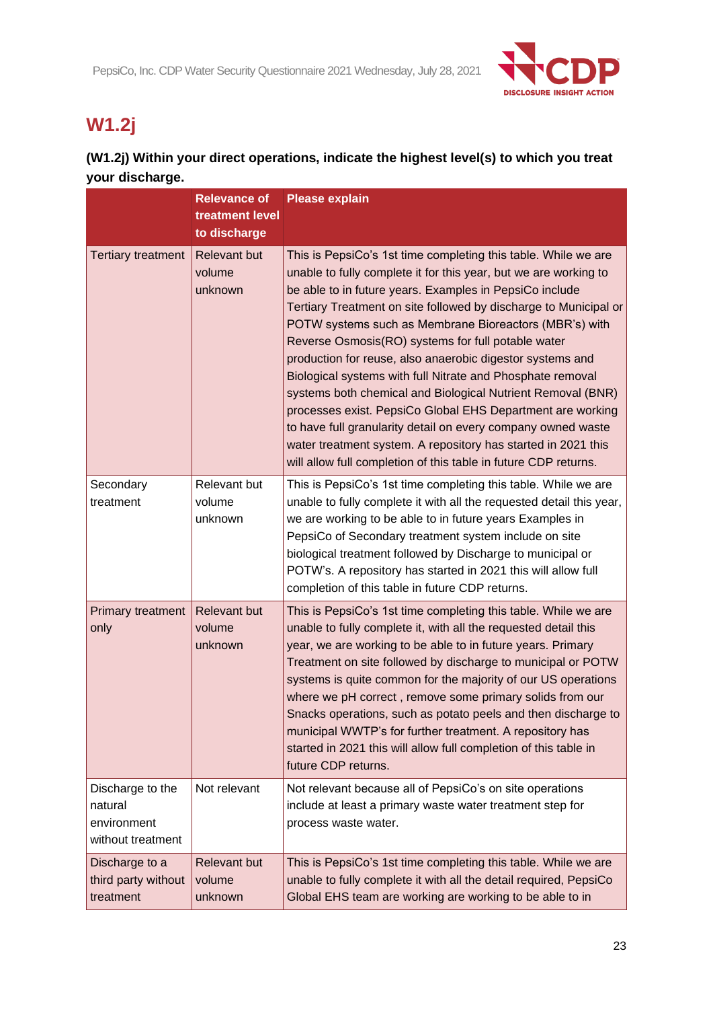

# **W1.2j**

## **(W1.2j) Within your direct operations, indicate the highest level(s) to which you treat your discharge.**

|                                                                 | <b>Relevance of</b><br>treatment level<br>to discharge | <b>Please explain</b>                                                                                                                                                                                                                                                                                                                                                                                                                                                                                                                                                                                                                                                                                                                                                                                                                         |
|-----------------------------------------------------------------|--------------------------------------------------------|-----------------------------------------------------------------------------------------------------------------------------------------------------------------------------------------------------------------------------------------------------------------------------------------------------------------------------------------------------------------------------------------------------------------------------------------------------------------------------------------------------------------------------------------------------------------------------------------------------------------------------------------------------------------------------------------------------------------------------------------------------------------------------------------------------------------------------------------------|
| <b>Tertiary treatment</b>                                       | <b>Relevant but</b><br>volume<br>unknown               | This is PepsiCo's 1st time completing this table. While we are<br>unable to fully complete it for this year, but we are working to<br>be able to in future years. Examples in PepsiCo include<br>Tertiary Treatment on site followed by discharge to Municipal or<br>POTW systems such as Membrane Bioreactors (MBR's) with<br>Reverse Osmosis(RO) systems for full potable water<br>production for reuse, also anaerobic digestor systems and<br>Biological systems with full Nitrate and Phosphate removal<br>systems both chemical and Biological Nutrient Removal (BNR)<br>processes exist. PepsiCo Global EHS Department are working<br>to have full granularity detail on every company owned waste<br>water treatment system. A repository has started in 2021 this<br>will allow full completion of this table in future CDP returns. |
| Secondary<br>treatment                                          | Relevant but<br>volume<br>unknown                      | This is PepsiCo's 1st time completing this table. While we are<br>unable to fully complete it with all the requested detail this year,<br>we are working to be able to in future years Examples in<br>PepsiCo of Secondary treatment system include on site<br>biological treatment followed by Discharge to municipal or<br>POTW's. A repository has started in 2021 this will allow full<br>completion of this table in future CDP returns.                                                                                                                                                                                                                                                                                                                                                                                                 |
| <b>Primary treatment</b><br>only                                | <b>Relevant but</b><br>volume<br>unknown               | This is PepsiCo's 1st time completing this table. While we are<br>unable to fully complete it, with all the requested detail this<br>year, we are working to be able to in future years. Primary<br>Treatment on site followed by discharge to municipal or POTW<br>systems is quite common for the majority of our US operations<br>where we pH correct, remove some primary solids from our<br>Snacks operations, such as potato peels and then discharge to<br>municipal WWTP's for further treatment. A repository has<br>started in 2021 this will allow full completion of this table in<br>future CDP returns.                                                                                                                                                                                                                         |
| Discharge to the<br>natural<br>environment<br>without treatment | Not relevant                                           | Not relevant because all of PepsiCo's on site operations<br>include at least a primary waste water treatment step for<br>process waste water.                                                                                                                                                                                                                                                                                                                                                                                                                                                                                                                                                                                                                                                                                                 |
| Discharge to a<br>third party without<br>treatment              | <b>Relevant but</b><br>volume<br>unknown               | This is PepsiCo's 1st time completing this table. While we are<br>unable to fully complete it with all the detail required, PepsiCo<br>Global EHS team are working are working to be able to in                                                                                                                                                                                                                                                                                                                                                                                                                                                                                                                                                                                                                                               |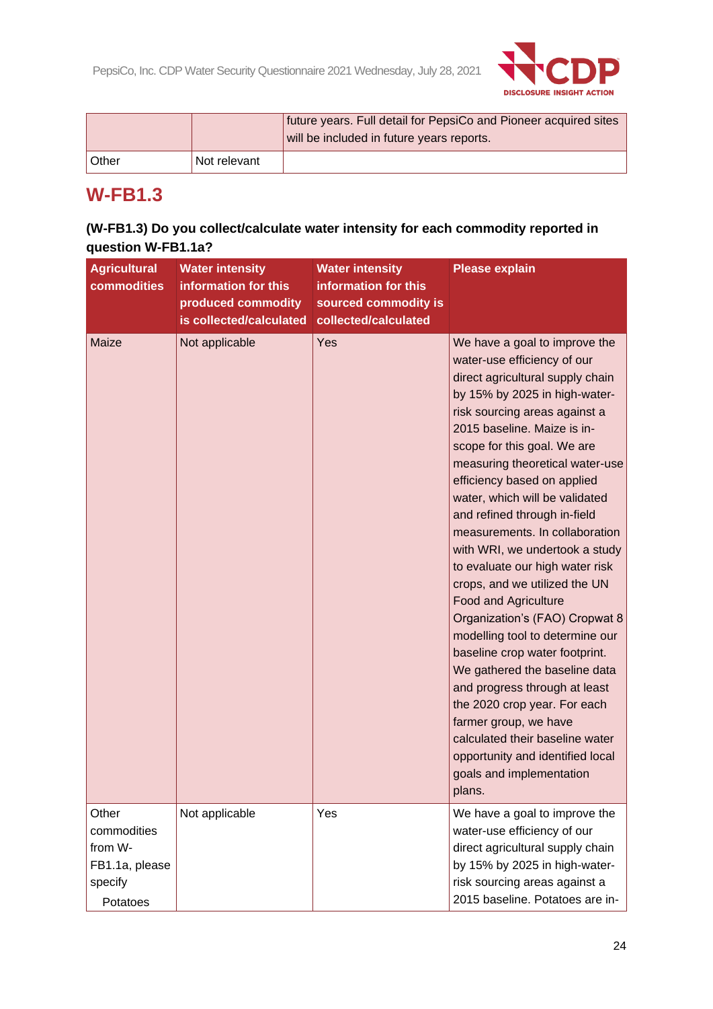

|       |              | future years. Full detail for PepsiCo and Pioneer acquired sites<br>will be included in future years reports. |
|-------|--------------|---------------------------------------------------------------------------------------------------------------|
| Other | Not relevant |                                                                                                               |

## **W-FB1.3**

## **(W-FB1.3) Do you collect/calculate water intensity for each commodity reported in question W-FB1.1a?**

| <b>Agricultural</b><br>commodities                                       | <b>Water intensity</b><br>information for this<br>produced commodity<br>is collected/calculated | <b>Water intensity</b><br>information for this<br>sourced commodity is<br>collected/calculated | <b>Please explain</b>                                                                                                                                                                                                                                                                                                                                                                                                                                                                                                                                                                                                                                                                                                                                                                                                                                                                      |
|--------------------------------------------------------------------------|-------------------------------------------------------------------------------------------------|------------------------------------------------------------------------------------------------|--------------------------------------------------------------------------------------------------------------------------------------------------------------------------------------------------------------------------------------------------------------------------------------------------------------------------------------------------------------------------------------------------------------------------------------------------------------------------------------------------------------------------------------------------------------------------------------------------------------------------------------------------------------------------------------------------------------------------------------------------------------------------------------------------------------------------------------------------------------------------------------------|
| Maize                                                                    | Not applicable                                                                                  | Yes                                                                                            | We have a goal to improve the<br>water-use efficiency of our<br>direct agricultural supply chain<br>by 15% by 2025 in high-water-<br>risk sourcing areas against a<br>2015 baseline. Maize is in-<br>scope for this goal. We are<br>measuring theoretical water-use<br>efficiency based on applied<br>water, which will be validated<br>and refined through in-field<br>measurements. In collaboration<br>with WRI, we undertook a study<br>to evaluate our high water risk<br>crops, and we utilized the UN<br><b>Food and Agriculture</b><br>Organization's (FAO) Cropwat 8<br>modelling tool to determine our<br>baseline crop water footprint.<br>We gathered the baseline data<br>and progress through at least<br>the 2020 crop year. For each<br>farmer group, we have<br>calculated their baseline water<br>opportunity and identified local<br>goals and implementation<br>plans. |
| Other<br>commodities<br>from W-<br>FB1.1a, please<br>specify<br>Potatoes | Not applicable                                                                                  | Yes                                                                                            | We have a goal to improve the<br>water-use efficiency of our<br>direct agricultural supply chain<br>by 15% by 2025 in high-water-<br>risk sourcing areas against a<br>2015 baseline. Potatoes are in-                                                                                                                                                                                                                                                                                                                                                                                                                                                                                                                                                                                                                                                                                      |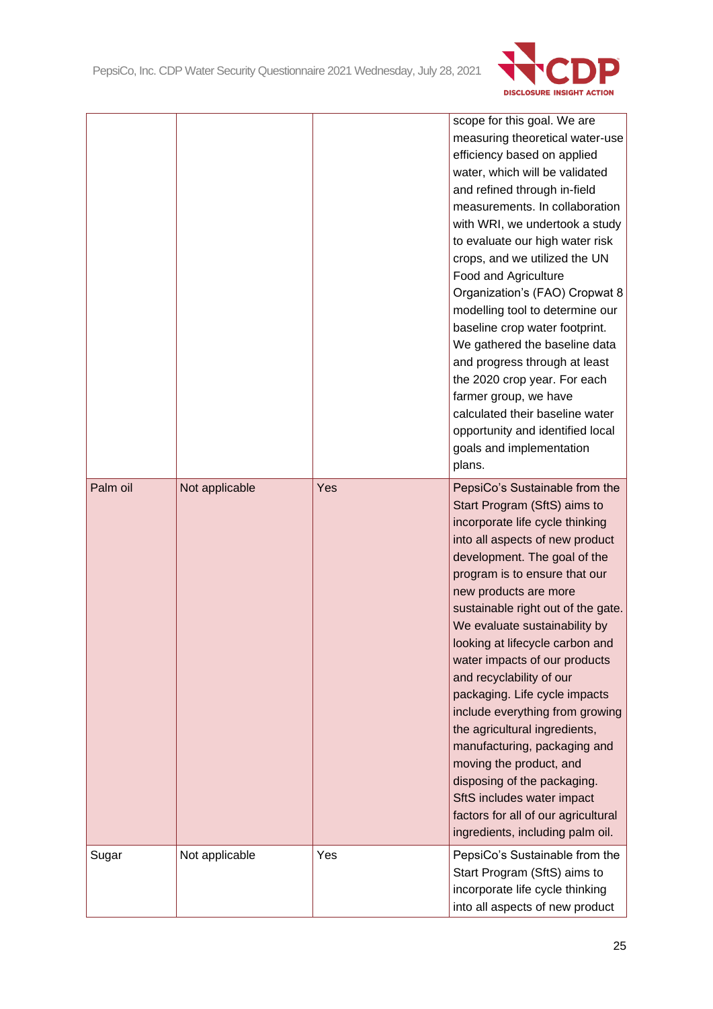

|          |                |     | scope for this goal. We are<br>measuring theoretical water-use<br>efficiency based on applied<br>water, which will be validated<br>and refined through in-field<br>measurements. In collaboration<br>with WRI, we undertook a study<br>to evaluate our high water risk<br>crops, and we utilized the UN<br>Food and Agriculture<br>Organization's (FAO) Cropwat 8<br>modelling tool to determine our<br>baseline crop water footprint.<br>We gathered the baseline data<br>and progress through at least<br>the 2020 crop year. For each<br>farmer group, we have<br>calculated their baseline water<br>opportunity and identified local<br>goals and implementation<br>plans.                                |
|----------|----------------|-----|---------------------------------------------------------------------------------------------------------------------------------------------------------------------------------------------------------------------------------------------------------------------------------------------------------------------------------------------------------------------------------------------------------------------------------------------------------------------------------------------------------------------------------------------------------------------------------------------------------------------------------------------------------------------------------------------------------------|
| Palm oil | Not applicable | Yes | PepsiCo's Sustainable from the<br>Start Program (SftS) aims to<br>incorporate life cycle thinking<br>into all aspects of new product<br>development. The goal of the<br>program is to ensure that our<br>new products are more<br>sustainable right out of the gate.<br>We evaluate sustainability by<br>looking at lifecycle carbon and<br>water impacts of our products<br>and recyclability of our<br>packaging. Life cycle impacts<br>include everything from growing<br>the agricultural ingredients,<br>manufacturing, packaging and<br>moving the product, and<br>disposing of the packaging.<br>SftS includes water impact<br>factors for all of our agricultural<br>ingredients, including palm oil. |
| Sugar    | Not applicable | Yes | PepsiCo's Sustainable from the<br>Start Program (SftS) aims to<br>incorporate life cycle thinking<br>into all aspects of new product                                                                                                                                                                                                                                                                                                                                                                                                                                                                                                                                                                          |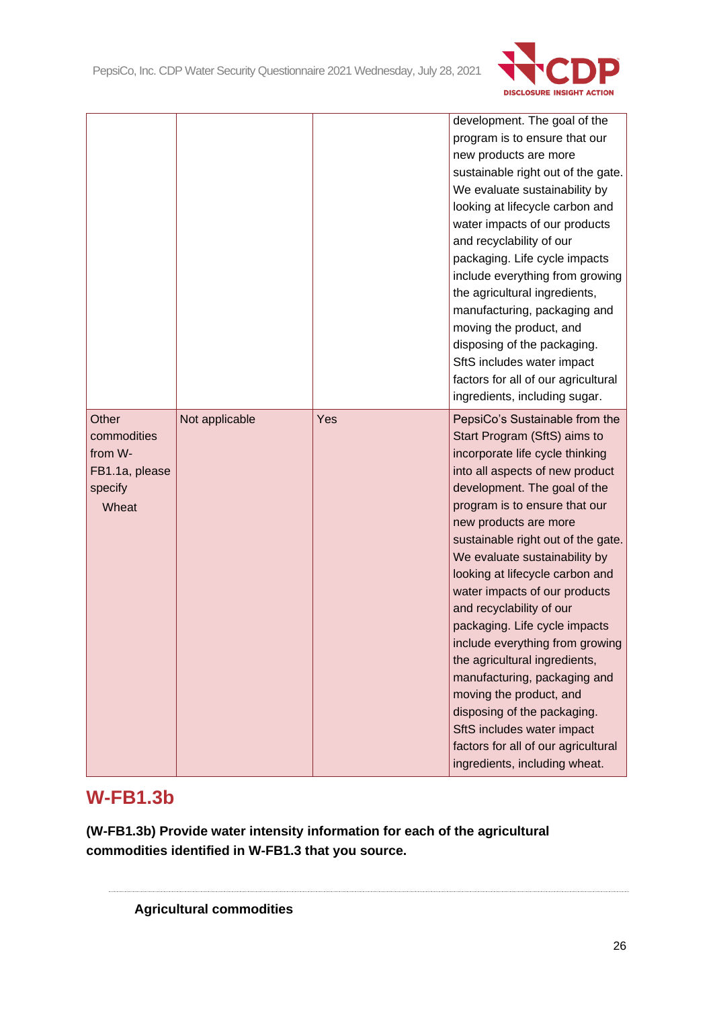

|                                                                       |                |     | development. The goal of the<br>program is to ensure that our<br>new products are more<br>sustainable right out of the gate.<br>We evaluate sustainability by<br>looking at lifecycle carbon and<br>water impacts of our products<br>and recyclability of our<br>packaging. Life cycle impacts<br>include everything from growing<br>the agricultural ingredients,<br>manufacturing, packaging and<br>moving the product, and<br>disposing of the packaging.<br>SftS includes water impact<br>factors for all of our agricultural<br>ingredients, including sugar.                                                                                                                                         |
|-----------------------------------------------------------------------|----------------|-----|------------------------------------------------------------------------------------------------------------------------------------------------------------------------------------------------------------------------------------------------------------------------------------------------------------------------------------------------------------------------------------------------------------------------------------------------------------------------------------------------------------------------------------------------------------------------------------------------------------------------------------------------------------------------------------------------------------|
| Other<br>commodities<br>from W-<br>FB1.1a, please<br>specify<br>Wheat | Not applicable | Yes | PepsiCo's Sustainable from the<br>Start Program (SftS) aims to<br>incorporate life cycle thinking<br>into all aspects of new product<br>development. The goal of the<br>program is to ensure that our<br>new products are more<br>sustainable right out of the gate.<br>We evaluate sustainability by<br>looking at lifecycle carbon and<br>water impacts of our products<br>and recyclability of our<br>packaging. Life cycle impacts<br>include everything from growing<br>the agricultural ingredients,<br>manufacturing, packaging and<br>moving the product, and<br>disposing of the packaging.<br>SftS includes water impact<br>factors for all of our agricultural<br>ingredients, including wheat. |

# **W-FB1.3b**

**(W-FB1.3b) Provide water intensity information for each of the agricultural commodities identified in W-FB1.3 that you source.**

**Agricultural commodities**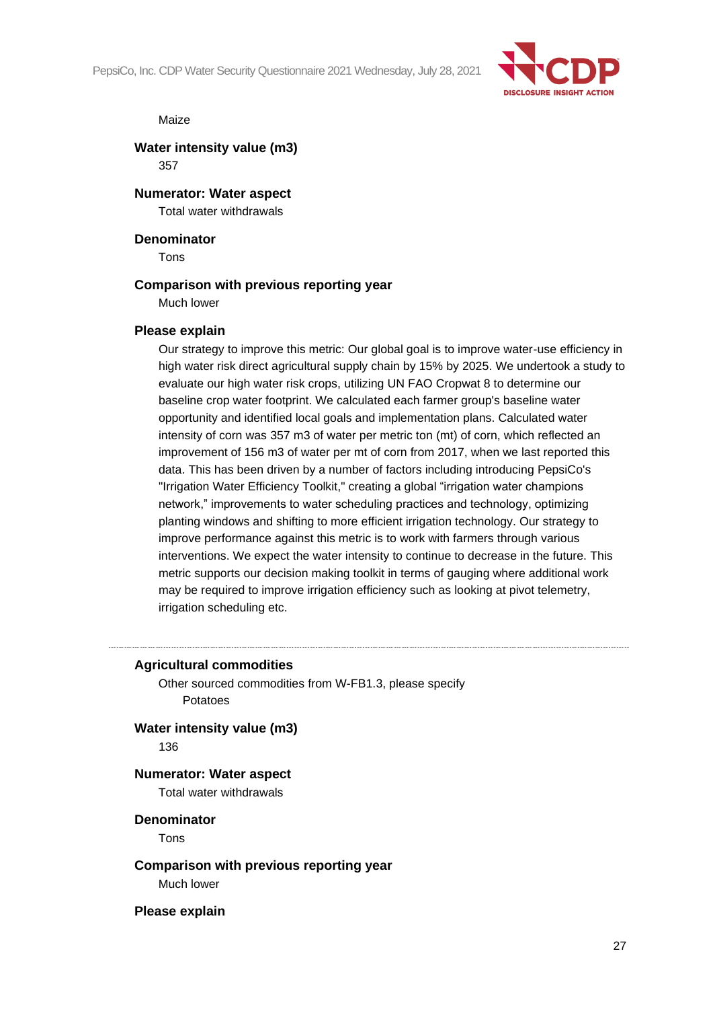PepsiCo, Inc. CDP Water Security Questionnaire 2021 Wednesday, July 28, 2021



#### Maize

**Water intensity value (m3)** 357

**Numerator: Water aspect**

Total water withdrawals

#### **Denominator**

Tons

#### **Comparison with previous reporting year**

Much lower

#### **Please explain**

Our strategy to improve this metric: Our global goal is to improve water-use efficiency in high water risk direct agricultural supply chain by 15% by 2025. We undertook a study to evaluate our high water risk crops, utilizing UN FAO Cropwat 8 to determine our baseline crop water footprint. We calculated each farmer group's baseline water opportunity and identified local goals and implementation plans. Calculated water intensity of corn was 357 m3 of water per metric ton (mt) of corn, which reflected an improvement of 156 m3 of water per mt of corn from 2017, when we last reported this data. This has been driven by a number of factors including introducing PepsiCo's "Irrigation Water Efficiency Toolkit," creating a global "irrigation water champions network," improvements to water scheduling practices and technology, optimizing planting windows and shifting to more efficient irrigation technology. Our strategy to improve performance against this metric is to work with farmers through various interventions. We expect the water intensity to continue to decrease in the future. This metric supports our decision making toolkit in terms of gauging where additional work may be required to improve irrigation efficiency such as looking at pivot telemetry, irrigation scheduling etc.

#### **Agricultural commodities**

Other sourced commodities from W-FB1.3, please specify Potatoes

**Water intensity value (m3)**

136

## **Numerator: Water aspect**

Total water withdrawals

**Denominator** Tons

**Comparison with previous reporting year** Much lower

**Please explain**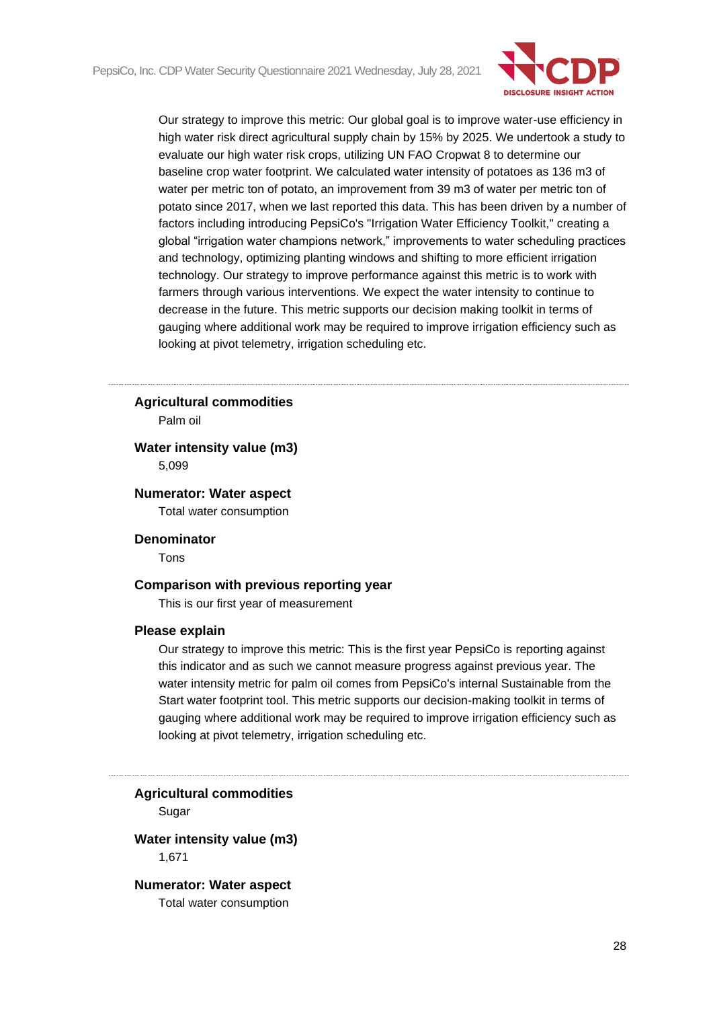

Our strategy to improve this metric: Our global goal is to improve water-use efficiency in high water risk direct agricultural supply chain by 15% by 2025. We undertook a study to evaluate our high water risk crops, utilizing UN FAO Cropwat 8 to determine our baseline crop water footprint. We calculated water intensity of potatoes as 136 m3 of water per metric ton of potato, an improvement from 39 m3 of water per metric ton of potato since 2017, when we last reported this data. This has been driven by a number of factors including introducing PepsiCo's "Irrigation Water Efficiency Toolkit," creating a global "irrigation water champions network," improvements to water scheduling practices and technology, optimizing planting windows and shifting to more efficient irrigation technology. Our strategy to improve performance against this metric is to work with farmers through various interventions. We expect the water intensity to continue to decrease in the future. This metric supports our decision making toolkit in terms of gauging where additional work may be required to improve irrigation efficiency such as looking at pivot telemetry, irrigation scheduling etc.

#### **Agricultural commodities**

Palm oil

#### **Water intensity value (m3)** 5,099

#### **Numerator: Water aspect**

Total water consumption

#### **Denominator**

Tons

#### **Comparison with previous reporting year**

This is our first year of measurement

#### **Please explain**

Our strategy to improve this metric: This is the first year PepsiCo is reporting against this indicator and as such we cannot measure progress against previous year. The water intensity metric for palm oil comes from PepsiCo's internal Sustainable from the Start water footprint tool. This metric supports our decision-making toolkit in terms of gauging where additional work may be required to improve irrigation efficiency such as looking at pivot telemetry, irrigation scheduling etc.

**Agricultural commodities**

Sugar

#### **Water intensity value (m3)**

1,671

#### **Numerator: Water aspect**

Total water consumption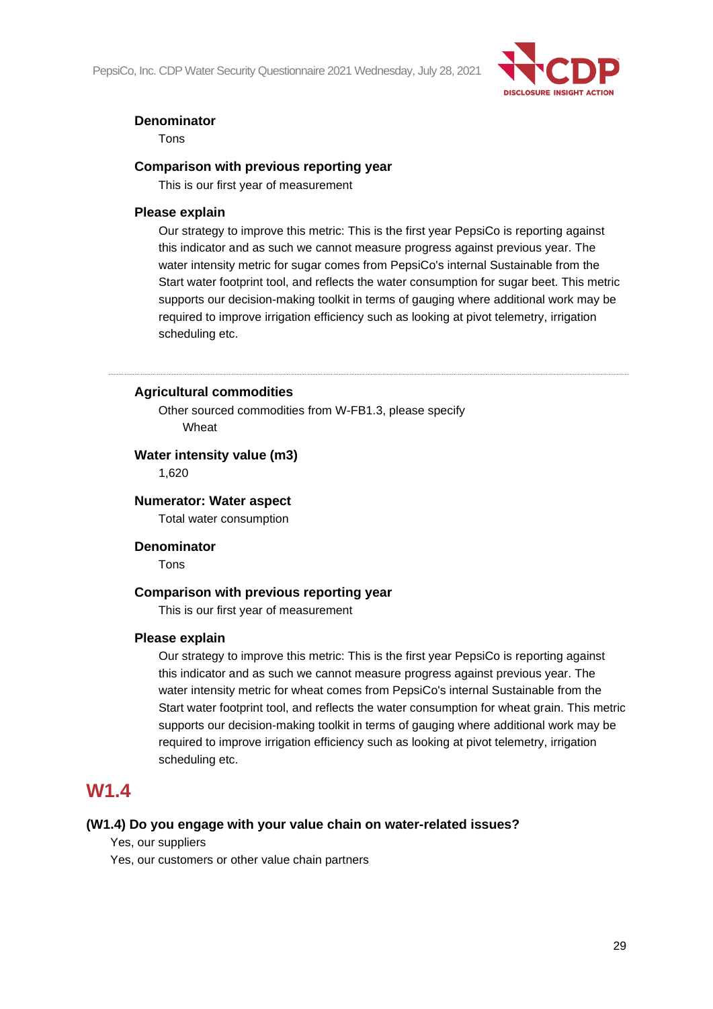PepsiCo, Inc. CDP Water Security Questionnaire 2021 Wednesday, July 28, 2021



#### **Denominator**

Tons

#### **Comparison with previous reporting year**

This is our first year of measurement

#### **Please explain**

Our strategy to improve this metric: This is the first year PepsiCo is reporting against this indicator and as such we cannot measure progress against previous year. The water intensity metric for sugar comes from PepsiCo's internal Sustainable from the Start water footprint tool, and reflects the water consumption for sugar beet. This metric supports our decision-making toolkit in terms of gauging where additional work may be required to improve irrigation efficiency such as looking at pivot telemetry, irrigation scheduling etc.

**Agricultural commodities**

Other sourced commodities from W-FB1.3, please specify Wheat

#### **Water intensity value (m3)**

1,620

#### **Numerator: Water aspect**

Total water consumption

#### **Denominator**

Tons

#### **Comparison with previous reporting year**

This is our first year of measurement

#### **Please explain**

Our strategy to improve this metric: This is the first year PepsiCo is reporting against this indicator and as such we cannot measure progress against previous year. The water intensity metric for wheat comes from PepsiCo's internal Sustainable from the Start water footprint tool, and reflects the water consumption for wheat grain. This metric supports our decision-making toolkit in terms of gauging where additional work may be required to improve irrigation efficiency such as looking at pivot telemetry, irrigation scheduling etc.

## **W1.4**

#### **(W1.4) Do you engage with your value chain on water-related issues?**

Yes, our suppliers

Yes, our customers or other value chain partners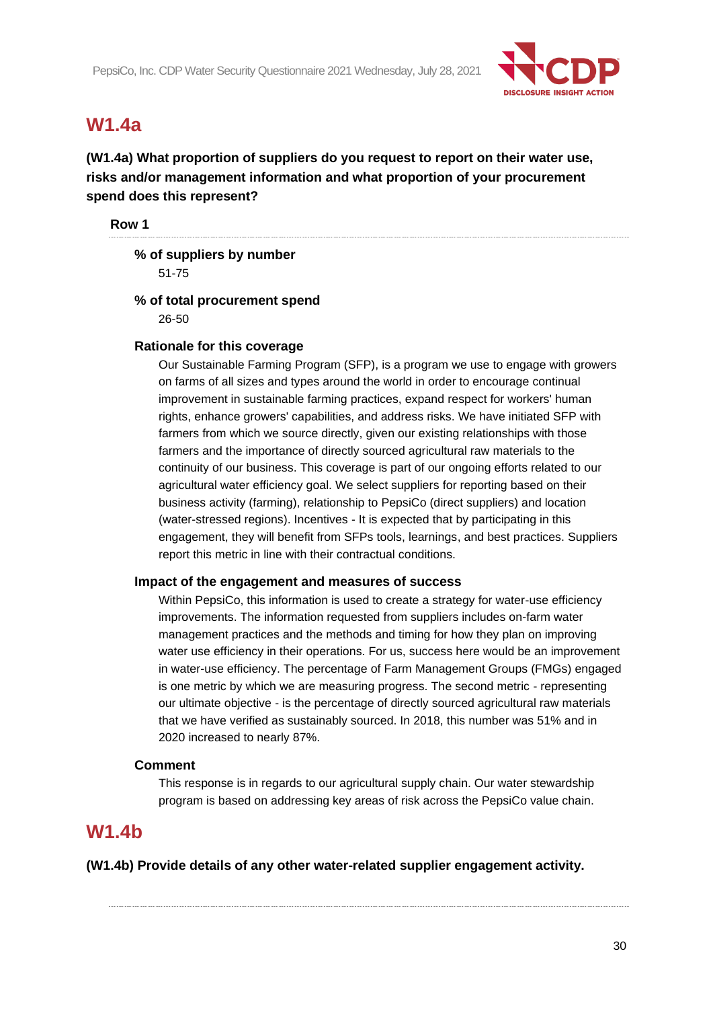

# **W1.4a**

**(W1.4a) What proportion of suppliers do you request to report on their water use, risks and/or management information and what proportion of your procurement spend does this represent?**

**Row 1**

# **% of suppliers by number**

51-75

#### **% of total procurement spend** 26-50

#### **Rationale for this coverage**

Our Sustainable Farming Program (SFP), is a program we use to engage with growers on farms of all sizes and types around the world in order to encourage continual improvement in sustainable farming practices, expand respect for workers' human rights, enhance growers' capabilities, and address risks. We have initiated SFP with farmers from which we source directly, given our existing relationships with those farmers and the importance of directly sourced agricultural raw materials to the continuity of our business. This coverage is part of our ongoing efforts related to our agricultural water efficiency goal. We select suppliers for reporting based on their business activity (farming), relationship to PepsiCo (direct suppliers) and location (water-stressed regions). Incentives - It is expected that by participating in this engagement, they will benefit from SFPs tools, learnings, and best practices. Suppliers report this metric in line with their contractual conditions.

#### **Impact of the engagement and measures of success**

Within PepsiCo, this information is used to create a strategy for water-use efficiency improvements. The information requested from suppliers includes on-farm water management practices and the methods and timing for how they plan on improving water use efficiency in their operations. For us, success here would be an improvement in water-use efficiency. The percentage of Farm Management Groups (FMGs) engaged is one metric by which we are measuring progress. The second metric - representing our ultimate objective - is the percentage of directly sourced agricultural raw materials that we have verified as sustainably sourced. In 2018, this number was 51% and in 2020 increased to nearly 87%.

### **Comment**

This response is in regards to our agricultural supply chain. Our water stewardship program is based on addressing key areas of risk across the PepsiCo value chain.

## **W1.4b**

**(W1.4b) Provide details of any other water-related supplier engagement activity.**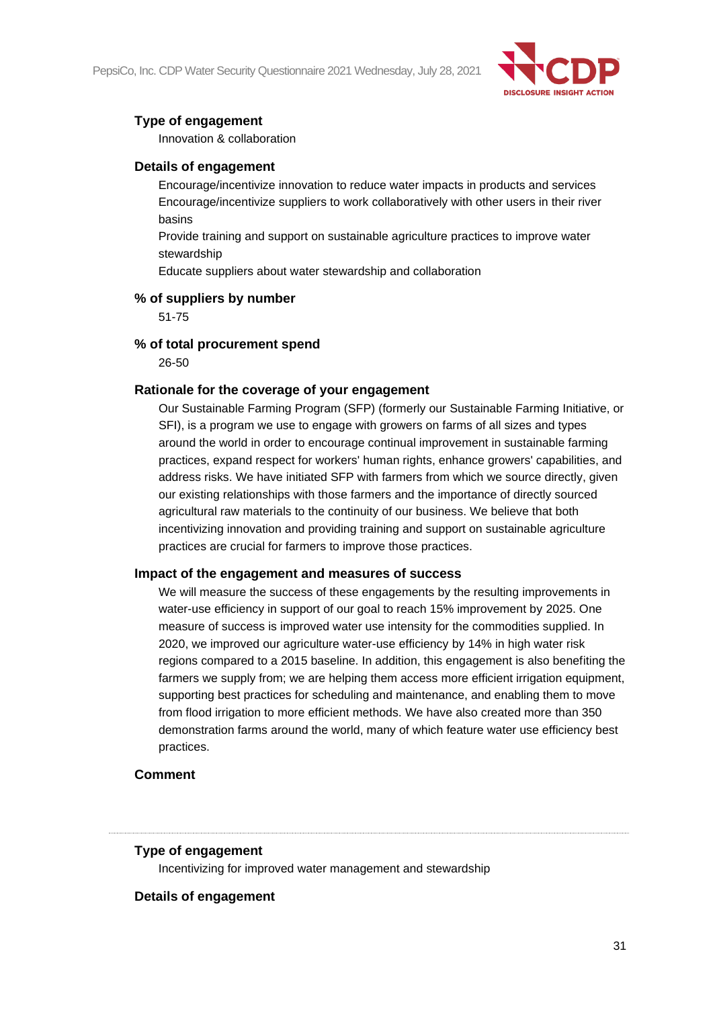PepsiCo, Inc. CDP Water Security Questionnaire 2021 Wednesday, July 28, 2021



### **Type of engagement**

Innovation & collaboration

#### **Details of engagement**

Encourage/incentivize innovation to reduce water impacts in products and services Encourage/incentivize suppliers to work collaboratively with other users in their river basins

Provide training and support on sustainable agriculture practices to improve water stewardship

Educate suppliers about water stewardship and collaboration

#### **% of suppliers by number**

51-75

#### **% of total procurement spend**

26-50

#### **Rationale for the coverage of your engagement**

Our Sustainable Farming Program (SFP) (formerly our Sustainable Farming Initiative, or SFI), is a program we use to engage with growers on farms of all sizes and types around the world in order to encourage continual improvement in sustainable farming practices, expand respect for workers' human rights, enhance growers' capabilities, and address risks. We have initiated SFP with farmers from which we source directly, given our existing relationships with those farmers and the importance of directly sourced agricultural raw materials to the continuity of our business. We believe that both incentivizing innovation and providing training and support on sustainable agriculture practices are crucial for farmers to improve those practices.

#### **Impact of the engagement and measures of success**

We will measure the success of these engagements by the resulting improvements in water-use efficiency in support of our goal to reach 15% improvement by 2025. One measure of success is improved water use intensity for the commodities supplied. In 2020, we improved our agriculture water-use efficiency by 14% in high water risk regions compared to a 2015 baseline. In addition, this engagement is also benefiting the farmers we supply from; we are helping them access more efficient irrigation equipment. supporting best practices for scheduling and maintenance, and enabling them to move from flood irrigation to more efficient methods. We have also created more than 350 demonstration farms around the world, many of which feature water use efficiency best practices.

#### **Comment**

#### **Type of engagement**

Incentivizing for improved water management and stewardship

#### **Details of engagement**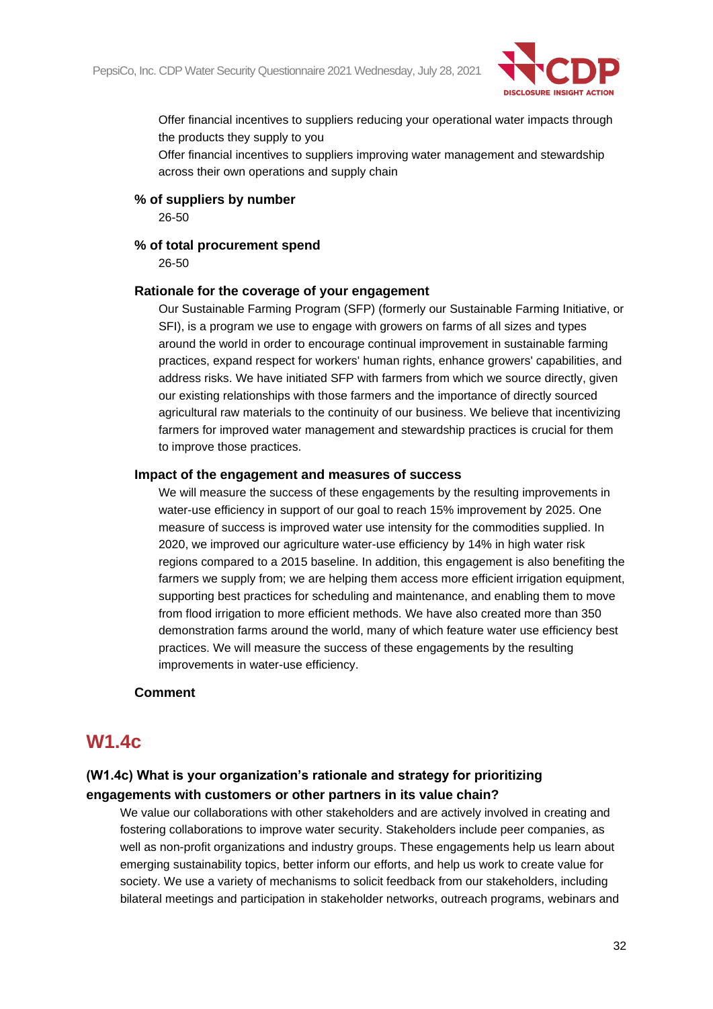

Offer financial incentives to suppliers reducing your operational water impacts through the products they supply to you

Offer financial incentives to suppliers improving water management and stewardship across their own operations and supply chain

#### **% of suppliers by number**

26-50

#### **% of total procurement spend**

26-50

#### **Rationale for the coverage of your engagement**

Our Sustainable Farming Program (SFP) (formerly our Sustainable Farming Initiative, or SFI), is a program we use to engage with growers on farms of all sizes and types around the world in order to encourage continual improvement in sustainable farming practices, expand respect for workers' human rights, enhance growers' capabilities, and address risks. We have initiated SFP with farmers from which we source directly, given our existing relationships with those farmers and the importance of directly sourced agricultural raw materials to the continuity of our business. We believe that incentivizing farmers for improved water management and stewardship practices is crucial for them to improve those practices.

#### **Impact of the engagement and measures of success**

We will measure the success of these engagements by the resulting improvements in water-use efficiency in support of our goal to reach 15% improvement by 2025. One measure of success is improved water use intensity for the commodities supplied. In 2020, we improved our agriculture water-use efficiency by 14% in high water risk regions compared to a 2015 baseline. In addition, this engagement is also benefiting the farmers we supply from; we are helping them access more efficient irrigation equipment, supporting best practices for scheduling and maintenance, and enabling them to move from flood irrigation to more efficient methods. We have also created more than 350 demonstration farms around the world, many of which feature water use efficiency best practices. We will measure the success of these engagements by the resulting improvements in water-use efficiency.

#### **Comment**

## **W1.4c**

### **(W1.4c) What is your organization's rationale and strategy for prioritizing engagements with customers or other partners in its value chain?**

We value our collaborations with other stakeholders and are actively involved in creating and fostering collaborations to improve water security. Stakeholders include peer companies, as well as non-profit organizations and industry groups. These engagements help us learn about emerging sustainability topics, better inform our efforts, and help us work to create value for society. We use a variety of mechanisms to solicit feedback from our stakeholders, including bilateral meetings and participation in stakeholder networks, outreach programs, webinars and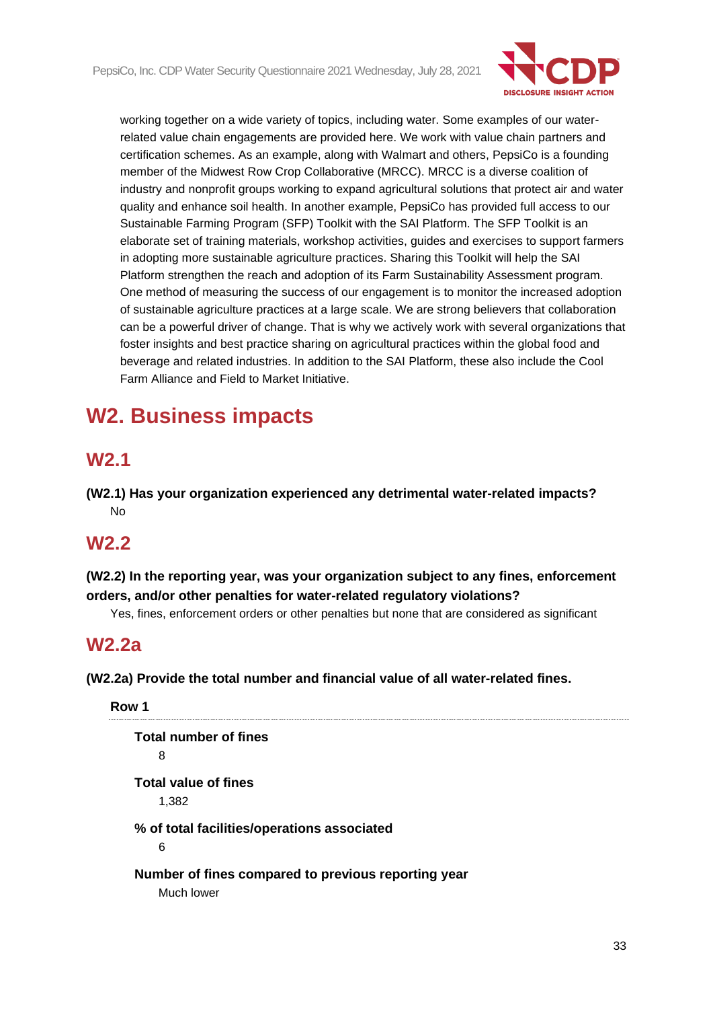

working together on a wide variety of topics, including water. Some examples of our waterrelated value chain engagements are provided here. We work with value chain partners and certification schemes. As an example, along with Walmart and others, PepsiCo is a founding member of the Midwest Row Crop Collaborative (MRCC). MRCC is a diverse coalition of industry and nonprofit groups working to expand agricultural solutions that protect air and water quality and enhance soil health. In another example, PepsiCo has provided full access to our Sustainable Farming Program (SFP) Toolkit with the SAI Platform. The SFP Toolkit is an elaborate set of training materials, workshop activities, guides and exercises to support farmers in adopting more sustainable agriculture practices. Sharing this Toolkit will help the SAI Platform strengthen the reach and adoption of its Farm Sustainability Assessment program. One method of measuring the success of our engagement is to monitor the increased adoption of sustainable agriculture practices at a large scale. We are strong believers that collaboration can be a powerful driver of change. That is why we actively work with several organizations that foster insights and best practice sharing on agricultural practices within the global food and beverage and related industries. In addition to the SAI Platform, these also include the Cool Farm Alliance and Field to Market Initiative.

# **W2. Business impacts**

# **W2.1**

**(W2.1) Has your organization experienced any detrimental water-related impacts?** No

# **W2.2**

**(W2.2) In the reporting year, was your organization subject to any fines, enforcement orders, and/or other penalties for water-related regulatory violations?**

Yes, fines, enforcement orders or other penalties but none that are considered as significant

## **W2.2a**

**(W2.2a) Provide the total number and financial value of all water-related fines.**

**Row 1 Total number of fines** 8 **Total value of fines** 1,382 **% of total facilities/operations associated** 6 **Number of fines compared to previous reporting year** Much lower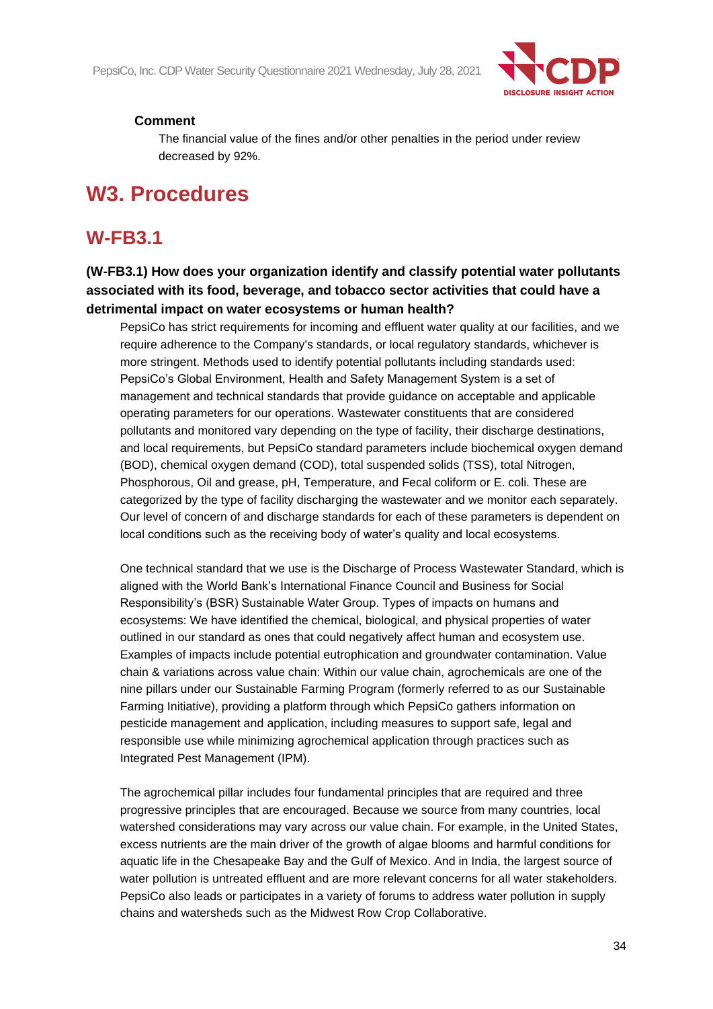

#### **Comment**

The financial value of the fines and/or other penalties in the period under review decreased by 92%.

# **W3. Procedures**

## **W-FB3.1**

### **(W-FB3.1) How does your organization identify and classify potential water pollutants associated with its food, beverage, and tobacco sector activities that could have a detrimental impact on water ecosystems or human health?**

PepsiCo has strict requirements for incoming and effluent water quality at our facilities, and we require adherence to the Company's standards, or local regulatory standards, whichever is more stringent. Methods used to identify potential pollutants including standards used: PepsiCo's Global Environment, Health and Safety Management System is a set of management and technical standards that provide guidance on acceptable and applicable operating parameters for our operations. Wastewater constituents that are considered pollutants and monitored vary depending on the type of facility, their discharge destinations, and local requirements, but PepsiCo standard parameters include biochemical oxygen demand (BOD), chemical oxygen demand (COD), total suspended solids (TSS), total Nitrogen, Phosphorous, Oil and grease, pH, Temperature, and Fecal coliform or E. coli. These are categorized by the type of facility discharging the wastewater and we monitor each separately. Our level of concern of and discharge standards for each of these parameters is dependent on local conditions such as the receiving body of water's quality and local ecosystems.

One technical standard that we use is the Discharge of Process Wastewater Standard, which is aligned with the World Bank's International Finance Council and Business for Social Responsibility's (BSR) Sustainable Water Group. Types of impacts on humans and ecosystems: We have identified the chemical, biological, and physical properties of water outlined in our standard as ones that could negatively affect human and ecosystem use. Examples of impacts include potential eutrophication and groundwater contamination. Value chain & variations across value chain: Within our value chain, agrochemicals are one of the nine pillars under our Sustainable Farming Program (formerly referred to as our Sustainable Farming Initiative), providing a platform through which PepsiCo gathers information on pesticide management and application, including measures to support safe, legal and responsible use while minimizing agrochemical application through practices such as Integrated Pest Management (IPM).

The agrochemical pillar includes four fundamental principles that are required and three progressive principles that are encouraged. Because we source from many countries, local watershed considerations may vary across our value chain. For example, in the United States, excess nutrients are the main driver of the growth of algae blooms and harmful conditions for aquatic life in the Chesapeake Bay and the Gulf of Mexico. And in India, the largest source of water pollution is untreated effluent and are more relevant concerns for all water stakeholders. PepsiCo also leads or participates in a variety of forums to address water pollution in supply chains and watersheds such as the Midwest Row Crop Collaborative.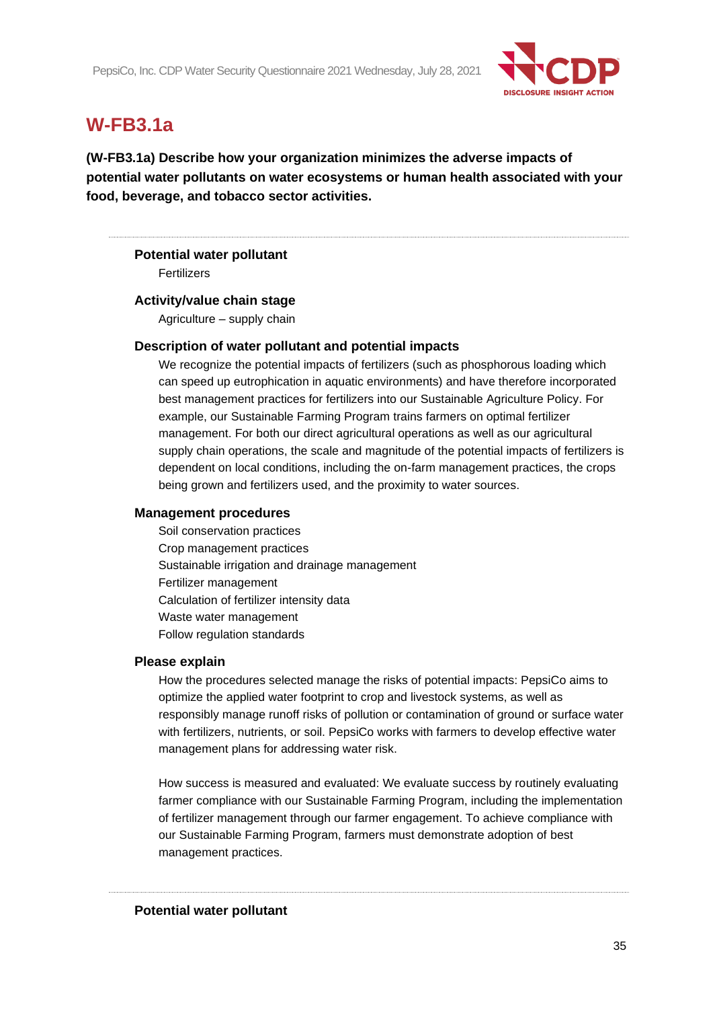

# **W-FB3.1a**

**(W-FB3.1a) Describe how your organization minimizes the adverse impacts of potential water pollutants on water ecosystems or human health associated with your food, beverage, and tobacco sector activities.**

#### **Potential water pollutant**

Fertilizers

#### **Activity/value chain stage**

Agriculture – supply chain

#### **Description of water pollutant and potential impacts**

We recognize the potential impacts of fertilizers (such as phosphorous loading which can speed up eutrophication in aquatic environments) and have therefore incorporated best management practices for fertilizers into our Sustainable Agriculture Policy. For example, our Sustainable Farming Program trains farmers on optimal fertilizer management. For both our direct agricultural operations as well as our agricultural supply chain operations, the scale and magnitude of the potential impacts of fertilizers is dependent on local conditions, including the on-farm management practices, the crops being grown and fertilizers used, and the proximity to water sources.

#### **Management procedures**

Soil conservation practices Crop management practices Sustainable irrigation and drainage management Fertilizer management Calculation of fertilizer intensity data Waste water management Follow regulation standards

#### **Please explain**

How the procedures selected manage the risks of potential impacts: PepsiCo aims to optimize the applied water footprint to crop and livestock systems, as well as responsibly manage runoff risks of pollution or contamination of ground or surface water with fertilizers, nutrients, or soil. PepsiCo works with farmers to develop effective water management plans for addressing water risk.

How success is measured and evaluated: We evaluate success by routinely evaluating farmer compliance with our Sustainable Farming Program, including the implementation of fertilizer management through our farmer engagement. To achieve compliance with our Sustainable Farming Program, farmers must demonstrate adoption of best management practices.

#### **Potential water pollutant**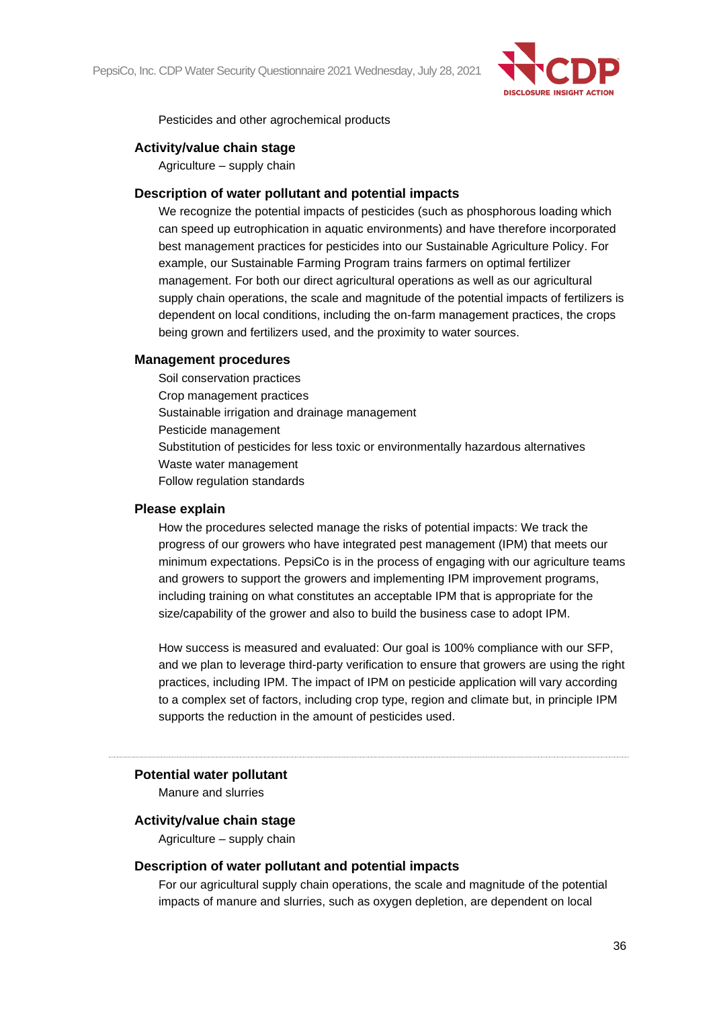

Pesticides and other agrochemical products

#### **Activity/value chain stage**

Agriculture – supply chain

#### **Description of water pollutant and potential impacts**

We recognize the potential impacts of pesticides (such as phosphorous loading which can speed up eutrophication in aquatic environments) and have therefore incorporated best management practices for pesticides into our Sustainable Agriculture Policy. For example, our Sustainable Farming Program trains farmers on optimal fertilizer management. For both our direct agricultural operations as well as our agricultural supply chain operations, the scale and magnitude of the potential impacts of fertilizers is dependent on local conditions, including the on-farm management practices, the crops being grown and fertilizers used, and the proximity to water sources.

#### **Management procedures**

Soil conservation practices Crop management practices Sustainable irrigation and drainage management Pesticide management Substitution of pesticides for less toxic or environmentally hazardous alternatives Waste water management Follow regulation standards

#### **Please explain**

How the procedures selected manage the risks of potential impacts: We track the progress of our growers who have integrated pest management (IPM) that meets our minimum expectations. PepsiCo is in the process of engaging with our agriculture teams and growers to support the growers and implementing IPM improvement programs, including training on what constitutes an acceptable IPM that is appropriate for the size/capability of the grower and also to build the business case to adopt IPM.

How success is measured and evaluated: Our goal is 100% compliance with our SFP, and we plan to leverage third-party verification to ensure that growers are using the right practices, including IPM. The impact of IPM on pesticide application will vary according to a complex set of factors, including crop type, region and climate but, in principle IPM supports the reduction in the amount of pesticides used.

#### **Potential water pollutant**

Manure and slurries

#### **Activity/value chain stage**

Agriculture – supply chain

#### **Description of water pollutant and potential impacts**

For our agricultural supply chain operations, the scale and magnitude of the potential impacts of manure and slurries, such as oxygen depletion, are dependent on local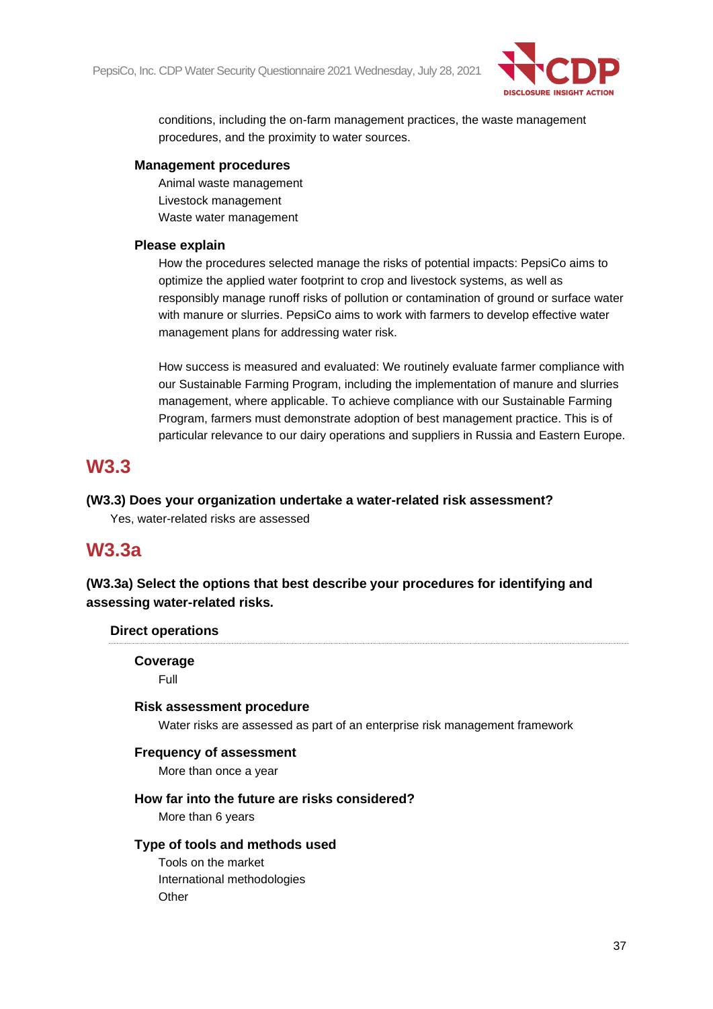

conditions, including the on-farm management practices, the waste management procedures, and the proximity to water sources.

#### **Management procedures**

Animal waste management Livestock management Waste water management

# **Please explain**

How the procedures selected manage the risks of potential impacts: PepsiCo aims to optimize the applied water footprint to crop and livestock systems, as well as responsibly manage runoff risks of pollution or contamination of ground or surface water with manure or slurries. PepsiCo aims to work with farmers to develop effective water management plans for addressing water risk.

How success is measured and evaluated: We routinely evaluate farmer compliance with our Sustainable Farming Program, including the implementation of manure and slurries management, where applicable. To achieve compliance with our Sustainable Farming Program, farmers must demonstrate adoption of best management practice. This is of particular relevance to our dairy operations and suppliers in Russia and Eastern Europe.

# **W3.3**

# **(W3.3) Does your organization undertake a water-related risk assessment?**

Yes, water-related risks are assessed

# **W3.3a**

**(W3.3a) Select the options that best describe your procedures for identifying and assessing water-related risks.**

#### **Direct operations**

# **Coverage**

Full

# **Risk assessment procedure**

Water risks are assessed as part of an enterprise risk management framework

# **Frequency of assessment**

More than once a year

# **How far into the future are risks considered?**

More than 6 years

# **Type of tools and methods used**

Tools on the market International methodologies **Other**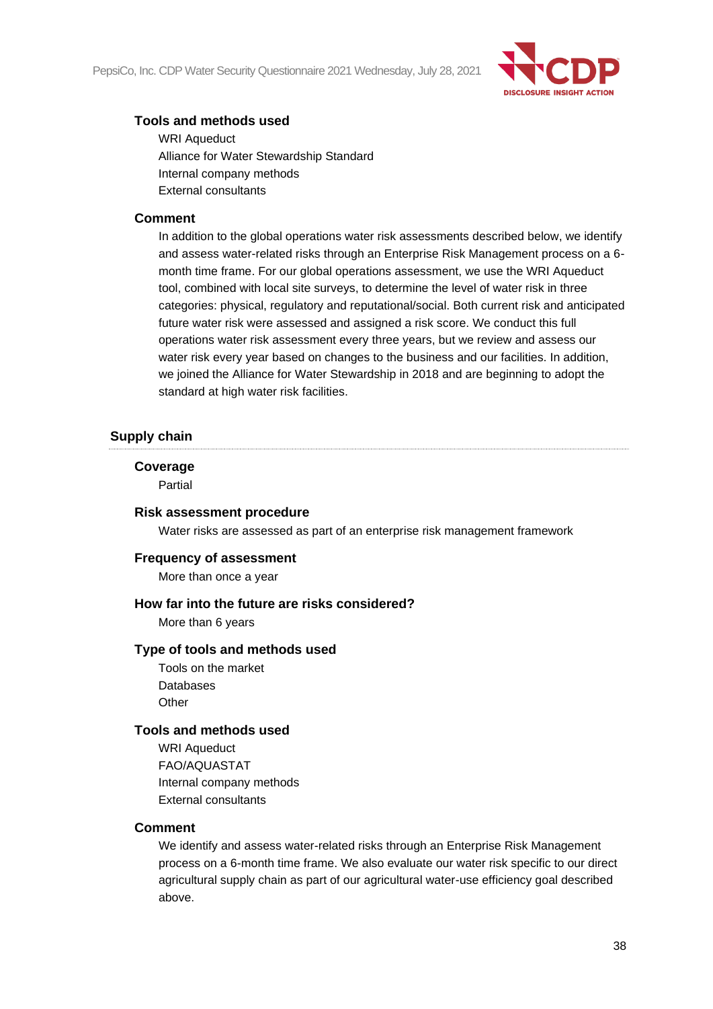

# **Tools and methods used**

WRI Aqueduct Alliance for Water Stewardship Standard Internal company methods External consultants

#### **Comment**

In addition to the global operations water risk assessments described below, we identify and assess water-related risks through an Enterprise Risk Management process on a 6 month time frame. For our global operations assessment, we use the WRI Aqueduct tool, combined with local site surveys, to determine the level of water risk in three categories: physical, regulatory and reputational/social. Both current risk and anticipated future water risk were assessed and assigned a risk score. We conduct this full operations water risk assessment every three years, but we review and assess our water risk every year based on changes to the business and our facilities. In addition, we joined the Alliance for Water Stewardship in 2018 and are beginning to adopt the standard at high water risk facilities.

# **Supply chain**

#### **Coverage**

Partial

#### **Risk assessment procedure**

Water risks are assessed as part of an enterprise risk management framework

#### **Frequency of assessment**

More than once a year

#### **How far into the future are risks considered?**

More than 6 years

#### **Type of tools and methods used**

Tools on the market Databases **Other** 

#### **Tools and methods used**

WRI Aqueduct FAO/AQUASTAT Internal company methods External consultants

#### **Comment**

We identify and assess water-related risks through an Enterprise Risk Management process on a 6-month time frame. We also evaluate our water risk specific to our direct agricultural supply chain as part of our agricultural water-use efficiency goal described above.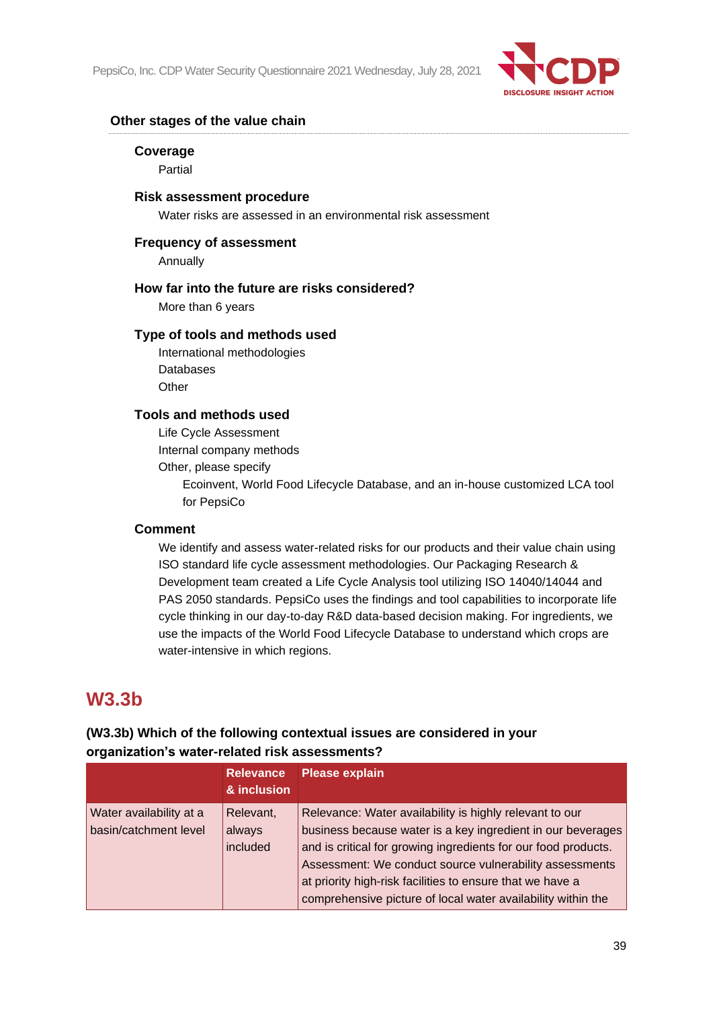

### **Other stages of the value chain**

#### **Coverage**

Partial

#### **Risk assessment procedure**

Water risks are assessed in an environmental risk assessment

#### **Frequency of assessment**

Annually

#### **How far into the future are risks considered?**

More than 6 years

# **Type of tools and methods used**

International methodologies Databases **Other** 

#### **Tools and methods used**

Life Cycle Assessment

Internal company methods

Other, please specify

Ecoinvent, World Food Lifecycle Database, and an in-house customized LCA tool for PepsiCo

#### **Comment**

We identify and assess water-related risks for our products and their value chain using ISO standard life cycle assessment methodologies. Our Packaging Research & Development team created a Life Cycle Analysis tool utilizing ISO 14040/14044 and PAS 2050 standards. PepsiCo uses the findings and tool capabilities to incorporate life cycle thinking in our day-to-day R&D data-based decision making. For ingredients, we use the impacts of the World Food Lifecycle Database to understand which crops are water-intensive in which regions.

# **W3.3b**

# **(W3.3b) Which of the following contextual issues are considered in your organization's water-related risk assessments?**

|                                                  | <b>Relevance</b><br>& inclusion | <b>Please explain</b>                                                                                                                                                                                                                                                                                                                                                            |
|--------------------------------------------------|---------------------------------|----------------------------------------------------------------------------------------------------------------------------------------------------------------------------------------------------------------------------------------------------------------------------------------------------------------------------------------------------------------------------------|
| Water availability at a<br>basin/catchment level | Relevant,<br>always<br>included | Relevance: Water availability is highly relevant to our<br>business because water is a key ingredient in our beverages<br>and is critical for growing ingredients for our food products.<br>Assessment: We conduct source vulnerability assessments<br>at priority high-risk facilities to ensure that we have a<br>comprehensive picture of local water availability within the |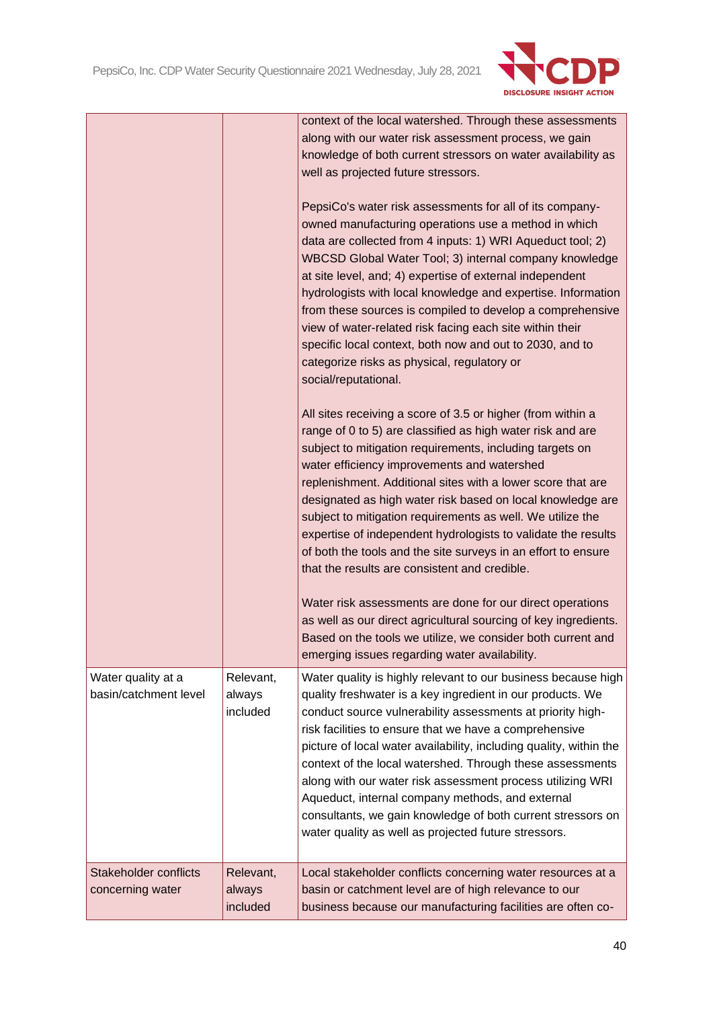

|                                             |                                 | context of the local watershed. Through these assessments<br>along with our water risk assessment process, we gain<br>knowledge of both current stressors on water availability as<br>well as projected future stressors.<br>PepsiCo's water risk assessments for all of its company-<br>owned manufacturing operations use a method in which<br>data are collected from 4 inputs: 1) WRI Aqueduct tool; 2)<br>WBCSD Global Water Tool; 3) internal company knowledge<br>at site level, and; 4) expertise of external independent<br>hydrologists with local knowledge and expertise. Information<br>from these sources is compiled to develop a comprehensive<br>view of water-related risk facing each site within their<br>specific local context, both now and out to 2030, and to<br>categorize risks as physical, regulatory or<br>social/reputational.<br>All sites receiving a score of 3.5 or higher (from within a<br>range of 0 to 5) are classified as high water risk and are<br>subject to mitigation requirements, including targets on<br>water efficiency improvements and watershed<br>replenishment. Additional sites with a lower score that are<br>designated as high water risk based on local knowledge are<br>subject to mitigation requirements as well. We utilize the<br>expertise of independent hydrologists to validate the results<br>of both the tools and the site surveys in an effort to ensure<br>that the results are consistent and credible. |
|---------------------------------------------|---------------------------------|-------------------------------------------------------------------------------------------------------------------------------------------------------------------------------------------------------------------------------------------------------------------------------------------------------------------------------------------------------------------------------------------------------------------------------------------------------------------------------------------------------------------------------------------------------------------------------------------------------------------------------------------------------------------------------------------------------------------------------------------------------------------------------------------------------------------------------------------------------------------------------------------------------------------------------------------------------------------------------------------------------------------------------------------------------------------------------------------------------------------------------------------------------------------------------------------------------------------------------------------------------------------------------------------------------------------------------------------------------------------------------------------------------------------------------------------------------------------------------------|
|                                             |                                 | Water risk assessments are done for our direct operations<br>as well as our direct agricultural sourcing of key ingredients.<br>Based on the tools we utilize, we consider both current and<br>emerging issues regarding water availability.                                                                                                                                                                                                                                                                                                                                                                                                                                                                                                                                                                                                                                                                                                                                                                                                                                                                                                                                                                                                                                                                                                                                                                                                                                        |
| Water quality at a<br>basin/catchment level | Relevant,<br>always<br>included | Water quality is highly relevant to our business because high<br>quality freshwater is a key ingredient in our products. We<br>conduct source vulnerability assessments at priority high-<br>risk facilities to ensure that we have a comprehensive<br>picture of local water availability, including quality, within the<br>context of the local watershed. Through these assessments<br>along with our water risk assessment process utilizing WRI<br>Aqueduct, internal company methods, and external<br>consultants, we gain knowledge of both current stressors on<br>water quality as well as projected future stressors.                                                                                                                                                                                                                                                                                                                                                                                                                                                                                                                                                                                                                                                                                                                                                                                                                                                     |
| Stakeholder conflicts<br>concerning water   | Relevant,<br>always<br>included | Local stakeholder conflicts concerning water resources at a<br>basin or catchment level are of high relevance to our<br>business because our manufacturing facilities are often co-                                                                                                                                                                                                                                                                                                                                                                                                                                                                                                                                                                                                                                                                                                                                                                                                                                                                                                                                                                                                                                                                                                                                                                                                                                                                                                 |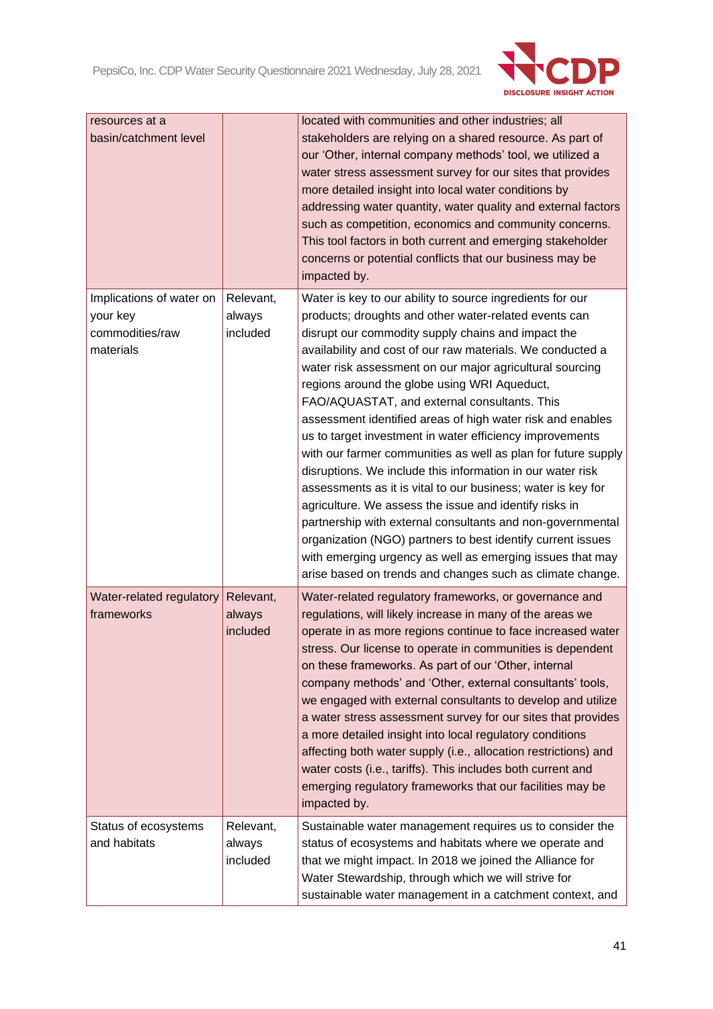

| resources at a<br>basin/catchment level                              |                                 | located with communities and other industries; all<br>stakeholders are relying on a shared resource. As part of<br>our 'Other, internal company methods' tool, we utilized a<br>water stress assessment survey for our sites that provides<br>more detailed insight into local water conditions by<br>addressing water quantity, water quality and external factors<br>such as competition, economics and community concerns.<br>This tool factors in both current and emerging stakeholder<br>concerns or potential conflicts that our business may be<br>impacted by.                                                                                                                                                                                                                                                                                                                                                                                                                                                                      |
|----------------------------------------------------------------------|---------------------------------|----------------------------------------------------------------------------------------------------------------------------------------------------------------------------------------------------------------------------------------------------------------------------------------------------------------------------------------------------------------------------------------------------------------------------------------------------------------------------------------------------------------------------------------------------------------------------------------------------------------------------------------------------------------------------------------------------------------------------------------------------------------------------------------------------------------------------------------------------------------------------------------------------------------------------------------------------------------------------------------------------------------------------------------------|
| Implications of water on<br>your key<br>commodities/raw<br>materials | Relevant,<br>always<br>included | Water is key to our ability to source ingredients for our<br>products; droughts and other water-related events can<br>disrupt our commodity supply chains and impact the<br>availability and cost of our raw materials. We conducted a<br>water risk assessment on our major agricultural sourcing<br>regions around the globe using WRI Aqueduct,<br>FAO/AQUASTAT, and external consultants. This<br>assessment identified areas of high water risk and enables<br>us to target investment in water efficiency improvements<br>with our farmer communities as well as plan for future supply<br>disruptions. We include this information in our water risk<br>assessments as it is vital to our business; water is key for<br>agriculture. We assess the issue and identify risks in<br>partnership with external consultants and non-governmental<br>organization (NGO) partners to best identify current issues<br>with emerging urgency as well as emerging issues that may<br>arise based on trends and changes such as climate change. |
| Water-related regulatory<br>frameworks                               | Relevant,<br>always<br>included | Water-related regulatory frameworks, or governance and<br>regulations, will likely increase in many of the areas we<br>operate in as more regions continue to face increased water<br>stress. Our license to operate in communities is dependent<br>on these frameworks. As part of our 'Other, internal<br>company methods' and 'Other, external consultants' tools,<br>we engaged with external consultants to develop and utilize<br>a water stress assessment survey for our sites that provides<br>a more detailed insight into local regulatory conditions<br>affecting both water supply (i.e., allocation restrictions) and<br>water costs (i.e., tariffs). This includes both current and<br>emerging regulatory frameworks that our facilities may be<br>impacted by.                                                                                                                                                                                                                                                              |
| Status of ecosystems<br>and habitats                                 | Relevant,<br>always<br>included | Sustainable water management requires us to consider the<br>status of ecosystems and habitats where we operate and<br>that we might impact. In 2018 we joined the Alliance for<br>Water Stewardship, through which we will strive for<br>sustainable water management in a catchment context, and                                                                                                                                                                                                                                                                                                                                                                                                                                                                                                                                                                                                                                                                                                                                            |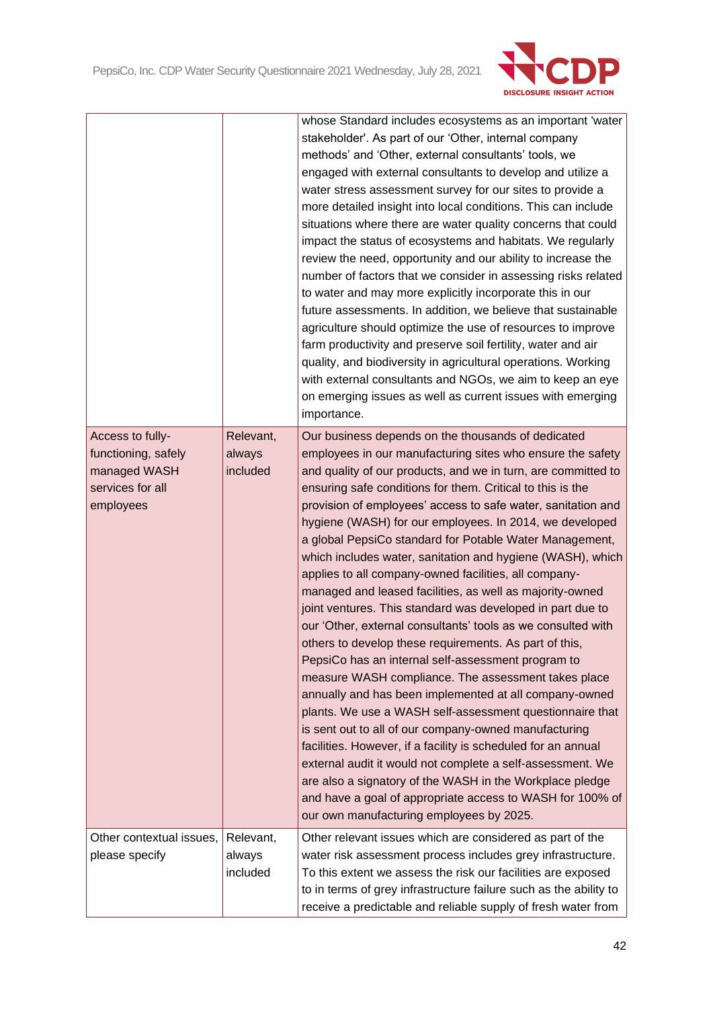

|                                                                                          |                                 | whose Standard includes ecosystems as an important 'water<br>stakeholder'. As part of our 'Other, internal company<br>methods' and 'Other, external consultants' tools, we<br>engaged with external consultants to develop and utilize a<br>water stress assessment survey for our sites to provide a<br>more detailed insight into local conditions. This can include<br>situations where there are water quality concerns that could<br>impact the status of ecosystems and habitats. We regularly<br>review the need, opportunity and our ability to increase the<br>number of factors that we consider in assessing risks related<br>to water and may more explicitly incorporate this in our<br>future assessments. In addition, we believe that sustainable<br>agriculture should optimize the use of resources to improve<br>farm productivity and preserve soil fertility, water and air<br>quality, and biodiversity in agricultural operations. Working<br>with external consultants and NGOs, we aim to keep an eye<br>on emerging issues as well as current issues with emerging<br>importance.                                                                                                                                                                                                                                                                                                      |
|------------------------------------------------------------------------------------------|---------------------------------|------------------------------------------------------------------------------------------------------------------------------------------------------------------------------------------------------------------------------------------------------------------------------------------------------------------------------------------------------------------------------------------------------------------------------------------------------------------------------------------------------------------------------------------------------------------------------------------------------------------------------------------------------------------------------------------------------------------------------------------------------------------------------------------------------------------------------------------------------------------------------------------------------------------------------------------------------------------------------------------------------------------------------------------------------------------------------------------------------------------------------------------------------------------------------------------------------------------------------------------------------------------------------------------------------------------------------------------------------------------------------------------------------------------|
| Access to fully-<br>functioning, safely<br>managed WASH<br>services for all<br>employees | Relevant,<br>always<br>included | Our business depends on the thousands of dedicated<br>employees in our manufacturing sites who ensure the safety<br>and quality of our products, and we in turn, are committed to<br>ensuring safe conditions for them. Critical to this is the<br>provision of employees' access to safe water, sanitation and<br>hygiene (WASH) for our employees. In 2014, we developed<br>a global PepsiCo standard for Potable Water Management,<br>which includes water, sanitation and hygiene (WASH), which<br>applies to all company-owned facilities, all company-<br>managed and leased facilities, as well as majority-owned<br>joint ventures. This standard was developed in part due to<br>our 'Other, external consultants' tools as we consulted with<br>others to develop these requirements. As part of this,<br>PepsiCo has an internal self-assessment program to<br>measure WASH compliance. The assessment takes place<br>annually and has been implemented at all company-owned<br>plants. We use a WASH self-assessment questionnaire that<br>is sent out to all of our company-owned manufacturing<br>facilities. However, if a facility is scheduled for an annual<br>external audit it would not complete a self-assessment. We<br>are also a signatory of the WASH in the Workplace pledge<br>and have a goal of appropriate access to WASH for 100% of<br>our own manufacturing employees by 2025. |
| Other contextual issues,<br>please specify                                               | Relevant,<br>always<br>included | Other relevant issues which are considered as part of the<br>water risk assessment process includes grey infrastructure.<br>To this extent we assess the risk our facilities are exposed<br>to in terms of grey infrastructure failure such as the ability to<br>receive a predictable and reliable supply of fresh water from                                                                                                                                                                                                                                                                                                                                                                                                                                                                                                                                                                                                                                                                                                                                                                                                                                                                                                                                                                                                                                                                                   |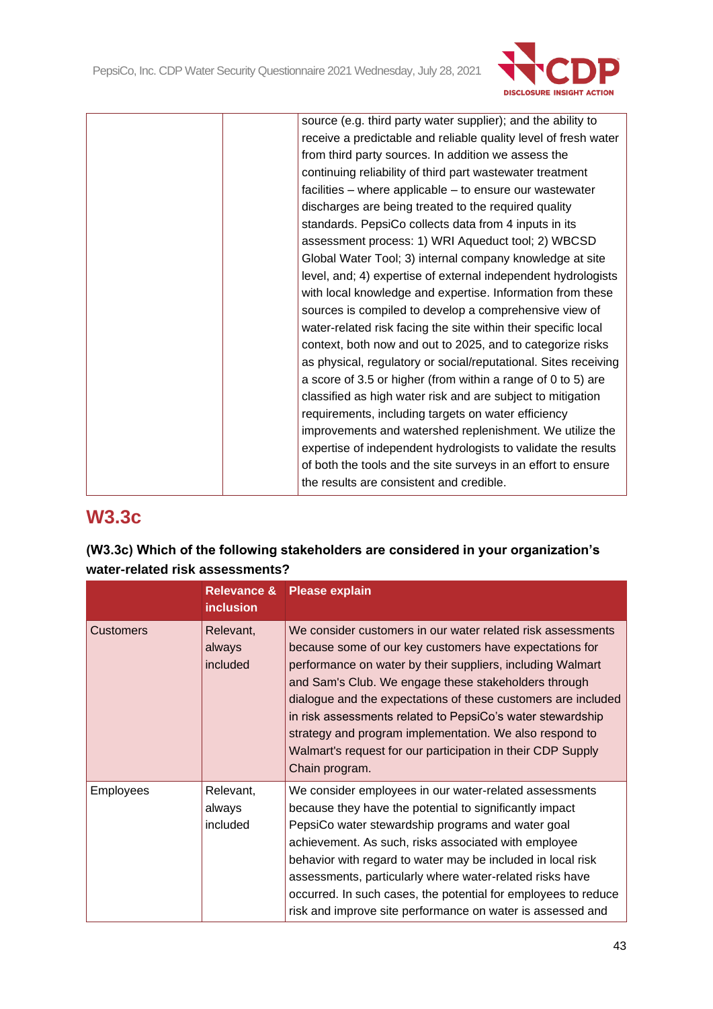

| source (e.g. third party water supplier); and the ability to    |
|-----------------------------------------------------------------|
| receive a predictable and reliable quality level of fresh water |
| from third party sources. In addition we assess the             |
| continuing reliability of third part wastewater treatment       |
| facilities – where applicable – to ensure our wastewater        |
| discharges are being treated to the required quality            |
| standards. PepsiCo collects data from 4 inputs in its           |
| assessment process: 1) WRI Aqueduct tool; 2) WBCSD              |
| Global Water Tool; 3) internal company knowledge at site        |
| level, and; 4) expertise of external independent hydrologists   |
| with local knowledge and expertise. Information from these      |
| sources is compiled to develop a comprehensive view of          |
| water-related risk facing the site within their specific local  |
| context, both now and out to 2025, and to categorize risks      |
| as physical, regulatory or social/reputational. Sites receiving |
| a score of 3.5 or higher (from within a range of 0 to 5) are    |
| classified as high water risk and are subject to mitigation     |
| requirements, including targets on water efficiency             |
| improvements and watershed replenishment. We utilize the        |
| expertise of independent hydrologists to validate the results   |
| of both the tools and the site surveys in an effort to ensure   |
| the results are consistent and credible.                        |

# **W3.3c**

| (W3.3c) Which of the following stakeholders are considered in your organization's |
|-----------------------------------------------------------------------------------|
| water-related risk assessments?                                                   |

|                  | <b>Relevance &amp;</b><br><b>inclusion</b> | <b>Please explain</b>                                                                                                                                                                                                                                                                                                                                                                                                                                                                                                   |
|------------------|--------------------------------------------|-------------------------------------------------------------------------------------------------------------------------------------------------------------------------------------------------------------------------------------------------------------------------------------------------------------------------------------------------------------------------------------------------------------------------------------------------------------------------------------------------------------------------|
| <b>Customers</b> | Relevant,<br>always<br>included            | We consider customers in our water related risk assessments<br>because some of our key customers have expectations for<br>performance on water by their suppliers, including Walmart<br>and Sam's Club. We engage these stakeholders through<br>dialogue and the expectations of these customers are included<br>in risk assessments related to PepsiCo's water stewardship<br>strategy and program implementation. We also respond to<br>Walmart's request for our participation in their CDP Supply<br>Chain program. |
| <b>Employees</b> | Relevant,<br>always<br>included            | We consider employees in our water-related assessments<br>because they have the potential to significantly impact<br>PepsiCo water stewardship programs and water goal<br>achievement. As such, risks associated with employee<br>behavior with regard to water may be included in local risk<br>assessments, particularly where water-related risks have<br>occurred. In such cases, the potential for employees to reduce<br>risk and improve site performance on water is assessed and                               |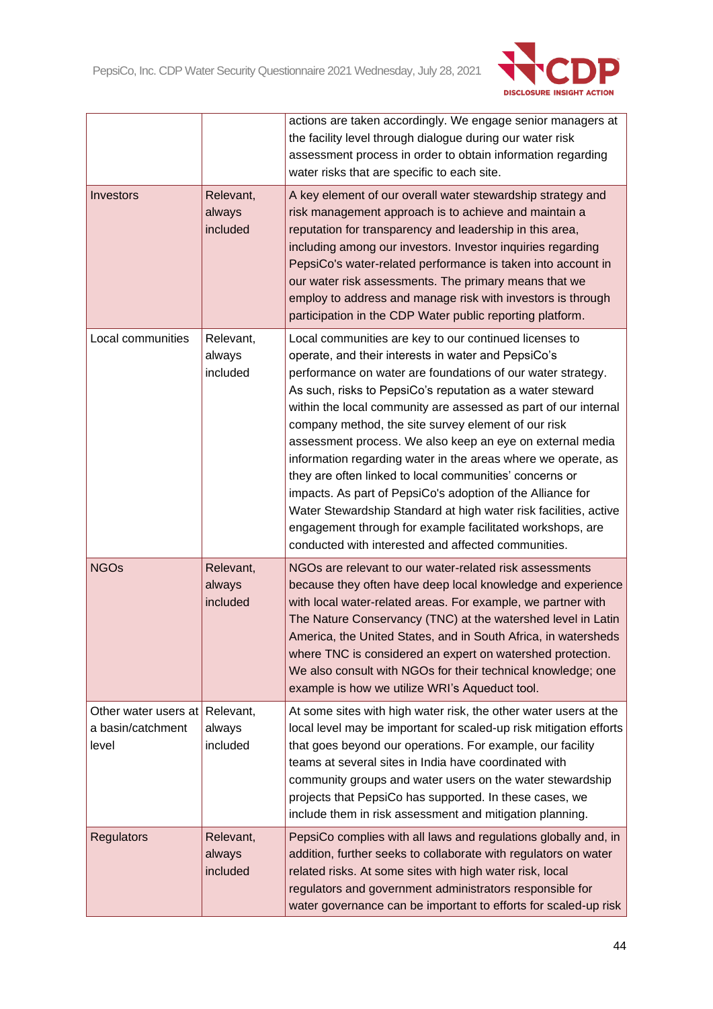

|                                                    |                                 | actions are taken accordingly. We engage senior managers at<br>the facility level through dialogue during our water risk<br>assessment process in order to obtain information regarding<br>water risks that are specific to each site.                                                                                                                                                                                                                                                                                                                                                                                                                                                                                                                                                                             |
|----------------------------------------------------|---------------------------------|--------------------------------------------------------------------------------------------------------------------------------------------------------------------------------------------------------------------------------------------------------------------------------------------------------------------------------------------------------------------------------------------------------------------------------------------------------------------------------------------------------------------------------------------------------------------------------------------------------------------------------------------------------------------------------------------------------------------------------------------------------------------------------------------------------------------|
| Investors                                          | Relevant,<br>always<br>included | A key element of our overall water stewardship strategy and<br>risk management approach is to achieve and maintain a<br>reputation for transparency and leadership in this area,<br>including among our investors. Investor inquiries regarding<br>PepsiCo's water-related performance is taken into account in<br>our water risk assessments. The primary means that we<br>employ to address and manage risk with investors is through<br>participation in the CDP Water public reporting platform.                                                                                                                                                                                                                                                                                                               |
| Local communities                                  | Relevant,<br>always<br>included | Local communities are key to our continued licenses to<br>operate, and their interests in water and PepsiCo's<br>performance on water are foundations of our water strategy.<br>As such, risks to PepsiCo's reputation as a water steward<br>within the local community are assessed as part of our internal<br>company method, the site survey element of our risk<br>assessment process. We also keep an eye on external media<br>information regarding water in the areas where we operate, as<br>they are often linked to local communities' concerns or<br>impacts. As part of PepsiCo's adoption of the Alliance for<br>Water Stewardship Standard at high water risk facilities, active<br>engagement through for example facilitated workshops, are<br>conducted with interested and affected communities. |
| <b>NGOs</b>                                        | Relevant,<br>always<br>included | NGOs are relevant to our water-related risk assessments<br>because they often have deep local knowledge and experience<br>with local water-related areas. For example, we partner with<br>The Nature Conservancy (TNC) at the watershed level in Latin<br>America, the United States, and in South Africa, in watersheds<br>where TNC is considered an expert on watershed protection.<br>We also consult with NGOs for their technical knowledge; one<br>example is how we utilize WRI's Aqueduct tool.                                                                                                                                                                                                                                                                                                           |
| Other water users at<br>a basin/catchment<br>level | Relevant,<br>always<br>included | At some sites with high water risk, the other water users at the<br>local level may be important for scaled-up risk mitigation efforts<br>that goes beyond our operations. For example, our facility<br>teams at several sites in India have coordinated with<br>community groups and water users on the water stewardship<br>projects that PepsiCo has supported. In these cases, we<br>include them in risk assessment and mitigation planning.                                                                                                                                                                                                                                                                                                                                                                  |
| <b>Regulators</b>                                  | Relevant,<br>always<br>included | PepsiCo complies with all laws and regulations globally and, in<br>addition, further seeks to collaborate with regulators on water<br>related risks. At some sites with high water risk, local<br>regulators and government administrators responsible for<br>water governance can be important to efforts for scaled-up risk                                                                                                                                                                                                                                                                                                                                                                                                                                                                                      |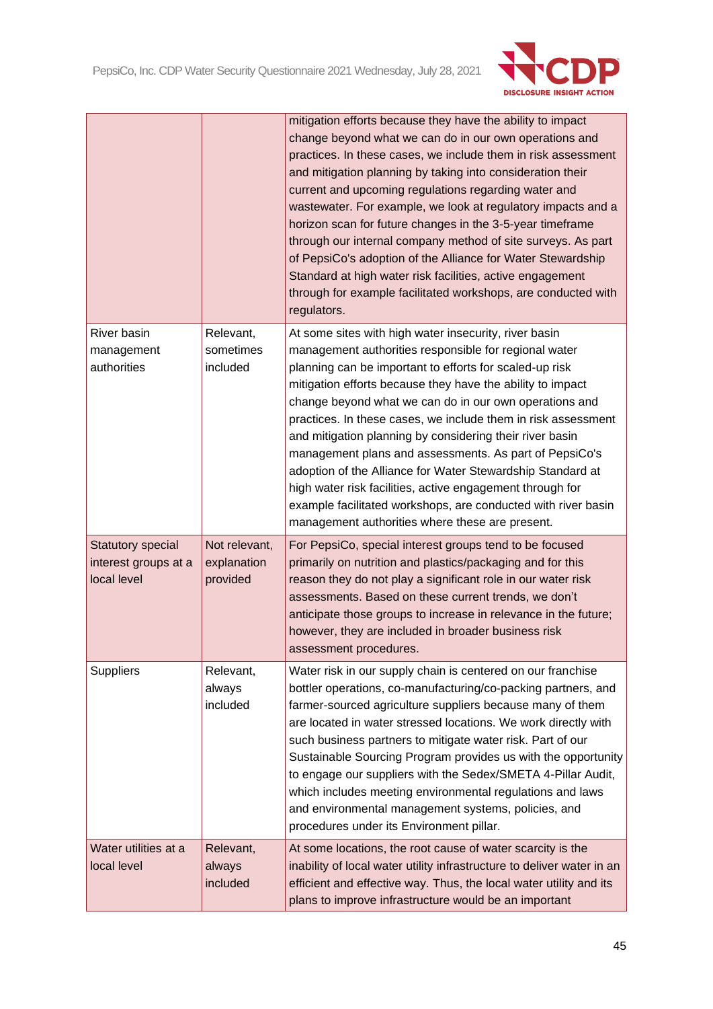

|                                                          |                                          | mitigation efforts because they have the ability to impact<br>change beyond what we can do in our own operations and<br>practices. In these cases, we include them in risk assessment<br>and mitigation planning by taking into consideration their<br>current and upcoming regulations regarding water and<br>wastewater. For example, we look at regulatory impacts and a<br>horizon scan for future changes in the 3-5-year timeframe<br>through our internal company method of site surveys. As part<br>of PepsiCo's adoption of the Alliance for Water Stewardship<br>Standard at high water risk facilities, active engagement<br>through for example facilitated workshops, are conducted with<br>regulators.                    |
|----------------------------------------------------------|------------------------------------------|-----------------------------------------------------------------------------------------------------------------------------------------------------------------------------------------------------------------------------------------------------------------------------------------------------------------------------------------------------------------------------------------------------------------------------------------------------------------------------------------------------------------------------------------------------------------------------------------------------------------------------------------------------------------------------------------------------------------------------------------|
| River basin<br>management<br>authorities                 | Relevant,<br>sometimes<br>included       | At some sites with high water insecurity, river basin<br>management authorities responsible for regional water<br>planning can be important to efforts for scaled-up risk<br>mitigation efforts because they have the ability to impact<br>change beyond what we can do in our own operations and<br>practices. In these cases, we include them in risk assessment<br>and mitigation planning by considering their river basin<br>management plans and assessments. As part of PepsiCo's<br>adoption of the Alliance for Water Stewardship Standard at<br>high water risk facilities, active engagement through for<br>example facilitated workshops, are conducted with river basin<br>management authorities where these are present. |
| Statutory special<br>interest groups at a<br>local level | Not relevant,<br>explanation<br>provided | For PepsiCo, special interest groups tend to be focused<br>primarily on nutrition and plastics/packaging and for this<br>reason they do not play a significant role in our water risk<br>assessments. Based on these current trends, we don't<br>anticipate those groups to increase in relevance in the future;<br>however, they are included in broader business risk<br>assessment procedures.                                                                                                                                                                                                                                                                                                                                       |
| <b>Suppliers</b>                                         | Relevant,<br>always<br>included          | Water risk in our supply chain is centered on our franchise<br>bottler operations, co-manufacturing/co-packing partners, and<br>farmer-sourced agriculture suppliers because many of them<br>are located in water stressed locations. We work directly with<br>such business partners to mitigate water risk. Part of our<br>Sustainable Sourcing Program provides us with the opportunity<br>to engage our suppliers with the Sedex/SMETA 4-Pillar Audit,<br>which includes meeting environmental regulations and laws<br>and environmental management systems, policies, and<br>procedures under its Environment pillar.                                                                                                              |
| Water utilities at a<br>local level                      | Relevant,<br>always<br>included          | At some locations, the root cause of water scarcity is the<br>inability of local water utility infrastructure to deliver water in an<br>efficient and effective way. Thus, the local water utility and its<br>plans to improve infrastructure would be an important                                                                                                                                                                                                                                                                                                                                                                                                                                                                     |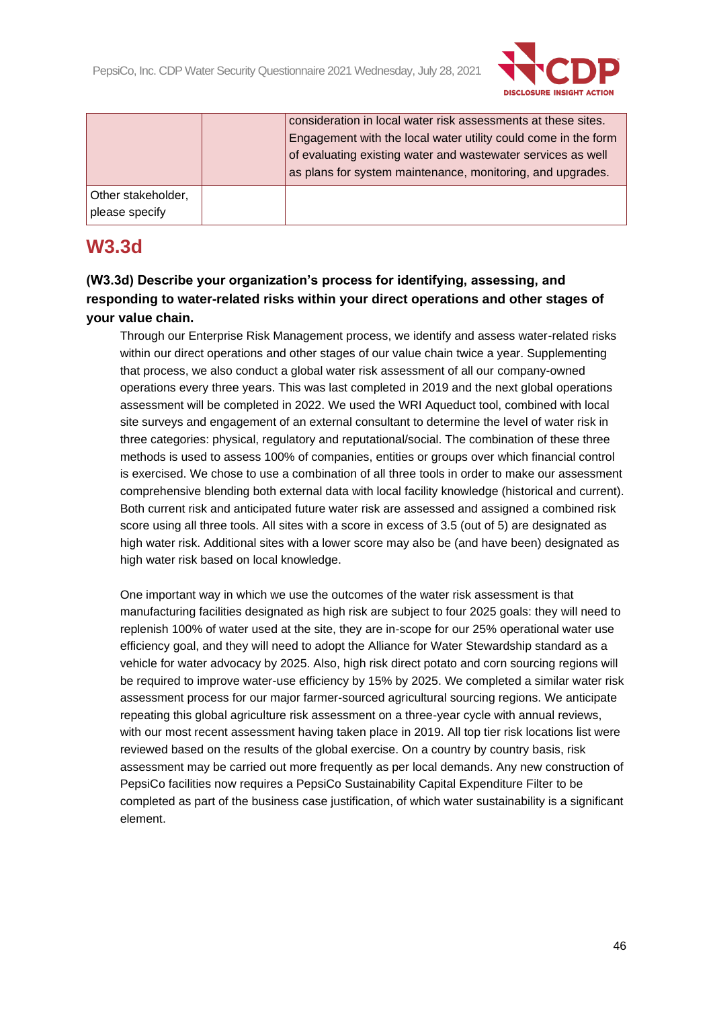

|                    | consideration in local water risk assessments at these sites.<br>Engagement with the local water utility could come in the form<br>of evaluating existing water and wastewater services as well<br>as plans for system maintenance, monitoring, and upgrades. |
|--------------------|---------------------------------------------------------------------------------------------------------------------------------------------------------------------------------------------------------------------------------------------------------------|
| Other stakeholder, |                                                                                                                                                                                                                                                               |
| please specify     |                                                                                                                                                                                                                                                               |

# **W3.3d**

**(W3.3d) Describe your organization's process for identifying, assessing, and responding to water-related risks within your direct operations and other stages of your value chain.**

Through our Enterprise Risk Management process, we identify and assess water-related risks within our direct operations and other stages of our value chain twice a year. Supplementing that process, we also conduct a global water risk assessment of all our company-owned operations every three years. This was last completed in 2019 and the next global operations assessment will be completed in 2022. We used the WRI Aqueduct tool, combined with local site surveys and engagement of an external consultant to determine the level of water risk in three categories: physical, regulatory and reputational/social. The combination of these three methods is used to assess 100% of companies, entities or groups over which financial control is exercised. We chose to use a combination of all three tools in order to make our assessment comprehensive blending both external data with local facility knowledge (historical and current). Both current risk and anticipated future water risk are assessed and assigned a combined risk score using all three tools. All sites with a score in excess of 3.5 (out of 5) are designated as high water risk. Additional sites with a lower score may also be (and have been) designated as high water risk based on local knowledge.

One important way in which we use the outcomes of the water risk assessment is that manufacturing facilities designated as high risk are subject to four 2025 goals: they will need to replenish 100% of water used at the site, they are in-scope for our 25% operational water use efficiency goal, and they will need to adopt the Alliance for Water Stewardship standard as a vehicle for water advocacy by 2025. Also, high risk direct potato and corn sourcing regions will be required to improve water-use efficiency by 15% by 2025. We completed a similar water risk assessment process for our major farmer-sourced agricultural sourcing regions. We anticipate repeating this global agriculture risk assessment on a three-year cycle with annual reviews, with our most recent assessment having taken place in 2019. All top tier risk locations list were reviewed based on the results of the global exercise. On a country by country basis, risk assessment may be carried out more frequently as per local demands. Any new construction of PepsiCo facilities now requires a PepsiCo Sustainability Capital Expenditure Filter to be completed as part of the business case justification, of which water sustainability is a significant element.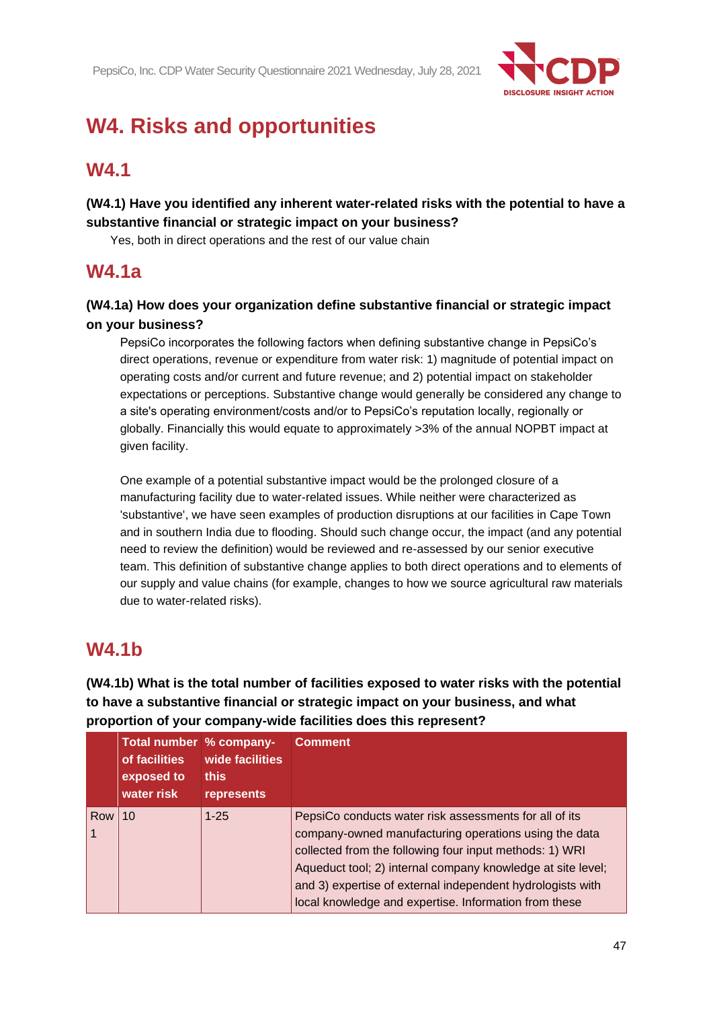

# **W4. Risks and opportunities**

# **W4.1**

**(W4.1) Have you identified any inherent water-related risks with the potential to have a substantive financial or strategic impact on your business?**

Yes, both in direct operations and the rest of our value chain

# **W4.1a**

**(W4.1a) How does your organization define substantive financial or strategic impact on your business?**

PepsiCo incorporates the following factors when defining substantive change in PepsiCo's direct operations, revenue or expenditure from water risk: 1) magnitude of potential impact on operating costs and/or current and future revenue; and 2) potential impact on stakeholder expectations or perceptions. Substantive change would generally be considered any change to a site's operating environment/costs and/or to PepsiCo's reputation locally, regionally or globally. Financially this would equate to approximately >3% of the annual NOPBT impact at given facility.

One example of a potential substantive impact would be the prolonged closure of a manufacturing facility due to water-related issues. While neither were characterized as 'substantive', we have seen examples of production disruptions at our facilities in Cape Town and in southern India due to flooding. Should such change occur, the impact (and any potential need to review the definition) would be reviewed and re-assessed by our senior executive team. This definition of substantive change applies to both direct operations and to elements of our supply and value chains (for example, changes to how we source agricultural raw materials due to water-related risks).

# **W4.1b**

**(W4.1b) What is the total number of facilities exposed to water risks with the potential to have a substantive financial or strategic impact on your business, and what proportion of your company-wide facilities does this represent?**

|     | Total number % company-<br>of facilities<br>exposed to<br>water risk | wide facilities<br><b>this</b><br>represents | <b>Comment</b>                                                                                                                                                                                                                                                                                                                                                   |
|-----|----------------------------------------------------------------------|----------------------------------------------|------------------------------------------------------------------------------------------------------------------------------------------------------------------------------------------------------------------------------------------------------------------------------------------------------------------------------------------------------------------|
| Row | 10                                                                   | $1 - 25$                                     | PepsiCo conducts water risk assessments for all of its<br>company-owned manufacturing operations using the data<br>collected from the following four input methods: 1) WRI<br>Aqueduct tool; 2) internal company knowledge at site level;<br>and 3) expertise of external independent hydrologists with<br>local knowledge and expertise. Information from these |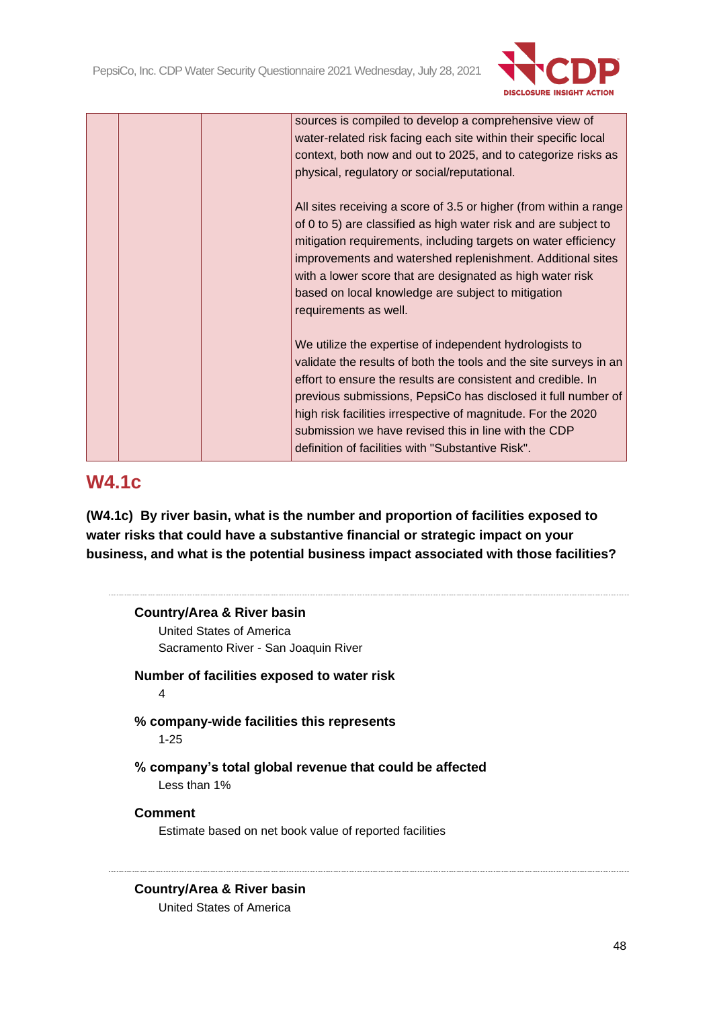

|  | sources is compiled to develop a comprehensive view of            |
|--|-------------------------------------------------------------------|
|  | water-related risk facing each site within their specific local   |
|  | context, both now and out to 2025, and to categorize risks as     |
|  | physical, regulatory or social/reputational.                      |
|  | All sites receiving a score of 3.5 or higher (from within a range |
|  | of 0 to 5) are classified as high water risk and are subject to   |
|  | mitigation requirements, including targets on water efficiency    |
|  | improvements and watershed replenishment. Additional sites        |
|  | with a lower score that are designated as high water risk         |
|  | based on local knowledge are subject to mitigation                |
|  | requirements as well.                                             |
|  |                                                                   |
|  | We utilize the expertise of independent hydrologists to           |
|  | validate the results of both the tools and the site surveys in an |
|  | effort to ensure the results are consistent and credible. In      |
|  | previous submissions, PepsiCo has disclosed it full number of     |
|  | high risk facilities irrespective of magnitude. For the 2020      |
|  | submission we have revised this in line with the CDP              |
|  | definition of facilities with "Substantive Risk".                 |
|  |                                                                   |

# **W4.1c**

**(W4.1c) By river basin, what is the number and proportion of facilities exposed to water risks that could have a substantive financial or strategic impact on your business, and what is the potential business impact associated with those facilities?**

| <b>Country/Area &amp; River basin</b> |                                                         |
|---------------------------------------|---------------------------------------------------------|
| United States of America              |                                                         |
|                                       | Sacramento River - San Joaquin River                    |
|                                       | Number of facilities exposed to water risk              |
| 4                                     |                                                         |
|                                       | % company-wide facilities this represents               |
| $1 - 25$                              |                                                         |
|                                       | % company's total global revenue that could be affected |
|                                       |                                                         |
| Less than 1%                          |                                                         |
| <b>Comment</b>                        |                                                         |

# **Country/Area & River basin**

United States of America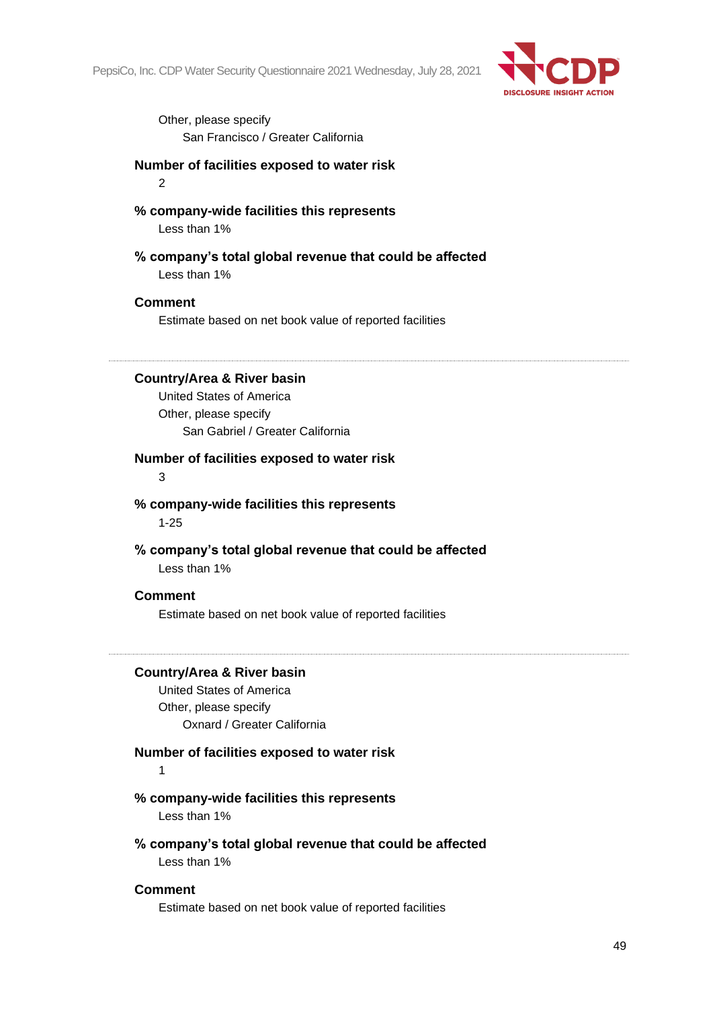

Other, please specify San Francisco / Greater California

**Number of facilities exposed to water risk**

2

**% company-wide facilities this represents**

Less than 1%

**% company's total global revenue that could be affected** Less than 1%

#### **Comment**

Estimate based on net book value of reported facilities

**Country/Area & River basin**

United States of America Other, please specify San Gabriel / Greater California

#### **Number of facilities exposed to water risk**

3

**% company-wide facilities this represents** 1-25

**% company's total global revenue that could be affected** Less than 1%

#### **Comment**

Estimate based on net book value of reported facilities

#### **Country/Area & River basin**

United States of America Other, please specify Oxnard / Greater California

#### **Number of facilities exposed to water risk**

1

#### **% company-wide facilities this represents**

Less than 1%

**% company's total global revenue that could be affected** Less than 1%

#### **Comment**

Estimate based on net book value of reported facilities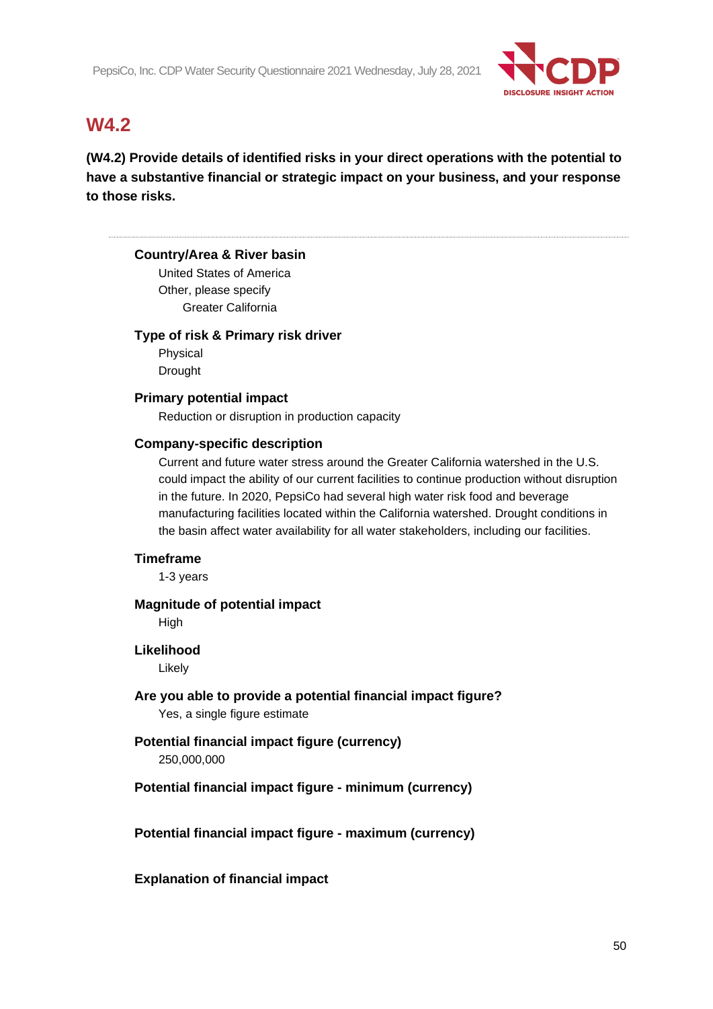

# **W4.2**

**(W4.2) Provide details of identified risks in your direct operations with the potential to have a substantive financial or strategic impact on your business, and your response to those risks.**

# **Country/Area & River basin**

United States of America Other, please specify Greater California

#### **Type of risk & Primary risk driver**

Physical Drought

#### **Primary potential impact**

Reduction or disruption in production capacity

#### **Company-specific description**

Current and future water stress around the Greater California watershed in the U.S. could impact the ability of our current facilities to continue production without disruption in the future. In 2020, PepsiCo had several high water risk food and beverage manufacturing facilities located within the California watershed. Drought conditions in the basin affect water availability for all water stakeholders, including our facilities.

# **Timeframe**

1-3 years

# **Magnitude of potential impact**

**High** 

# **Likelihood**

Likely

**Are you able to provide a potential financial impact figure?** Yes, a single figure estimate

# **Potential financial impact figure (currency)**

250,000,000

# **Potential financial impact figure - minimum (currency)**

**Potential financial impact figure - maximum (currency)**

# **Explanation of financial impact**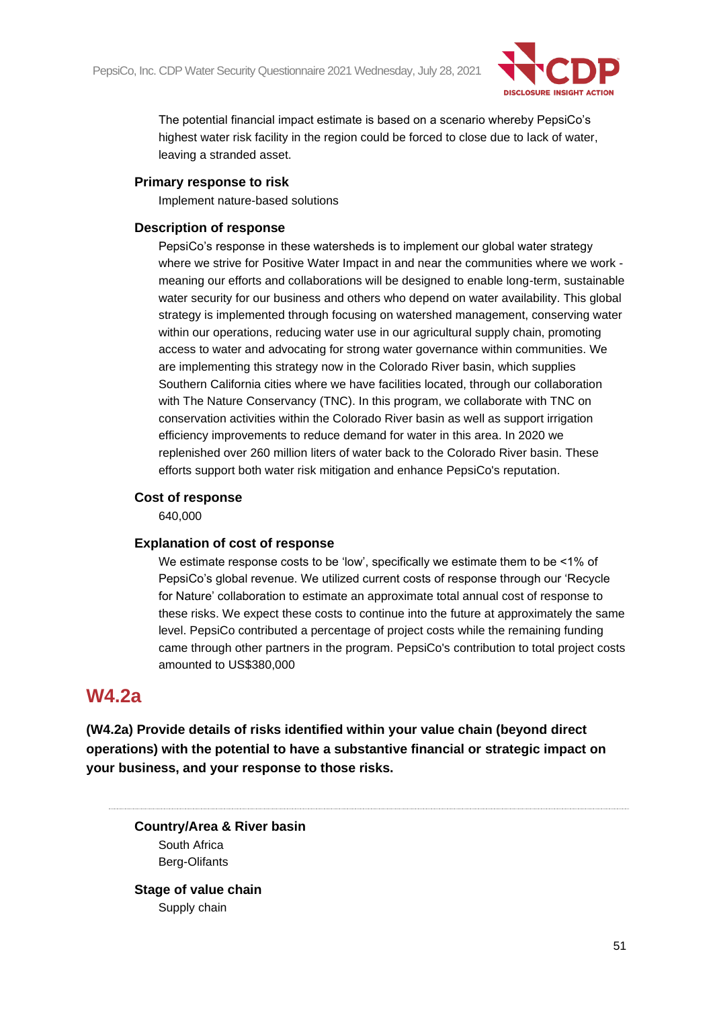

The potential financial impact estimate is based on a scenario whereby PepsiCo's highest water risk facility in the region could be forced to close due to lack of water, leaving a stranded asset.

# **Primary response to risk**

Implement nature-based solutions

# **Description of response**

PepsiCo's response in these watersheds is to implement our global water strategy where we strive for Positive Water Impact in and near the communities where we work meaning our efforts and collaborations will be designed to enable long-term, sustainable water security for our business and others who depend on water availability. This global strategy is implemented through focusing on watershed management, conserving water within our operations, reducing water use in our agricultural supply chain, promoting access to water and advocating for strong water governance within communities. We are implementing this strategy now in the Colorado River basin, which supplies Southern California cities where we have facilities located, through our collaboration with The Nature Conservancy (TNC). In this program, we collaborate with TNC on conservation activities within the Colorado River basin as well as support irrigation efficiency improvements to reduce demand for water in this area. In 2020 we replenished over 260 million liters of water back to the Colorado River basin. These efforts support both water risk mitigation and enhance PepsiCo's reputation.

# **Cost of response**

640,000

# **Explanation of cost of response**

We estimate response costs to be 'low', specifically we estimate them to be <1% of PepsiCo's global revenue. We utilized current costs of response through our 'Recycle for Nature' collaboration to estimate an approximate total annual cost of response to these risks. We expect these costs to continue into the future at approximately the same level. PepsiCo contributed a percentage of project costs while the remaining funding came through other partners in the program. PepsiCo's contribution to total project costs amounted to US\$380,000

# **W4.2a**

**(W4.2a) Provide details of risks identified within your value chain (beyond direct operations) with the potential to have a substantive financial or strategic impact on your business, and your response to those risks.**

**Country/Area & River basin** South Africa Berg-Olifants

**Stage of value chain** Supply chain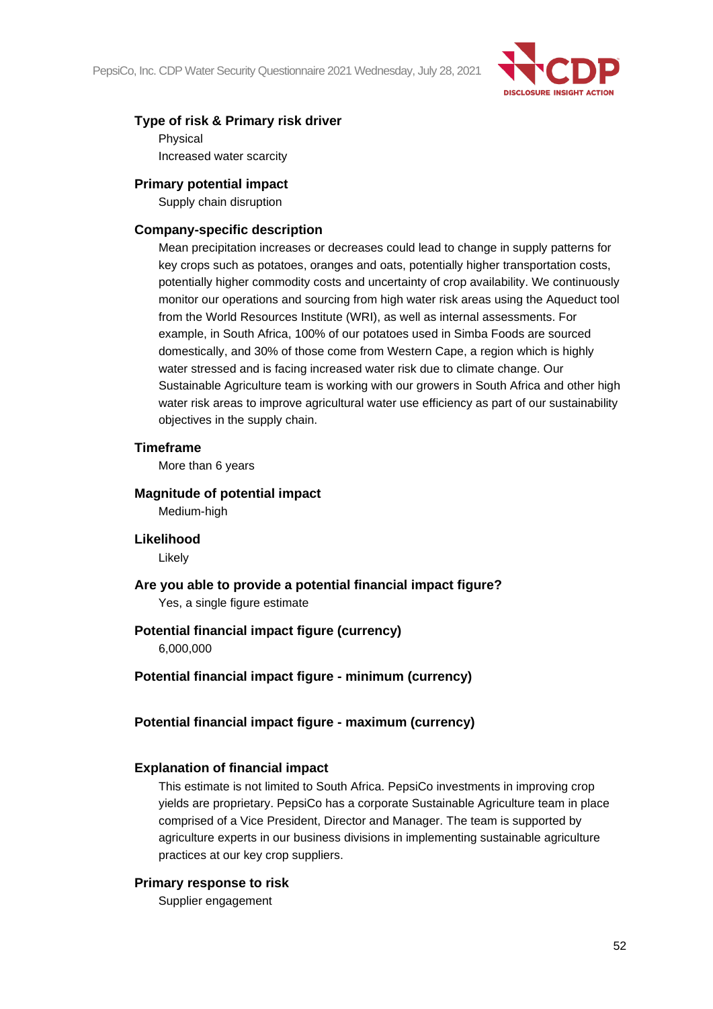

# **Type of risk & Primary risk driver**

Physical Increased water scarcity

#### **Primary potential impact**

Supply chain disruption

#### **Company-specific description**

Mean precipitation increases or decreases could lead to change in supply patterns for key crops such as potatoes, oranges and oats, potentially higher transportation costs, potentially higher commodity costs and uncertainty of crop availability. We continuously monitor our operations and sourcing from high water risk areas using the Aqueduct tool from the World Resources Institute (WRI), as well as internal assessments. For example, in South Africa, 100% of our potatoes used in Simba Foods are sourced domestically, and 30% of those come from Western Cape, a region which is highly water stressed and is facing increased water risk due to climate change. Our Sustainable Agriculture team is working with our growers in South Africa and other high water risk areas to improve agricultural water use efficiency as part of our sustainability objectives in the supply chain.

#### **Timeframe**

More than 6 years

#### **Magnitude of potential impact**

Medium-high

#### **Likelihood**

Likely

# **Are you able to provide a potential financial impact figure?**

Yes, a single figure estimate

# **Potential financial impact figure (currency)**

6,000,000

#### **Potential financial impact figure - minimum (currency)**

# **Potential financial impact figure - maximum (currency)**

# **Explanation of financial impact**

This estimate is not limited to South Africa. PepsiCo investments in improving crop yields are proprietary. PepsiCo has a corporate Sustainable Agriculture team in place comprised of a Vice President, Director and Manager. The team is supported by agriculture experts in our business divisions in implementing sustainable agriculture practices at our key crop suppliers.

#### **Primary response to risk**

Supplier engagement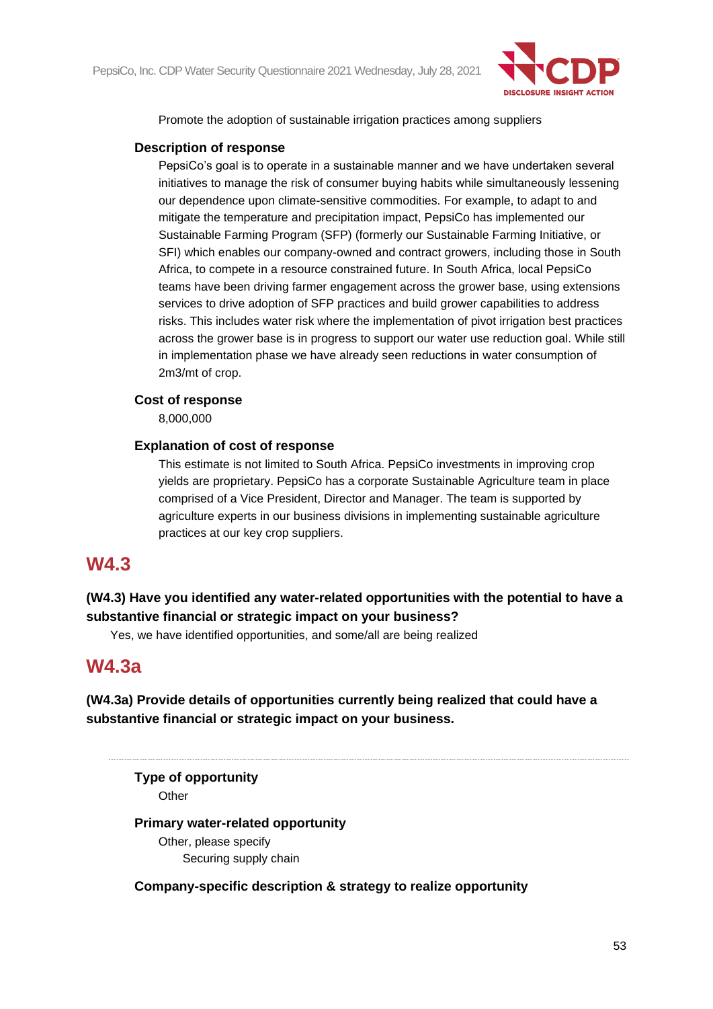

Promote the adoption of sustainable irrigation practices among suppliers

### **Description of response**

PepsiCo's goal is to operate in a sustainable manner and we have undertaken several initiatives to manage the risk of consumer buying habits while simultaneously lessening our dependence upon climate-sensitive commodities. For example, to adapt to and mitigate the temperature and precipitation impact, PepsiCo has implemented our Sustainable Farming Program (SFP) (formerly our Sustainable Farming Initiative, or SFI) which enables our company-owned and contract growers, including those in South Africa, to compete in a resource constrained future. In South Africa, local PepsiCo teams have been driving farmer engagement across the grower base, using extensions services to drive adoption of SFP practices and build grower capabilities to address risks. This includes water risk where the implementation of pivot irrigation best practices across the grower base is in progress to support our water use reduction goal. While still in implementation phase we have already seen reductions in water consumption of 2m3/mt of crop.

#### **Cost of response**

8,000,000

# **Explanation of cost of response**

This estimate is not limited to South Africa. PepsiCo investments in improving crop yields are proprietary. PepsiCo has a corporate Sustainable Agriculture team in place comprised of a Vice President, Director and Manager. The team is supported by agriculture experts in our business divisions in implementing sustainable agriculture practices at our key crop suppliers.

# **W4.3**

# **(W4.3) Have you identified any water-related opportunities with the potential to have a substantive financial or strategic impact on your business?**

Yes, we have identified opportunities, and some/all are being realized

# **W4.3a**

**(W4.3a) Provide details of opportunities currently being realized that could have a substantive financial or strategic impact on your business.**

**Type of opportunity Other** 

# **Primary water-related opportunity**

Other, please specify Securing supply chain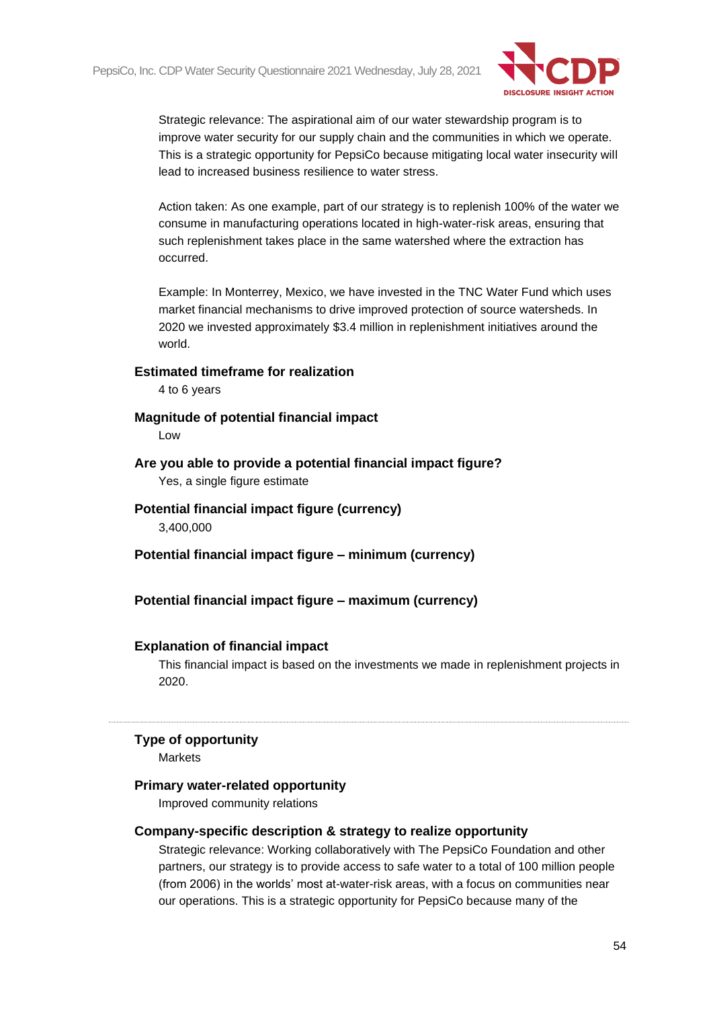

Strategic relevance: The aspirational aim of our water stewardship program is to improve water security for our supply chain and the communities in which we operate. This is a strategic opportunity for PepsiCo because mitigating local water insecurity will lead to increased business resilience to water stress.

Action taken: As one example, part of our strategy is to replenish 100% of the water we consume in manufacturing operations located in high-water-risk areas, ensuring that such replenishment takes place in the same watershed where the extraction has occurred.

Example: In Monterrey, Mexico, we have invested in the TNC Water Fund which uses market financial mechanisms to drive improved protection of source watersheds. In 2020 we invested approximately \$3.4 million in replenishment initiatives around the world.

#### **Estimated timeframe for realization**

4 to 6 years

#### **Magnitude of potential financial impact**

Low

**Are you able to provide a potential financial impact figure?**

Yes, a single figure estimate

**Potential financial impact figure (currency)**

3,400,000

**Potential financial impact figure – minimum (currency)**

#### **Potential financial impact figure – maximum (currency)**

#### **Explanation of financial impact**

This financial impact is based on the investments we made in replenishment projects in 2020.

#### **Type of opportunity**

Markets

#### **Primary water-related opportunity**

Improved community relations

#### **Company-specific description & strategy to realize opportunity**

Strategic relevance: Working collaboratively with The PepsiCo Foundation and other partners, our strategy is to provide access to safe water to a total of 100 million people (from 2006) in the worlds' most at-water-risk areas, with a focus on communities near our operations. This is a strategic opportunity for PepsiCo because many of the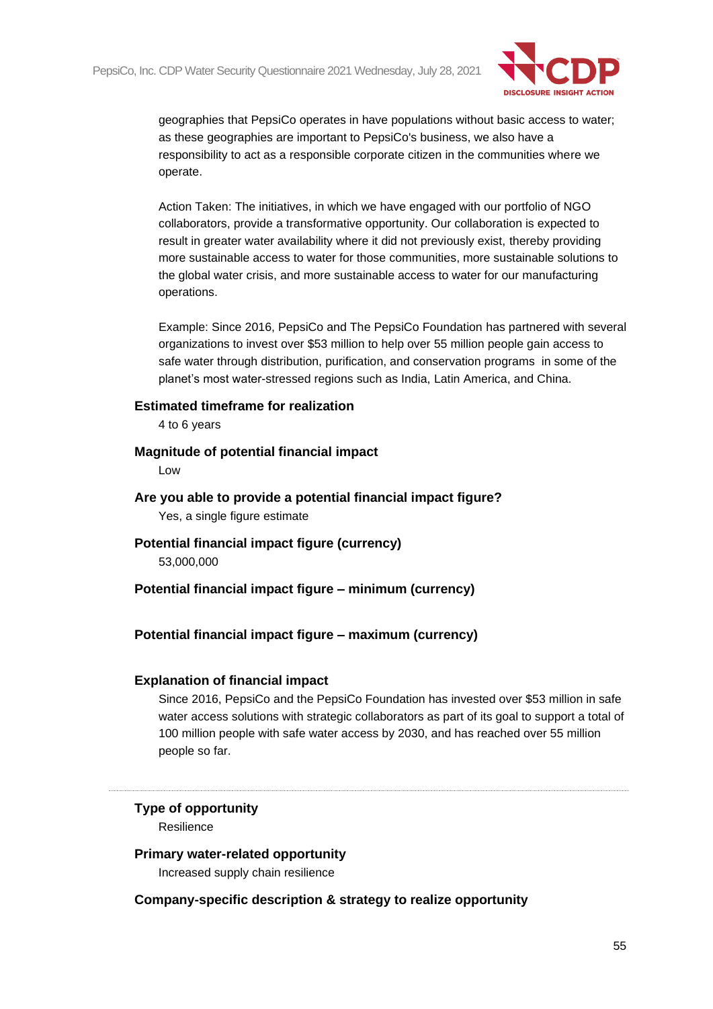

geographies that PepsiCo operates in have populations without basic access to water; as these geographies are important to PepsiCo's business, we also have a responsibility to act as a responsible corporate citizen in the communities where we operate.

Action Taken: The initiatives, in which we have engaged with our portfolio of NGO collaborators, provide a transformative opportunity. Our collaboration is expected to result in greater water availability where it did not previously exist, thereby providing more sustainable access to water for those communities, more sustainable solutions to the global water crisis, and more sustainable access to water for our manufacturing operations.

Example: Since 2016, PepsiCo and The PepsiCo Foundation has partnered with several organizations to invest over \$53 million to help over 55 million people gain access to safe water through distribution, purification, and conservation programs in some of the planet's most water-stressed regions such as India, Latin America, and China.

#### **Estimated timeframe for realization**

4 to 6 years

#### **Magnitude of potential financial impact**

Low

- **Are you able to provide a potential financial impact figure?** Yes, a single figure estimate
- **Potential financial impact figure (currency)** 53,000,000

# **Potential financial impact figure – minimum (currency)**

# **Potential financial impact figure – maximum (currency)**

# **Explanation of financial impact**

Since 2016, PepsiCo and the PepsiCo Foundation has invested over \$53 million in safe water access solutions with strategic collaborators as part of its goal to support a total of 100 million people with safe water access by 2030, and has reached over 55 million people so far.

# **Type of opportunity**

Resilience

#### **Primary water-related opportunity**

Increased supply chain resilience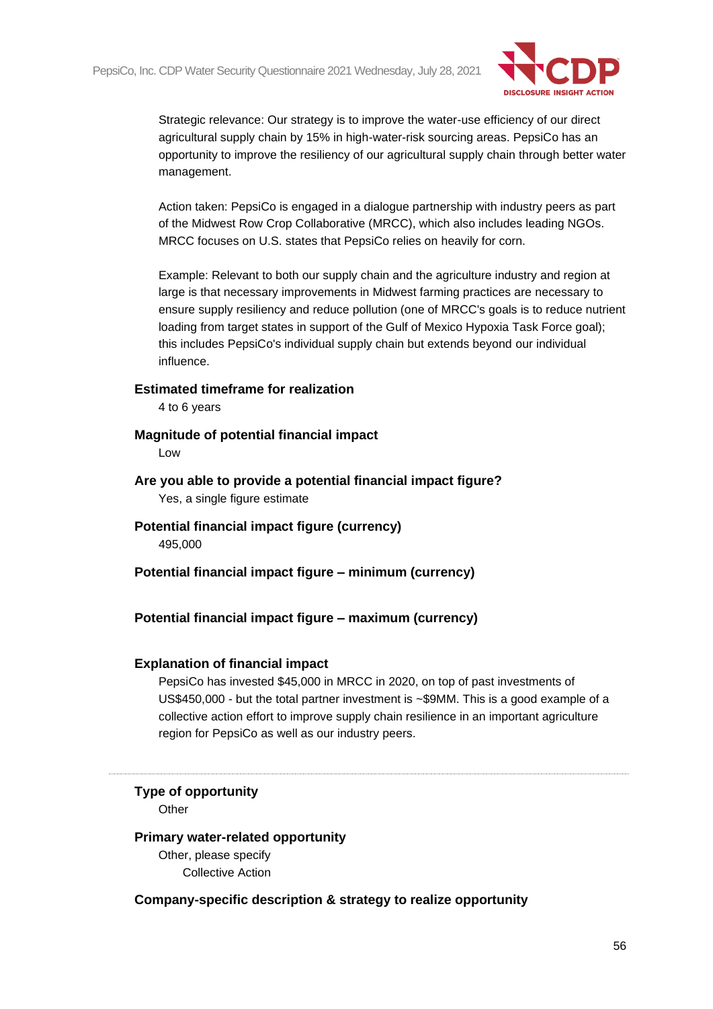

Strategic relevance: Our strategy is to improve the water-use efficiency of our direct agricultural supply chain by 15% in high-water-risk sourcing areas. PepsiCo has an opportunity to improve the resiliency of our agricultural supply chain through better water management.

Action taken: PepsiCo is engaged in a dialogue partnership with industry peers as part of the Midwest Row Crop Collaborative (MRCC), which also includes leading NGOs. MRCC focuses on U.S. states that PepsiCo relies on heavily for corn.

Example: Relevant to both our supply chain and the agriculture industry and region at large is that necessary improvements in Midwest farming practices are necessary to ensure supply resiliency and reduce pollution (one of MRCC's goals is to reduce nutrient loading from target states in support of the Gulf of Mexico Hypoxia Task Force goal); this includes PepsiCo's individual supply chain but extends beyond our individual influence.

# **Estimated timeframe for realization**

4 to 6 years

#### **Magnitude of potential financial impact**

Low

**Are you able to provide a potential financial impact figure?** Yes, a single figure estimate

**Potential financial impact figure (currency)** 495,000

**Potential financial impact figure – minimum (currency)**

# **Potential financial impact figure – maximum (currency)**

#### **Explanation of financial impact**

PepsiCo has invested \$45,000 in MRCC in 2020, on top of past investments of US\$450,000 - but the total partner investment is ~\$9MM. This is a good example of a collective action effort to improve supply chain resilience in an important agriculture region for PepsiCo as well as our industry peers.

#### **Type of opportunity**

**Other** 

#### **Primary water-related opportunity**

Other, please specify Collective Action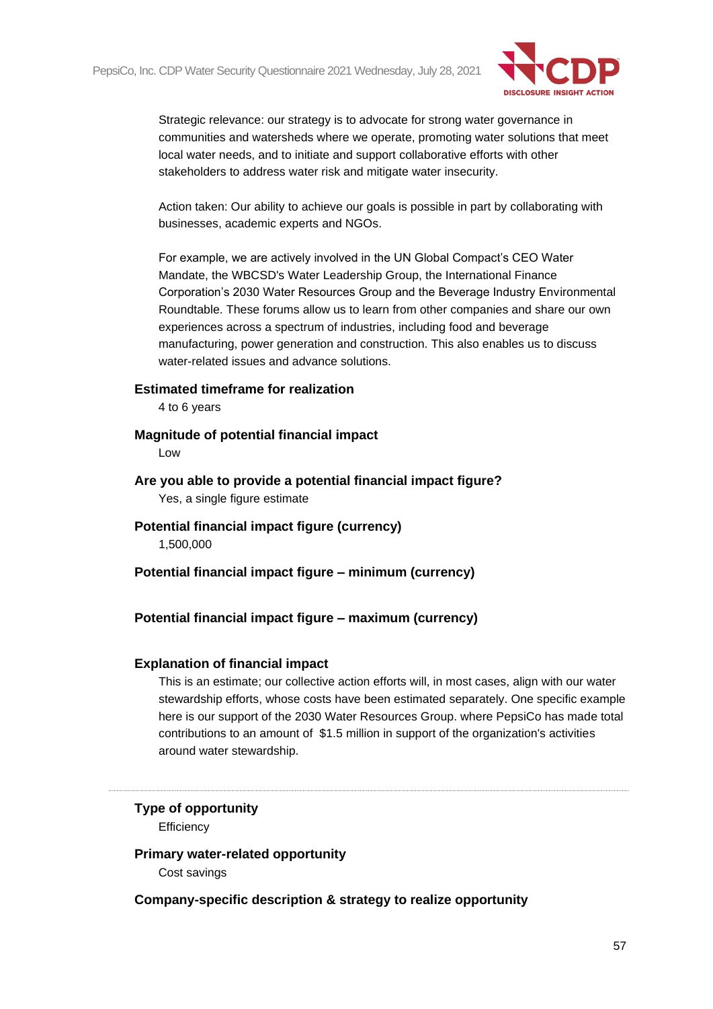

Strategic relevance: our strategy is to advocate for strong water governance in communities and watersheds where we operate, promoting water solutions that meet local water needs, and to initiate and support collaborative efforts with other stakeholders to address water risk and mitigate water insecurity.

Action taken: Our ability to achieve our goals is possible in part by collaborating with businesses, academic experts and NGOs.

For example, we are actively involved in the UN Global Compact's CEO Water Mandate, the WBCSD's Water Leadership Group, the International Finance Corporation's 2030 Water Resources Group and the Beverage Industry Environmental Roundtable. These forums allow us to learn from other companies and share our own experiences across a spectrum of industries, including food and beverage manufacturing, power generation and construction. This also enables us to discuss water-related issues and advance solutions.

#### **Estimated timeframe for realization**

4 to 6 years

#### **Magnitude of potential financial impact**

Low

**Are you able to provide a potential financial impact figure?** Yes, a single figure estimate

**Potential financial impact figure (currency)** 1,500,000

**Potential financial impact figure – minimum (currency)**

# **Potential financial impact figure – maximum (currency)**

#### **Explanation of financial impact**

This is an estimate; our collective action efforts will, in most cases, align with our water stewardship efforts, whose costs have been estimated separately. One specific example here is our support of the 2030 Water Resources Group. where PepsiCo has made total contributions to an amount of \$1.5 million in support of the organization's activities around water stewardship.

# **Type of opportunity**

**Efficiency** 

#### **Primary water-related opportunity**

Cost savings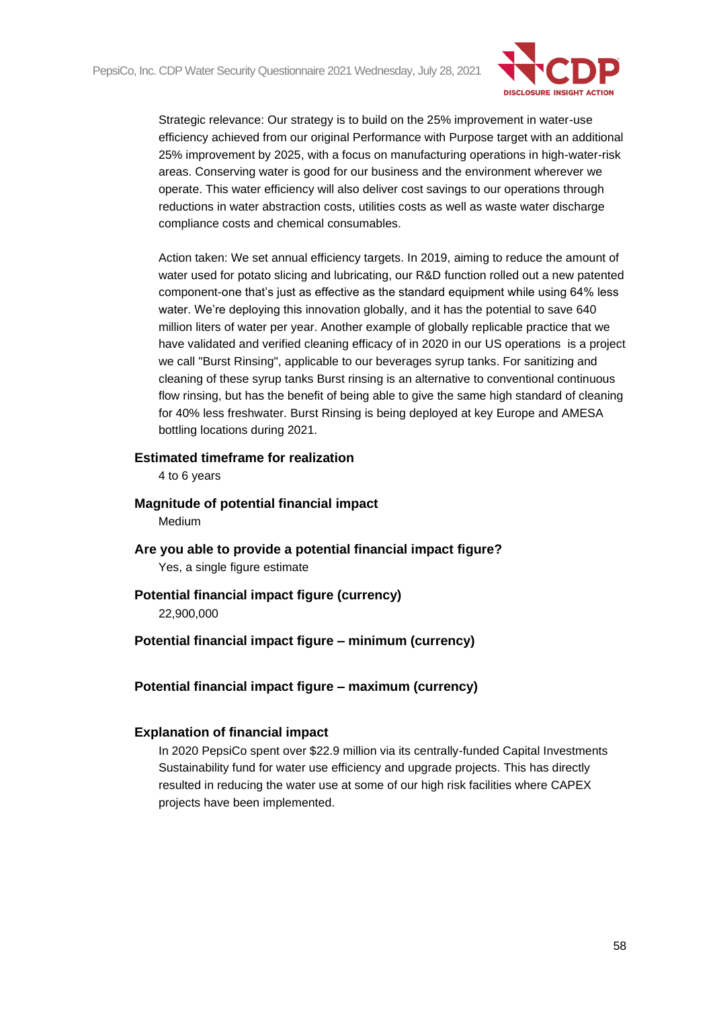

Strategic relevance: Our strategy is to build on the 25% improvement in water-use efficiency achieved from our original Performance with Purpose target with an additional 25% improvement by 2025, with a focus on manufacturing operations in high-water-risk areas. Conserving water is good for our business and the environment wherever we operate. This water efficiency will also deliver cost savings to our operations through reductions in water abstraction costs, utilities costs as well as waste water discharge compliance costs and chemical consumables.

Action taken: We set annual efficiency targets. In 2019, aiming to reduce the amount of water used for potato slicing and lubricating, our R&D function rolled out a new patented component-one that's just as effective as the standard equipment while using 64% less water. We're deploying this innovation globally, and it has the potential to save 640 million liters of water per year. Another example of globally replicable practice that we have validated and verified cleaning efficacy of in 2020 in our US operations is a project we call "Burst Rinsing", applicable to our beverages syrup tanks. For sanitizing and cleaning of these syrup tanks Burst rinsing is an alternative to conventional continuous flow rinsing, but has the benefit of being able to give the same high standard of cleaning for 40% less freshwater. Burst Rinsing is being deployed at key Europe and AMESA bottling locations during 2021.

#### **Estimated timeframe for realization**

4 to 6 years

- **Magnitude of potential financial impact** Medium
- **Are you able to provide a potential financial impact figure?** Yes, a single figure estimate

# **Potential financial impact figure (currency)**

22,900,000

# **Potential financial impact figure – minimum (currency)**

# **Potential financial impact figure – maximum (currency)**

#### **Explanation of financial impact**

In 2020 PepsiCo spent over \$22.9 million via its centrally-funded Capital Investments Sustainability fund for water use efficiency and upgrade projects. This has directly resulted in reducing the water use at some of our high risk facilities where CAPEX projects have been implemented.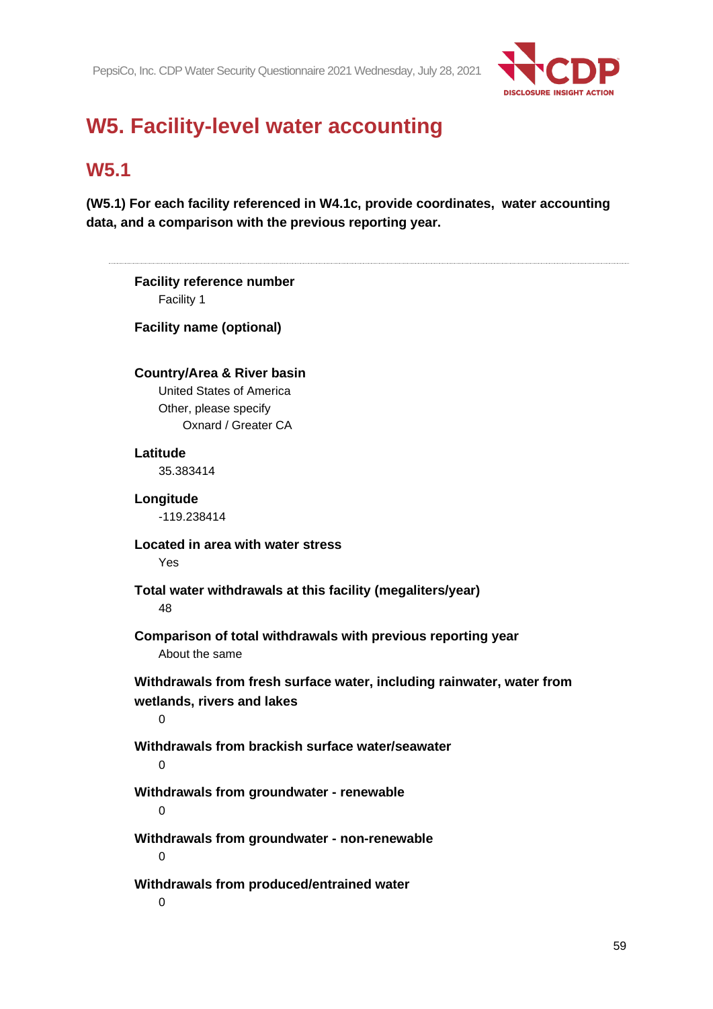

# **W5. Facility-level water accounting**

# **W5.1**

**(W5.1) For each facility referenced in W4.1c, provide coordinates, water accounting data, and a comparison with the previous reporting year.**

| <b>Facility reference number</b><br>Facility 1 |                                                                       |
|------------------------------------------------|-----------------------------------------------------------------------|
| <b>Facility name (optional)</b>                |                                                                       |
| <b>Country/Area &amp; River basin</b>          |                                                                       |
| United States of America                       |                                                                       |
| Other, please specify<br>Oxnard / Greater CA   |                                                                       |
| Latitude                                       |                                                                       |
| 35.383414                                      |                                                                       |
| Longitude                                      |                                                                       |
| -119.238414                                    |                                                                       |
| Located in area with water stress<br>Yes       |                                                                       |
| 48                                             | Total water withdrawals at this facility (megaliters/year)            |
| About the same                                 | Comparison of total withdrawals with previous reporting year          |
| wetlands, rivers and lakes<br>$\mathbf 0$      | Withdrawals from fresh surface water, including rainwater, water from |
| $\Omega$                                       | Withdrawals from brackish surface water/seawater                      |
| 0                                              | Withdrawals from groundwater - renewable                              |
| $\pmb{0}$                                      | Withdrawals from groundwater - non-renewable                          |
| $\mathbf 0$                                    | Withdrawals from produced/entrained water                             |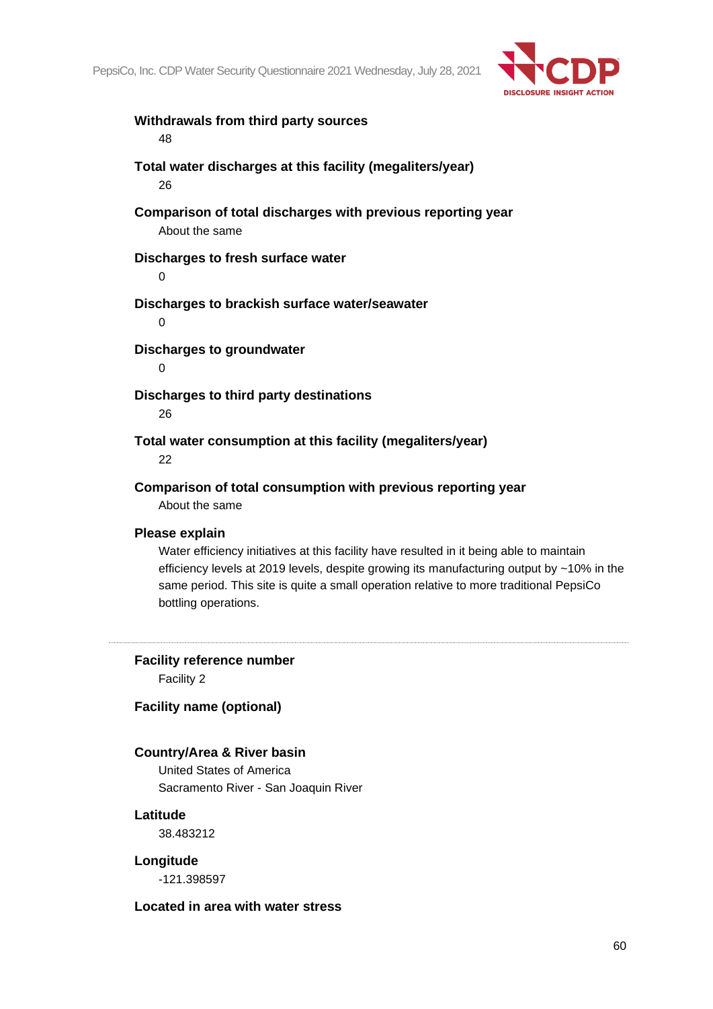

# **Withdrawals from third party sources** 48 **Total water discharges at this facility (megaliters/year)** 26 **Comparison of total discharges with previous reporting year** About the same **Discharges to fresh surface water** 0 **Discharges to brackish surface water/seawater** 0 **Discharges to groundwater**  $\Omega$ **Discharges to third party destinations** 26 **Total water consumption at this facility (megaliters/year)**

22

# **Comparison of total consumption with previous reporting year**

About the same

#### **Please explain**

Water efficiency initiatives at this facility have resulted in it being able to maintain efficiency levels at 2019 levels, despite growing its manufacturing output by ~10% in the same period. This site is quite a small operation relative to more traditional PepsiCo bottling operations.

**Facility reference number** Facility 2

**Facility name (optional)**

# **Country/Area & River basin**

United States of America Sacramento River - San Joaquin River

### **Latitude**

38.483212

**Longitude**

-121.398597

#### **Located in area with water stress**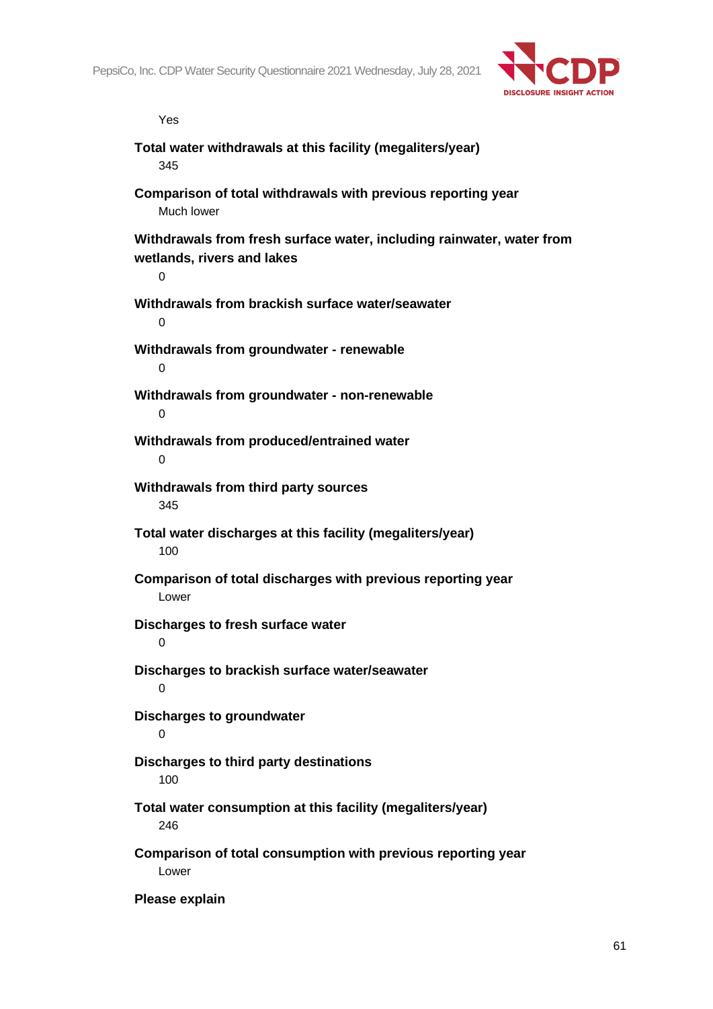

Yes

| Total water withdrawals at this facility (megaliters/year)<br>345                                        |
|----------------------------------------------------------------------------------------------------------|
| Comparison of total withdrawals with previous reporting year<br>Much lower                               |
| Withdrawals from fresh surface water, including rainwater, water from<br>wetlands, rivers and lakes<br>0 |
| Withdrawals from brackish surface water/seawater<br>0                                                    |
| Withdrawals from groundwater - renewable<br>0                                                            |
| Withdrawals from groundwater - non-renewable<br>$\Omega$                                                 |
| Withdrawals from produced/entrained water<br>$\Omega$                                                    |
| Withdrawals from third party sources<br>345                                                              |
| Total water discharges at this facility (megaliters/year)<br>100                                         |
| Comparison of total discharges with previous reporting year<br>Lower                                     |
| Discharges to fresh surface water<br>$\overline{0}$                                                      |
| Discharges to brackish surface water/seawater<br>0                                                       |
| <b>Discharges to groundwater</b><br>0                                                                    |
| Discharges to third party destinations<br>100                                                            |
| Total water consumption at this facility (megaliters/year)<br>246                                        |
| Comparison of total consumption with previous reporting year<br>Lower                                    |
| Please explain                                                                                           |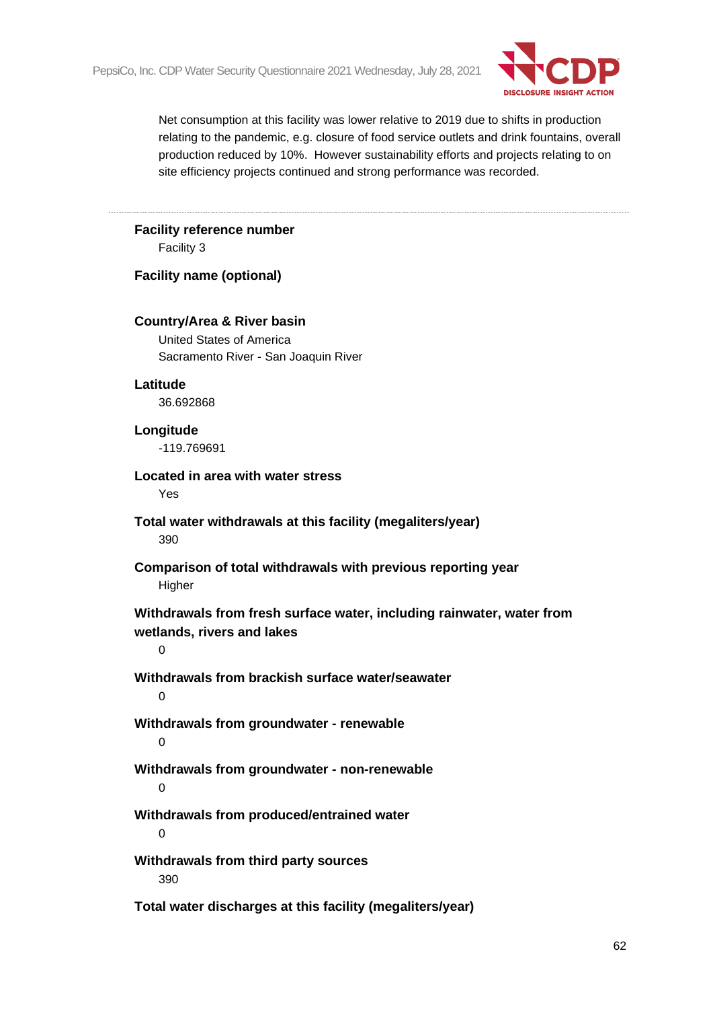

Net consumption at this facility was lower relative to 2019 due to shifts in production relating to the pandemic, e.g. closure of food service outlets and drink fountains, overall production reduced by 10%. However sustainability efforts and projects relating to on site efficiency projects continued and strong performance was recorded.

# **Facility reference number** Facility 3 **Facility name (optional) Country/Area & River basin** United States of America Sacramento River - San Joaquin River **Latitude** 36.692868 **Longitude** -119.769691 **Located in area with water stress** Yes **Total water withdrawals at this facility (megaliters/year)** 390 **Comparison of total withdrawals with previous reporting year Higher Withdrawals from fresh surface water, including rainwater, water from wetlands, rivers and lakes**  $\Omega$ **Withdrawals from brackish surface water/seawater**  $\Omega$ **Withdrawals from groundwater - renewable** 0 **Withdrawals from groundwater - non-renewable**  $\Omega$ **Withdrawals from produced/entrained water** 0 **Withdrawals from third party sources** 390 **Total water discharges at this facility (megaliters/year)**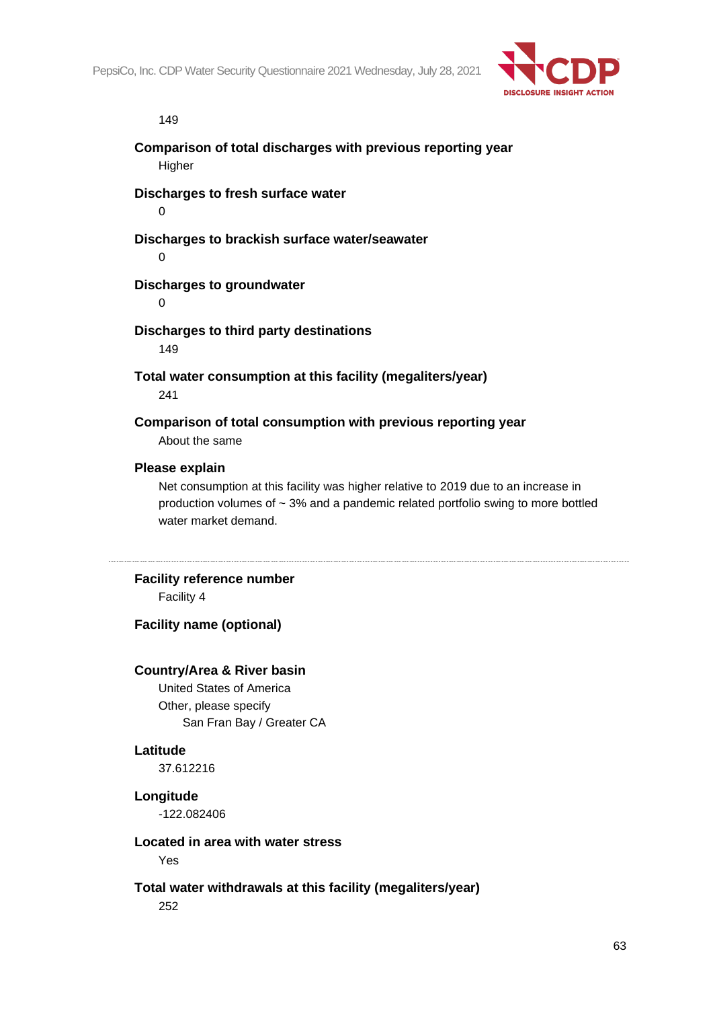

#### 149

**Comparison of total discharges with previous reporting year Higher** 

**Discharges to fresh surface water**

 $\Omega$ 

**Discharges to brackish surface water/seawater**

0

# **Discharges to groundwater**

0

#### **Discharges to third party destinations**

149

**Total water consumption at this facility (megaliters/year)** 241

**Comparison of total consumption with previous reporting year**

About the same

#### **Please explain**

Net consumption at this facility was higher relative to 2019 due to an increase in production volumes of  $\sim$  3% and a pandemic related portfolio swing to more bottled water market demand.

#### **Facility reference number**

Facility 4

**Facility name (optional)**

#### **Country/Area & River basin**

United States of America Other, please specify San Fran Bay / Greater CA

#### **Latitude**

37.612216

#### **Longitude**

-122.082406

#### **Located in area with water stress**

Yes

# **Total water withdrawals at this facility (megaliters/year)**

252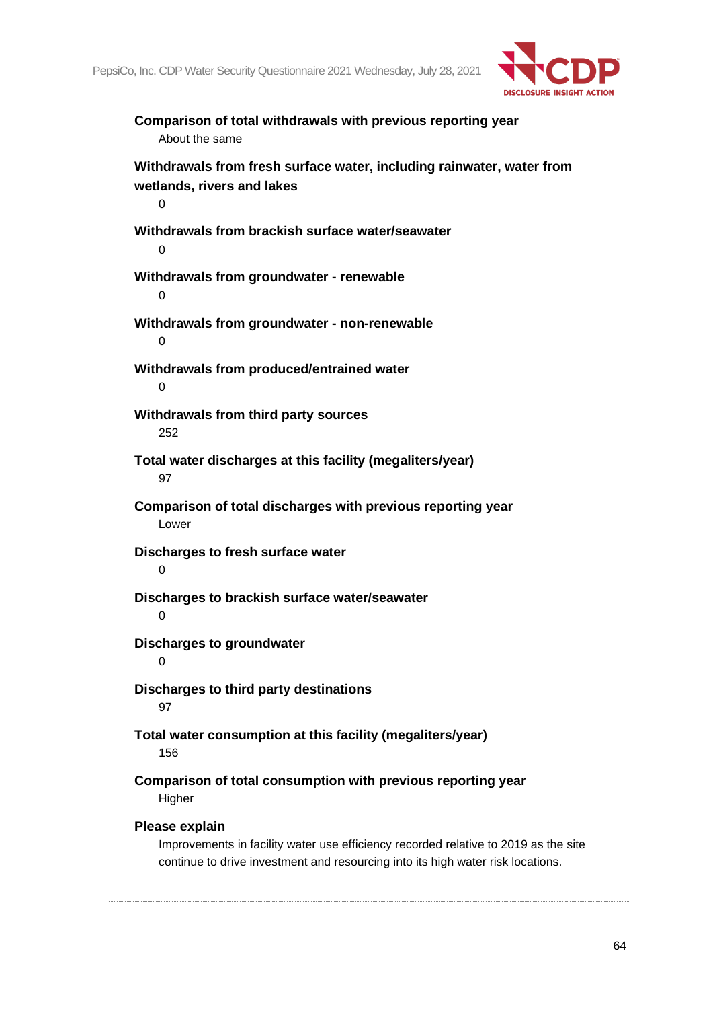

**Comparison of total withdrawals with previous reporting year** About the same **Withdrawals from fresh surface water, including rainwater, water from wetlands, rivers and lakes**  $\Omega$ **Withdrawals from brackish surface water/seawater**  $\Omega$ **Withdrawals from groundwater - renewable**  $\Omega$ **Withdrawals from groundwater - non-renewable**  $\Omega$ **Withdrawals from produced/entrained water**  $\Omega$ **Withdrawals from third party sources** 252 **Total water discharges at this facility (megaliters/year)** 97 **Comparison of total discharges with previous reporting year** Lower **Discharges to fresh surface water**  $\Omega$ **Discharges to brackish surface water/seawater**  $\Omega$ **Discharges to groundwater**  $\Omega$ **Discharges to third party destinations** 97 **Total water consumption at this facility (megaliters/year)** 156 **Comparison of total consumption with previous reporting year Higher Please explain** Improvements in facility water use efficiency recorded relative to 2019 as the site

continue to drive investment and resourcing into its high water risk locations.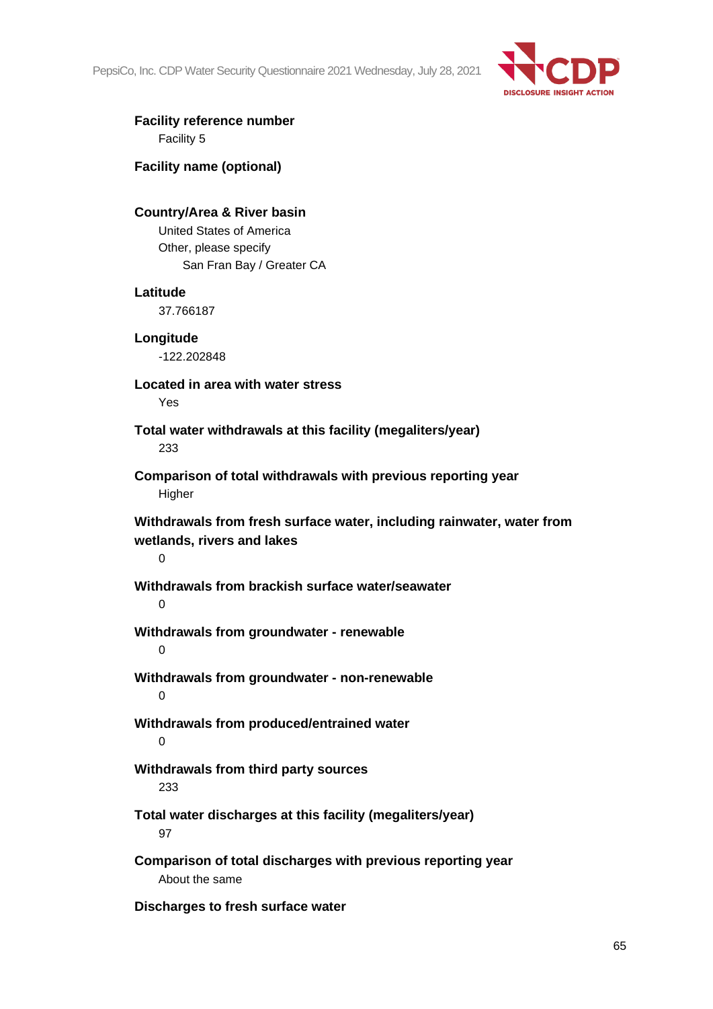PepsiCo, Inc. CDP Water Security Questionnaire 2021 Wednesday, July 28, 2021



### **Facility reference number** Facility 5

**Facility name (optional)**

### **Country/Area & River basin**

United States of America Other, please specify San Fran Bay / Greater CA

#### **Latitude**

37.766187

# **Longitude**

-122.202848

# **Located in area with water stress**

Yes

# **Total water withdrawals at this facility (megaliters/year)** 233

**Comparison of total withdrawals with previous reporting year** Higher

**Withdrawals from fresh surface water, including rainwater, water from wetlands, rivers and lakes**

 $\Omega$ 

#### **Withdrawals from brackish surface water/seawater**  $\Omega$

# **Withdrawals from groundwater - renewable**

 $\Omega$ 

# **Withdrawals from groundwater - non-renewable**  $\Omega$

# **Withdrawals from produced/entrained water**

0

# **Withdrawals from third party sources**

233

# **Total water discharges at this facility (megaliters/year)** 97

**Comparison of total discharges with previous reporting year** About the same

# **Discharges to fresh surface water**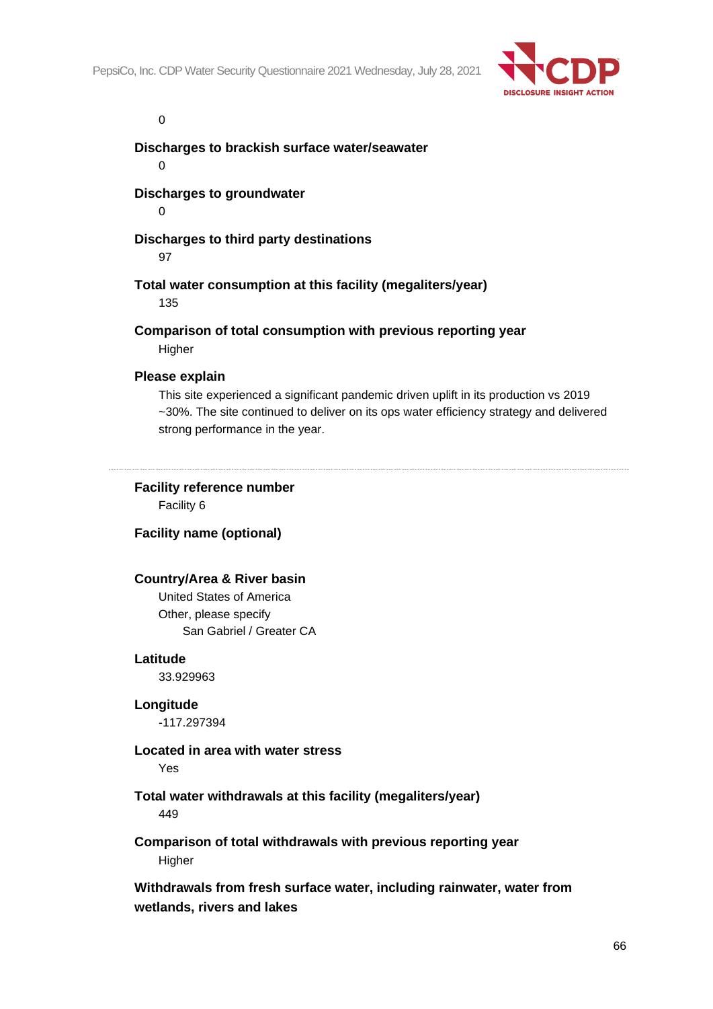

 $\Omega$ 

**Discharges to brackish surface water/seawater**

 $\Omega$ 

**Discharges to groundwater**

 $\Omega$ 

#### **Discharges to third party destinations**

97

#### **Total water consumption at this facility (megaliters/year)**

135

#### **Comparison of total consumption with previous reporting year Higher**

# **Please explain**

This site experienced a significant pandemic driven uplift in its production vs 2019 ~30%. The site continued to deliver on its ops water efficiency strategy and delivered strong performance in the year.

#### **Facility reference number**

Facility 6

# **Facility name (optional)**

#### **Country/Area & River basin**

United States of America Other, please specify San Gabriel / Greater CA

#### **Latitude**

33.929963

#### **Longitude**

-117.297394

#### **Located in area with water stress**

Yes

# **Total water withdrawals at this facility (megaliters/year)**

449

# **Comparison of total withdrawals with previous reporting year Higher**

**Withdrawals from fresh surface water, including rainwater, water from wetlands, rivers and lakes**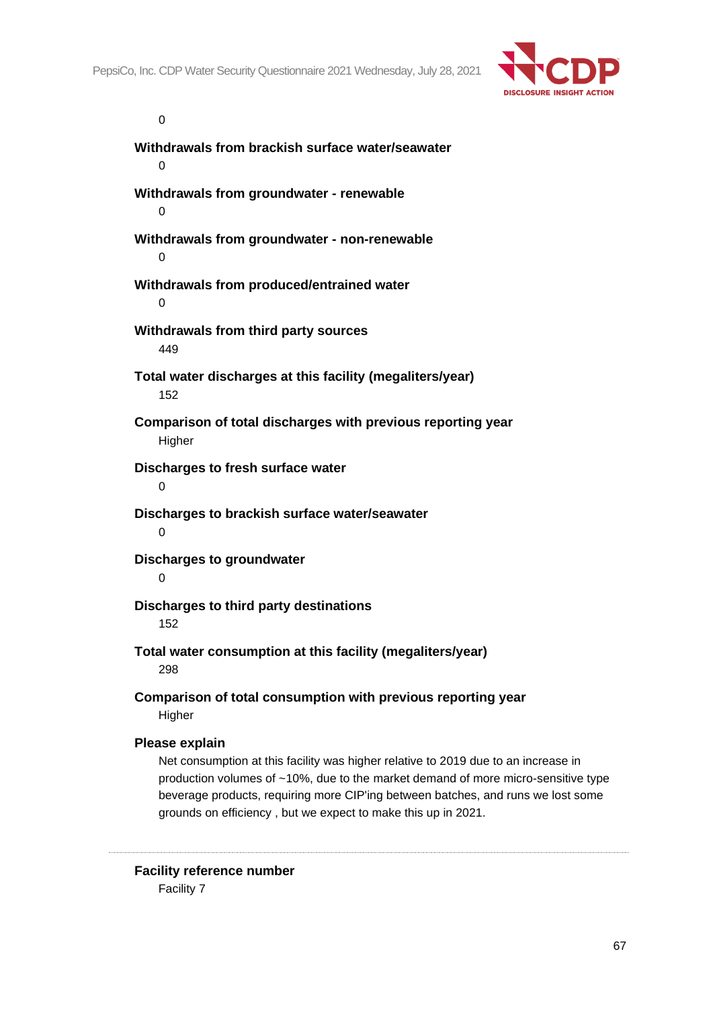

 $\Omega$ 

**Withdrawals from brackish surface water/seawater**  $\Omega$ **Withdrawals from groundwater - renewable**  $\Omega$ **Withdrawals from groundwater - non-renewable** 0 **Withdrawals from produced/entrained water**  $\Omega$ **Withdrawals from third party sources** 449 **Total water discharges at this facility (megaliters/year)** 152 **Comparison of total discharges with previous reporting year Higher Discharges to fresh surface water**  $\Omega$ **Discharges to brackish surface water/seawater** 0 **Discharges to groundwater**  $\Omega$ **Discharges to third party destinations** 152 **Total water consumption at this facility (megaliters/year)** 298 **Comparison of total consumption with previous reporting year Higher Please explain** Net consumption at this facility was higher relative to 2019 due to an increase in

production volumes of ~10%, due to the market demand of more micro-sensitive type beverage products, requiring more CIP'ing between batches, and runs we lost some grounds on efficiency , but we expect to make this up in 2021.

**Facility reference number** Facility 7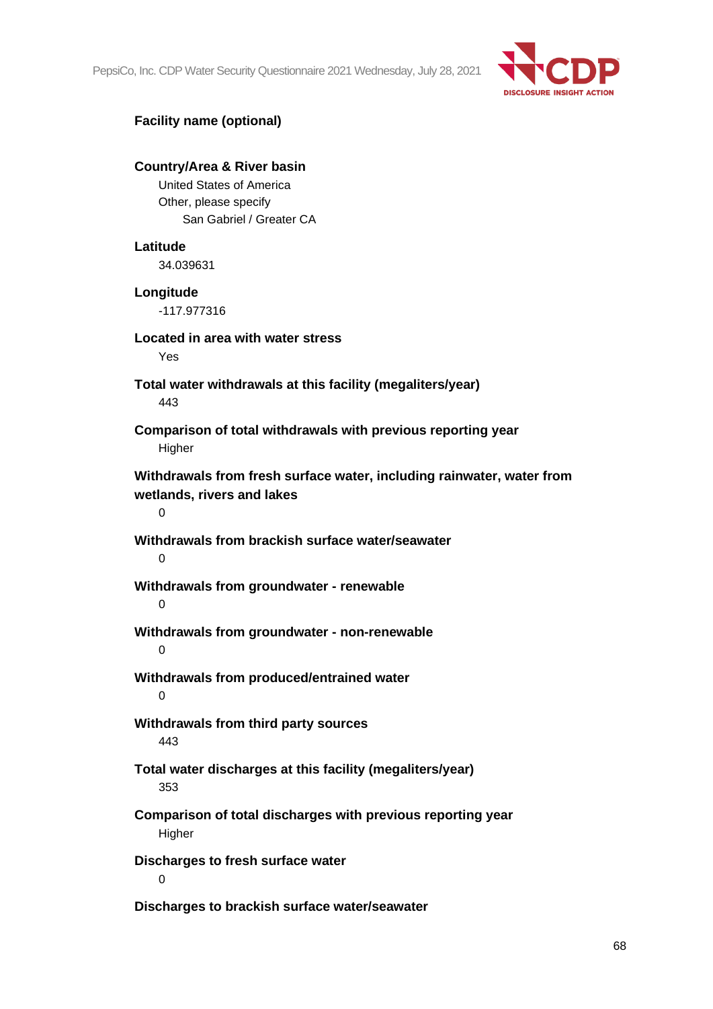PepsiCo, Inc. CDP Water Security Questionnaire 2021 Wednesday, July 28, 2021



# **Facility name (optional)**

# **Country/Area & River basin** United States of America Other, please specify San Gabriel / Greater CA **Latitude** 34.039631 **Longitude** -117.977316 **Located in area with water stress** Yes **Total water withdrawals at this facility (megaliters/year)** 443 **Comparison of total withdrawals with previous reporting year Higher Withdrawals from fresh surface water, including rainwater, water from wetlands, rivers and lakes**  $\Omega$ **Withdrawals from brackish surface water/seawater**  $\Omega$ **Withdrawals from groundwater - renewable**  $\Omega$ **Withdrawals from groundwater - non-renewable**  $\Omega$ **Withdrawals from produced/entrained water**  $\Omega$ **Withdrawals from third party sources** 443 **Total water discharges at this facility (megaliters/year)** 353 **Comparison of total discharges with previous reporting year Higher Discharges to fresh surface water**  $\Omega$ **Discharges to brackish surface water/seawater**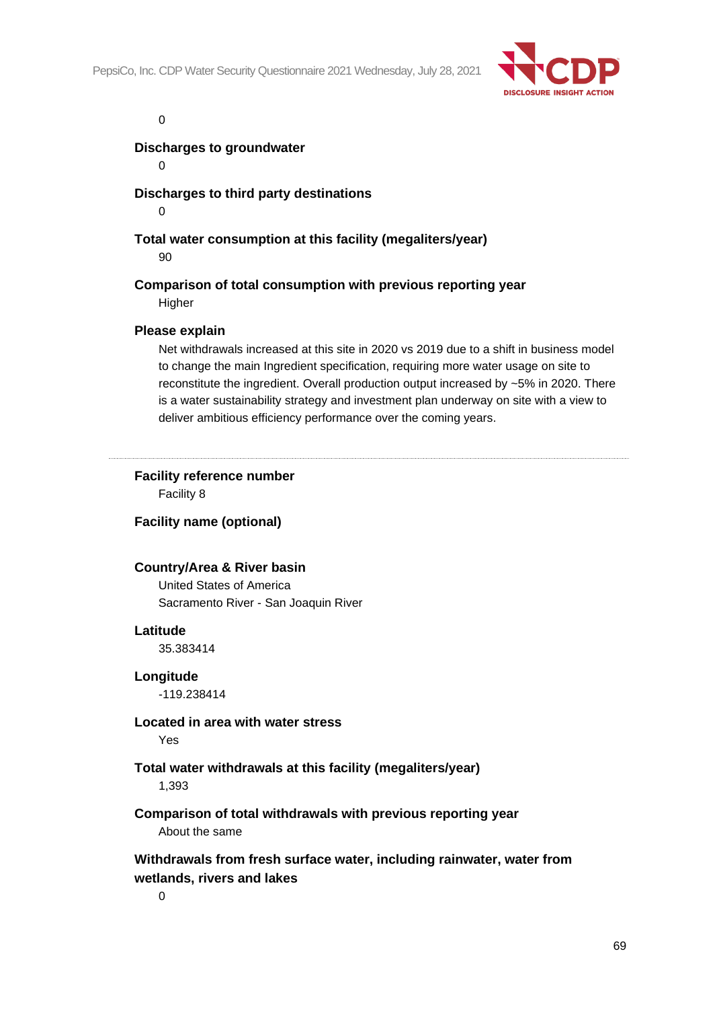

 $\Omega$ 

#### **Discharges to groundwater**

 $\Omega$ 

# **Discharges to third party destinations**

 $\Omega$ 

# **Total water consumption at this facility (megaliters/year)**

90

# **Comparison of total consumption with previous reporting year**

Higher

#### **Please explain**

Net withdrawals increased at this site in 2020 vs 2019 due to a shift in business model to change the main Ingredient specification, requiring more water usage on site to reconstitute the ingredient. Overall production output increased by ~5% in 2020. There is a water sustainability strategy and investment plan underway on site with a view to deliver ambitious efficiency performance over the coming years.

# **Facility reference number**

Facility 8

#### **Facility name (optional)**

#### **Country/Area & River basin**

United States of America Sacramento River - San Joaquin River

#### **Latitude**

35.383414

#### **Longitude**

-119.238414

#### **Located in area with water stress**

Yes

# **Total water withdrawals at this facility (megaliters/year)**

1,393

# **Comparison of total withdrawals with previous reporting year** About the same

# **Withdrawals from fresh surface water, including rainwater, water from wetlands, rivers and lakes**

 $\Omega$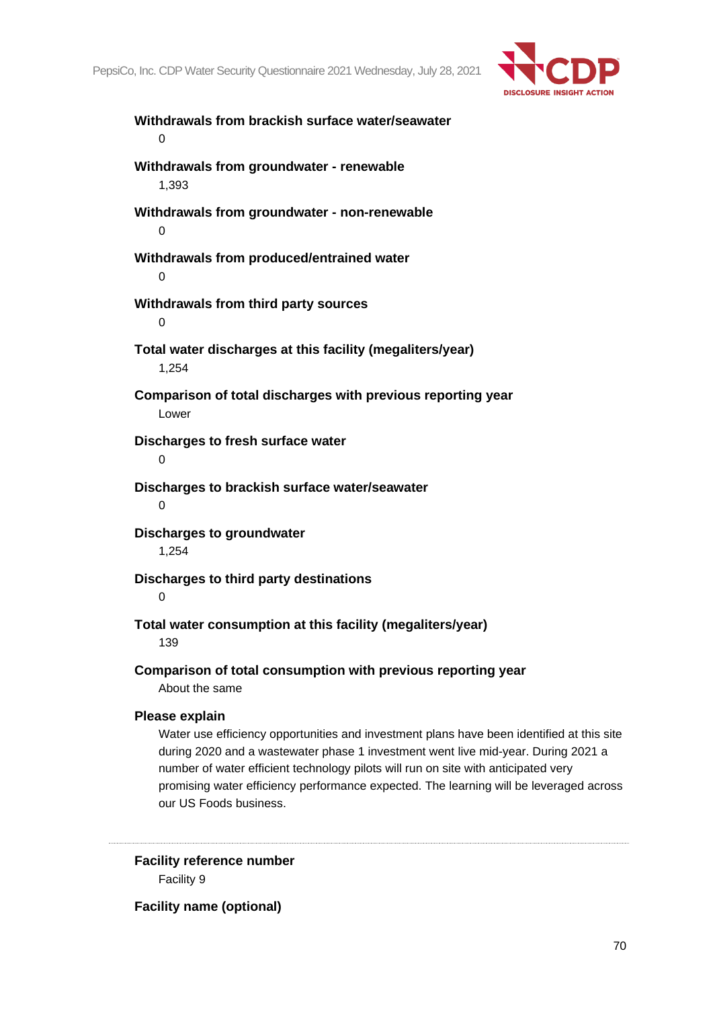

**Withdrawals from brackish surface water/seawater**  $\Omega$ **Withdrawals from groundwater - renewable** 1,393 **Withdrawals from groundwater - non-renewable** 0 **Withdrawals from produced/entrained water**  $\Omega$ **Withdrawals from third party sources** 0 **Total water discharges at this facility (megaliters/year)** 1,254 **Comparison of total discharges with previous reporting year** Lower **Discharges to fresh surface water**  $\Omega$ **Discharges to brackish surface water/seawater**  $\Omega$ **Discharges to groundwater** 1,254 **Discharges to third party destinations**  $\Omega$ **Total water consumption at this facility (megaliters/year)** 139 **Comparison of total consumption with previous reporting year** About the same **Please explain** Water use efficiency opportunities and investment plans have been identified at this site during 2020 and a wastewater phase 1 investment went live mid-year. During 2021 a number of water efficient technology pilots will run on site with anticipated very promising water efficiency performance expected. The learning will be leveraged across our US Foods business.

**Facility reference number** Facility 9

**Facility name (optional)**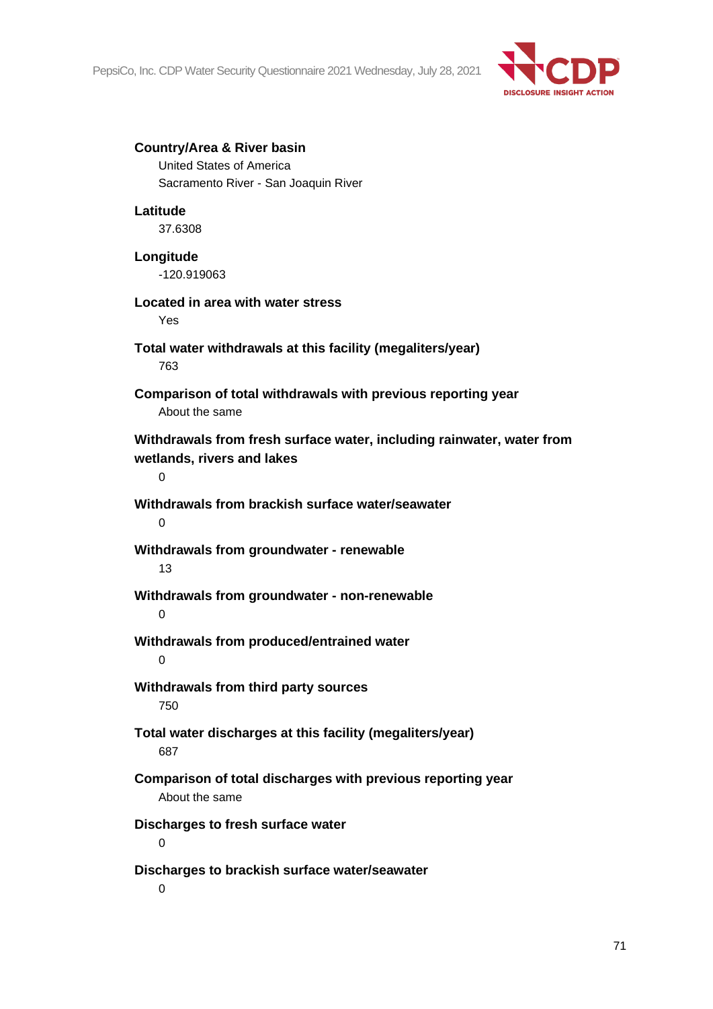

#### **Country/Area & River basin**

United States of America Sacramento River - San Joaquin River

# **Latitude**

37.6308

# **Longitude**

-120.919063

# **Located in area with water stress**

Yes

#### **Total water withdrawals at this facility (megaliters/year)** 763

# **Comparison of total withdrawals with previous reporting year** About the same

# **Withdrawals from fresh surface water, including rainwater, water from wetlands, rivers and lakes**

 $\Omega$ 

# **Withdrawals from brackish surface water/seawater**

 $\Omega$ 

# **Withdrawals from groundwater - renewable**

13

# **Withdrawals from groundwater - non-renewable**

 $\Omega$ 

# **Withdrawals from produced/entrained water** 0

# **Withdrawals from third party sources** 750

# **Total water discharges at this facility (megaliters/year)** 687

# **Comparison of total discharges with previous reporting year** About the same

# **Discharges to fresh surface water**

0

# **Discharges to brackish surface water/seawater**

 $\Omega$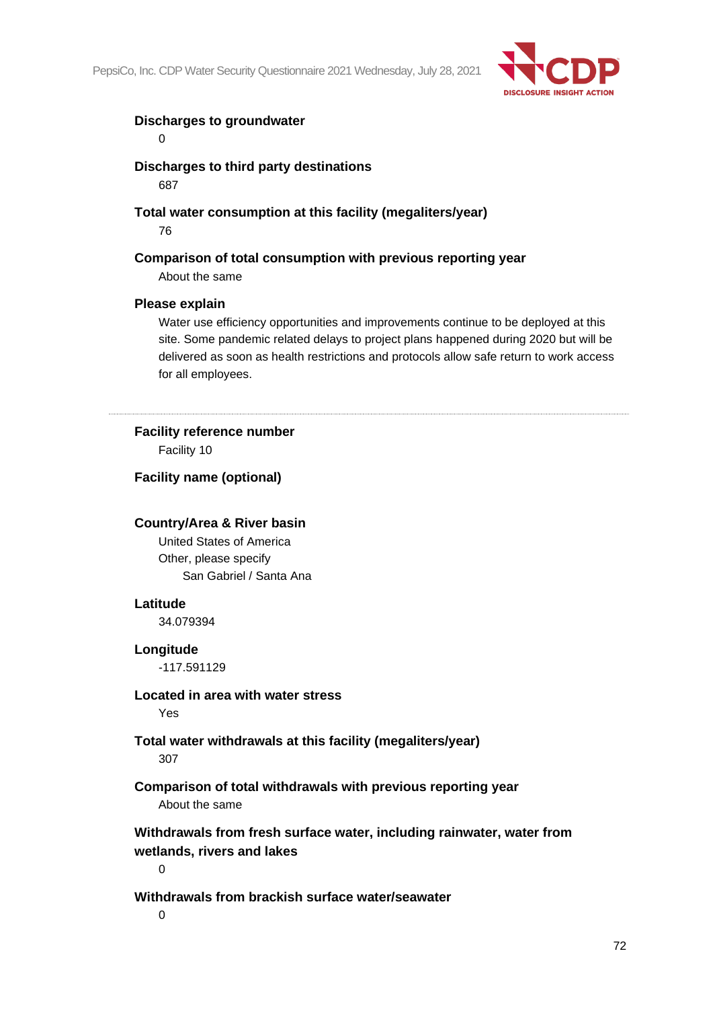

# **Discharges to groundwater**

 $\Omega$ 

**Discharges to third party destinations**

687

**Total water consumption at this facility (megaliters/year)**

76

# **Comparison of total consumption with previous reporting year**

About the same

# **Please explain**

Water use efficiency opportunities and improvements continue to be deployed at this site. Some pandemic related delays to project plans happened during 2020 but will be delivered as soon as health restrictions and protocols allow safe return to work access for all employees.

**Facility reference number** Facility 10

**Facility name (optional)**

# **Country/Area & River basin**

United States of America Other, please specify San Gabriel / Santa Ana

# **Latitude**

34.079394

# **Longitude**

-117.591129

# **Located in area with water stress**

Yes

# **Total water withdrawals at this facility (megaliters/year)**

307

**Comparison of total withdrawals with previous reporting year** About the same

**Withdrawals from fresh surface water, including rainwater, water from wetlands, rivers and lakes**

 $\Omega$ 

# **Withdrawals from brackish surface water/seawater**

 $\Omega$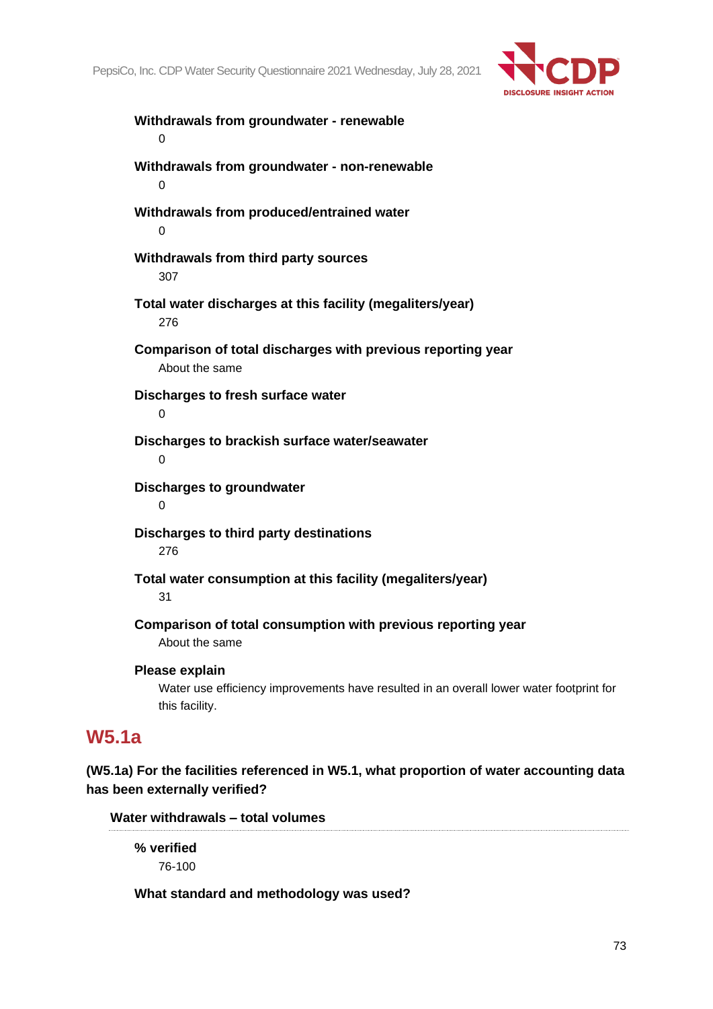

**Withdrawals from groundwater - renewable**  $\Omega$ **Withdrawals from groundwater - non-renewable**  $\Omega$ **Withdrawals from produced/entrained water** 0 **Withdrawals from third party sources** 307 **Total water discharges at this facility (megaliters/year)** 276 **Comparison of total discharges with previous reporting year** About the same **Discharges to fresh surface water** 0 **Discharges to brackish surface water/seawater**  $\Omega$ **Discharges to groundwater**  $\Omega$ **Discharges to third party destinations** 276 **Total water consumption at this facility (megaliters/year)** 31 **Comparison of total consumption with previous reporting year** About the same **Please explain** Water use efficiency improvements have resulted in an overall lower water footprint for this facility.

# **W5.1a**

**(W5.1a) For the facilities referenced in W5.1, what proportion of water accounting data has been externally verified?**

**Water withdrawals – total volumes**

**% verified** 76-100

### **What standard and methodology was used?**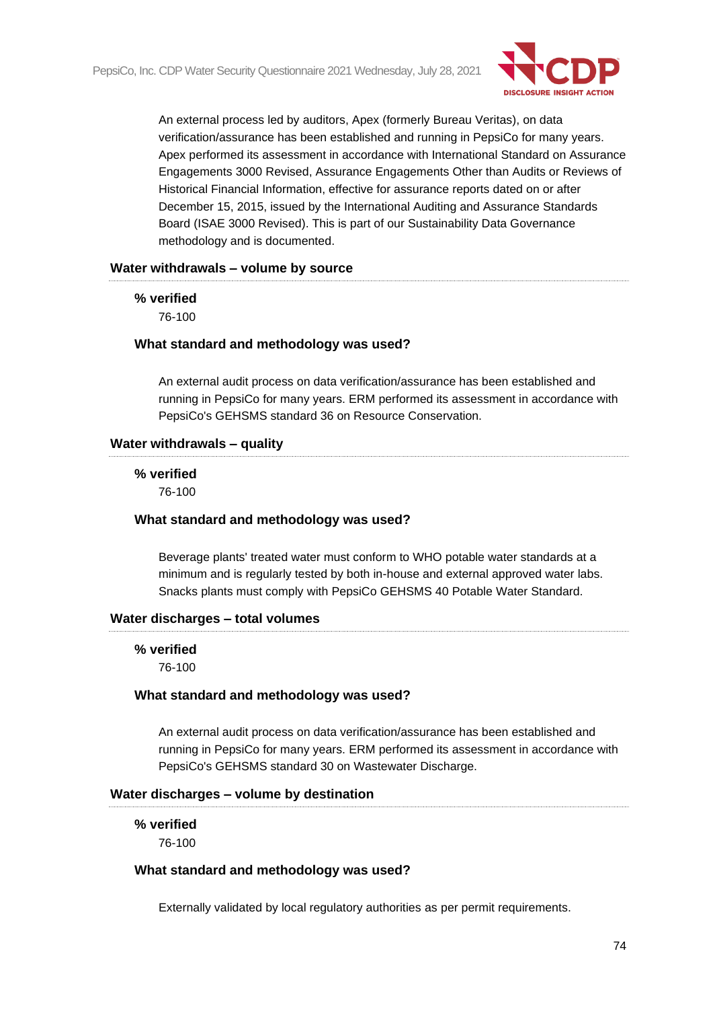

An external process led by auditors, Apex (formerly Bureau Veritas), on data verification/assurance has been established and running in PepsiCo for many years. Apex performed its assessment in accordance with International Standard on Assurance Engagements 3000 Revised, Assurance Engagements Other than Audits or Reviews of Historical Financial Information, effective for assurance reports dated on or after December 15, 2015, issued by the International Auditing and Assurance Standards Board (ISAE 3000 Revised). This is part of our Sustainability Data Governance methodology and is documented.

#### **Water withdrawals – volume by source**

#### **% verified**

76-100

#### **What standard and methodology was used?**

An external audit process on data verification/assurance has been established and running in PepsiCo for many years. ERM performed its assessment in accordance with PepsiCo's GEHSMS standard 36 on Resource Conservation.

#### **Water withdrawals – quality**

# **% verified**

76-100

#### **What standard and methodology was used?**

Beverage plants' treated water must conform to WHO potable water standards at a minimum and is regularly tested by both in-house and external approved water labs. Snacks plants must comply with PepsiCo GEHSMS 40 Potable Water Standard.

#### **Water discharges – total volumes**

#### **% verified**

76-100

#### **What standard and methodology was used?**

An external audit process on data verification/assurance has been established and running in PepsiCo for many years. ERM performed its assessment in accordance with PepsiCo's GEHSMS standard 30 on Wastewater Discharge.

#### **Water discharges – volume by destination**

#### **% verified**

76-100

#### **What standard and methodology was used?**

Externally validated by local regulatory authorities as per permit requirements.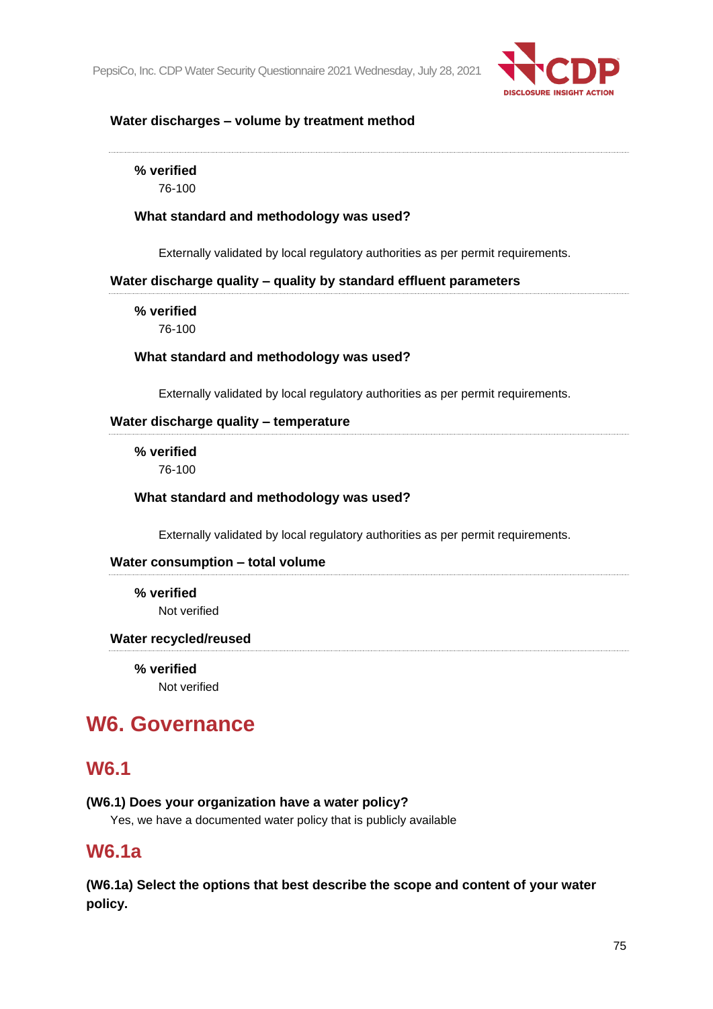

#### **Water discharges – volume by treatment method**

**% verified**

76-100

#### **What standard and methodology was used?**

Externally validated by local regulatory authorities as per permit requirements.

#### **Water discharge quality – quality by standard effluent parameters**

**% verified**

76-100

#### **What standard and methodology was used?**

Externally validated by local regulatory authorities as per permit requirements.

#### **Water discharge quality – temperature**

#### **% verified**

76-100

#### **What standard and methodology was used?**

Externally validated by local regulatory authorities as per permit requirements.

#### **Water consumption – total volume**

**% verified** Not verified

#### **Water recycled/reused**

**% verified**

Not verified

# **W6. Governance**

## **W6.1**

#### **(W6.1) Does your organization have a water policy?**

Yes, we have a documented water policy that is publicly available

## **W6.1a**

**(W6.1a) Select the options that best describe the scope and content of your water policy.**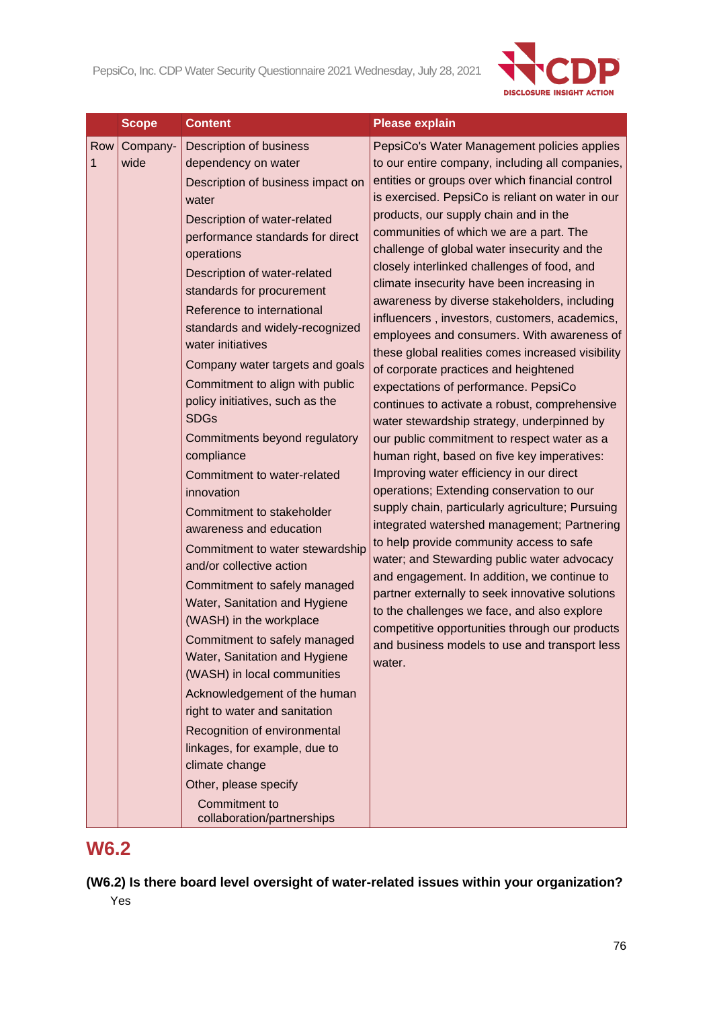

|          | <b>Scope</b>     | <b>Content</b>                                                                                                                                                                                                                                                                                                                                                                                                                                                                                                                                                                                                                                                                                                                                                                                                                                                                                                                                                                                                                                                                                       | <b>Please explain</b>                                                                                                                                                                                                                                                                                                                                                                                                                                                                                                                                                                                                                                                                                                                                                                                                                                                                                                                                                                                                                                                                                                                                                                                                                                                                                                                                                                                                                                                         |
|----------|------------------|------------------------------------------------------------------------------------------------------------------------------------------------------------------------------------------------------------------------------------------------------------------------------------------------------------------------------------------------------------------------------------------------------------------------------------------------------------------------------------------------------------------------------------------------------------------------------------------------------------------------------------------------------------------------------------------------------------------------------------------------------------------------------------------------------------------------------------------------------------------------------------------------------------------------------------------------------------------------------------------------------------------------------------------------------------------------------------------------------|-------------------------------------------------------------------------------------------------------------------------------------------------------------------------------------------------------------------------------------------------------------------------------------------------------------------------------------------------------------------------------------------------------------------------------------------------------------------------------------------------------------------------------------------------------------------------------------------------------------------------------------------------------------------------------------------------------------------------------------------------------------------------------------------------------------------------------------------------------------------------------------------------------------------------------------------------------------------------------------------------------------------------------------------------------------------------------------------------------------------------------------------------------------------------------------------------------------------------------------------------------------------------------------------------------------------------------------------------------------------------------------------------------------------------------------------------------------------------------|
| Row<br>1 | Company-<br>wide | Description of business<br>dependency on water<br>Description of business impact on<br>water<br>Description of water-related<br>performance standards for direct<br>operations<br>Description of water-related<br>standards for procurement<br>Reference to international<br>standards and widely-recognized<br>water initiatives<br>Company water targets and goals<br>Commitment to align with public<br>policy initiatives, such as the<br><b>SDGs</b><br>Commitments beyond regulatory<br>compliance<br>Commitment to water-related<br>innovation<br>Commitment to stakeholder<br>awareness and education<br>Commitment to water stewardship<br>and/or collective action<br>Commitment to safely managed<br>Water, Sanitation and Hygiene<br>(WASH) in the workplace<br>Commitment to safely managed<br>Water, Sanitation and Hygiene<br>(WASH) in local communities<br>Acknowledgement of the human<br>right to water and sanitation<br>Recognition of environmental<br>linkages, for example, due to<br>climate change<br>Other, please specify<br>Commitment to<br>collaboration/partnerships | PepsiCo's Water Management policies applies<br>to our entire company, including all companies,<br>entities or groups over which financial control<br>is exercised. PepsiCo is reliant on water in our<br>products, our supply chain and in the<br>communities of which we are a part. The<br>challenge of global water insecurity and the<br>closely interlinked challenges of food, and<br>climate insecurity have been increasing in<br>awareness by diverse stakeholders, including<br>influencers, investors, customers, academics,<br>employees and consumers. With awareness of<br>these global realities comes increased visibility<br>of corporate practices and heightened<br>expectations of performance. PepsiCo<br>continues to activate a robust, comprehensive<br>water stewardship strategy, underpinned by<br>our public commitment to respect water as a<br>human right, based on five key imperatives:<br>Improving water efficiency in our direct<br>operations; Extending conservation to our<br>supply chain, particularly agriculture; Pursuing<br>integrated watershed management; Partnering<br>to help provide community access to safe<br>water; and Stewarding public water advocacy<br>and engagement. In addition, we continue to<br>partner externally to seek innovative solutions<br>to the challenges we face, and also explore<br>competitive opportunities through our products<br>and business models to use and transport less<br>water. |

# **W6.2**

**(W6.2) Is there board level oversight of water-related issues within your organization?** Yes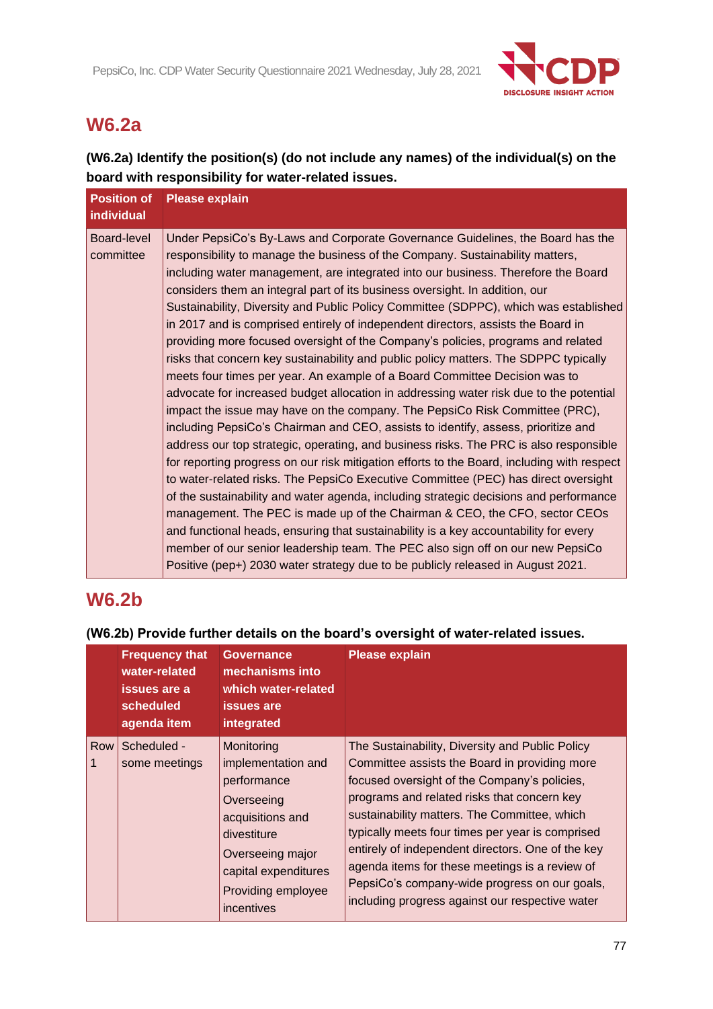

# **W6.2a**

**(W6.2a) Identify the position(s) (do not include any names) of the individual(s) on the board with responsibility for water-related issues.**

| <b>Position of</b><br>individual | <b>Please explain</b>                                                                                                                                                                                                                                                                                                                                                                                                                                                                                                                                                                                                                                                                                                                                                                                                                                                                                                                                                                                                                                                                                                                                                                                                                                                                                                                                                                                                                                                                                                                                                                                                                                                                                                                                    |
|----------------------------------|----------------------------------------------------------------------------------------------------------------------------------------------------------------------------------------------------------------------------------------------------------------------------------------------------------------------------------------------------------------------------------------------------------------------------------------------------------------------------------------------------------------------------------------------------------------------------------------------------------------------------------------------------------------------------------------------------------------------------------------------------------------------------------------------------------------------------------------------------------------------------------------------------------------------------------------------------------------------------------------------------------------------------------------------------------------------------------------------------------------------------------------------------------------------------------------------------------------------------------------------------------------------------------------------------------------------------------------------------------------------------------------------------------------------------------------------------------------------------------------------------------------------------------------------------------------------------------------------------------------------------------------------------------------------------------------------------------------------------------------------------------|
| Board-level<br>committee         | Under PepsiCo's By-Laws and Corporate Governance Guidelines, the Board has the<br>responsibility to manage the business of the Company. Sustainability matters,<br>including water management, are integrated into our business. Therefore the Board<br>considers them an integral part of its business oversight. In addition, our<br>Sustainability, Diversity and Public Policy Committee (SDPPC), which was established<br>in 2017 and is comprised entirely of independent directors, assists the Board in<br>providing more focused oversight of the Company's policies, programs and related<br>risks that concern key sustainability and public policy matters. The SDPPC typically<br>meets four times per year. An example of a Board Committee Decision was to<br>advocate for increased budget allocation in addressing water risk due to the potential<br>impact the issue may have on the company. The PepsiCo Risk Committee (PRC),<br>including PepsiCo's Chairman and CEO, assists to identify, assess, prioritize and<br>address our top strategic, operating, and business risks. The PRC is also responsible<br>for reporting progress on our risk mitigation efforts to the Board, including with respect<br>to water-related risks. The PepsiCo Executive Committee (PEC) has direct oversight<br>of the sustainability and water agenda, including strategic decisions and performance<br>management. The PEC is made up of the Chairman & CEO, the CFO, sector CEOs<br>and functional heads, ensuring that sustainability is a key accountability for every<br>member of our senior leadership team. The PEC also sign off on our new PepsiCo<br>Positive (pep+) 2030 water strategy due to be publicly released in August 2021. |

# **W6.2b**

|     | <b>Frequency that</b><br>water-related<br>issues are a<br>scheduled<br>agenda item | <b>Governance</b><br>mechanisms into<br>which water-related<br><b>issues</b> are<br>integrated                                                                                   | <b>Please explain</b>                                                                                                                                                                                                                                                                                                                                                                                                                                                                                          |
|-----|------------------------------------------------------------------------------------|----------------------------------------------------------------------------------------------------------------------------------------------------------------------------------|----------------------------------------------------------------------------------------------------------------------------------------------------------------------------------------------------------------------------------------------------------------------------------------------------------------------------------------------------------------------------------------------------------------------------------------------------------------------------------------------------------------|
| Row | Scheduled -<br>some meetings                                                       | Monitoring<br>implementation and<br>performance<br>Overseeing<br>acquisitions and<br>divestiture<br>Overseeing major<br>capital expenditures<br>Providing employee<br>incentives | The Sustainability, Diversity and Public Policy<br>Committee assists the Board in providing more<br>focused oversight of the Company's policies,<br>programs and related risks that concern key<br>sustainability matters. The Committee, which<br>typically meets four times per year is comprised<br>entirely of independent directors. One of the key<br>agenda items for these meetings is a review of<br>PepsiCo's company-wide progress on our goals,<br>including progress against our respective water |

## **(W6.2b) Provide further details on the board's oversight of water-related issues.**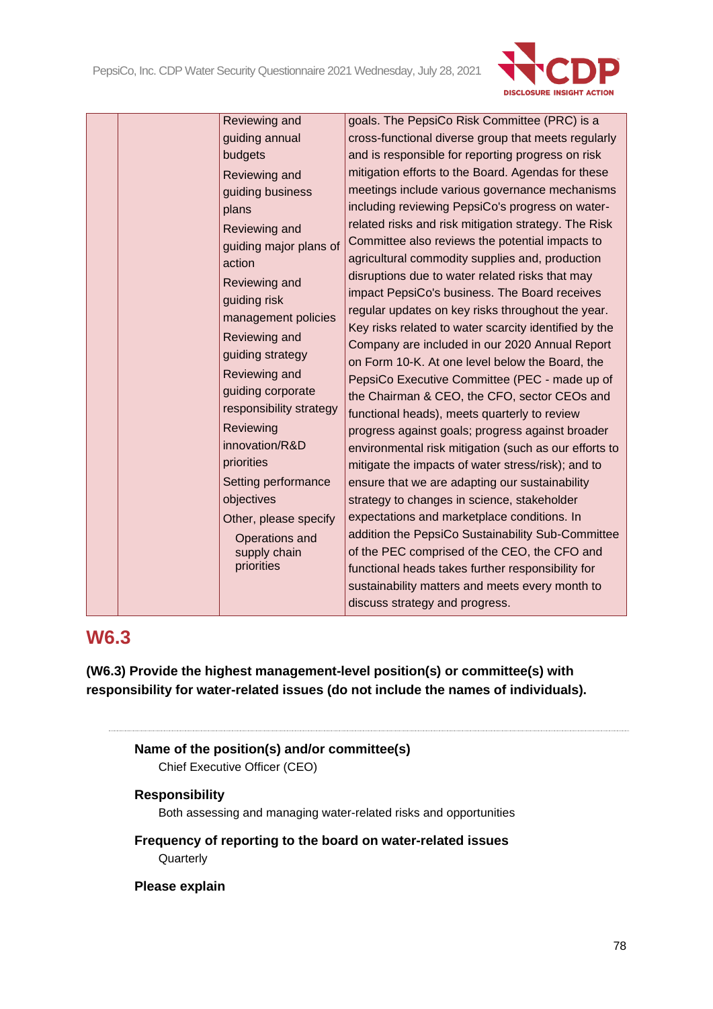

Reviewing and guiding annual budgets Reviewing and guiding business plans Reviewing and guiding major plans of action Reviewing and guiding risk management policies Reviewing and guiding strategy Reviewing and guiding corporate responsibility strategy Reviewing innovation/R&D priorities Setting performance objectives Other, please specify Operations and supply chain priorities

goals. The PepsiCo Risk Committee (PRC) is a cross-functional diverse group that meets regularly and is responsible for reporting progress on risk mitigation efforts to the Board. Agendas for these meetings include various governance mechanisms including reviewing PepsiCo's progress on waterrelated risks and risk mitigation strategy. The Risk Committee also reviews the potential impacts to agricultural commodity supplies and, production disruptions due to water related risks that may impact PepsiCo's business. The Board receives regular updates on key risks throughout the year. Key risks related to water scarcity identified by the Company are included in our 2020 Annual Report on Form 10-K. At one level below the Board, the PepsiCo Executive Committee (PEC - made up of the Chairman & CEO, the CFO, sector CEOs and functional heads), meets quarterly to review progress against goals; progress against broader environmental risk mitigation (such as our efforts to mitigate the impacts of water stress/risk); and to ensure that we are adapting our sustainability strategy to changes in science, stakeholder expectations and marketplace conditions. In addition the PepsiCo Sustainability Sub-Committee of the PEC comprised of the CEO, the CFO and functional heads takes further responsibility for sustainability matters and meets every month to discuss strategy and progress.

# **W6.3**

**(W6.3) Provide the highest management-level position(s) or committee(s) with responsibility for water-related issues (do not include the names of individuals).**

```
Name of the position(s) and/or committee(s)
Chief Executive Officer (CEO)
```
### **Responsibility**

Both assessing and managing water-related risks and opportunities

**Frequency of reporting to the board on water-related issues Quarterly** 

**Please explain**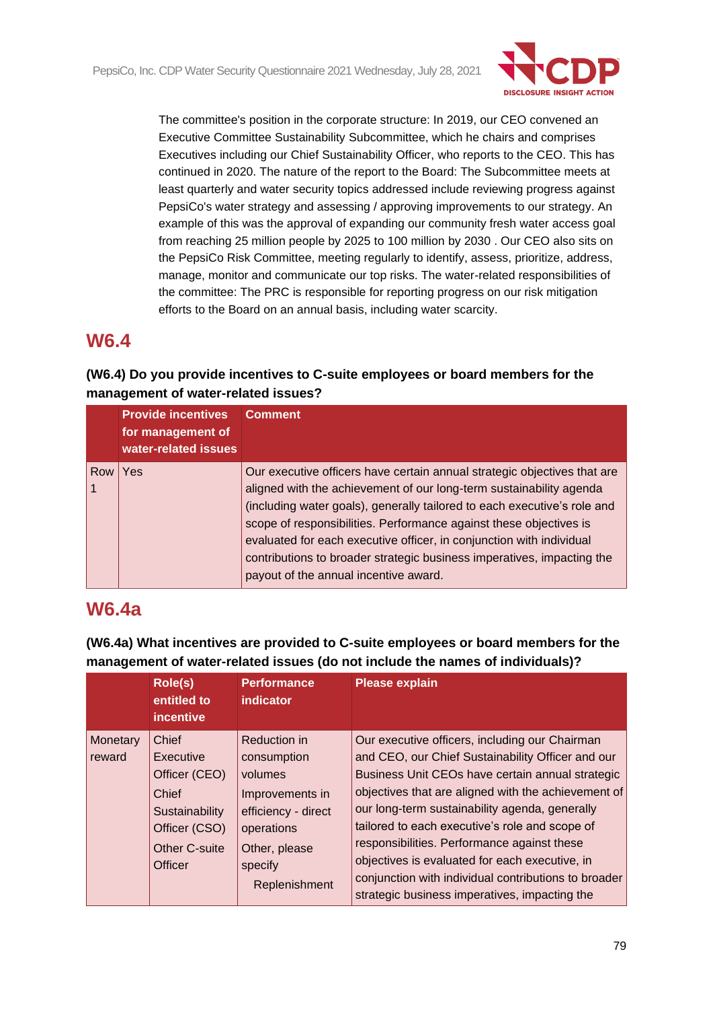

The committee's position in the corporate structure: In 2019, our CEO convened an Executive Committee Sustainability Subcommittee, which he chairs and comprises Executives including our Chief Sustainability Officer, who reports to the CEO. This has continued in 2020. The nature of the report to the Board: The Subcommittee meets at least quarterly and water security topics addressed include reviewing progress against PepsiCo's water strategy and assessing / approving improvements to our strategy. An example of this was the approval of expanding our community fresh water access goal from reaching 25 million people by 2025 to 100 million by 2030 . Our CEO also sits on the PepsiCo Risk Committee, meeting regularly to identify, assess, prioritize, address, manage, monitor and communicate our top risks. The water-related responsibilities of the committee: The PRC is responsible for reporting progress on our risk mitigation efforts to the Board on an annual basis, including water scarcity.

# **W6.4**

### **(W6.4) Do you provide incentives to C-suite employees or board members for the management of water-related issues?**

|     | <b>Provide incentives</b><br>for management of<br>water-related issues | <b>Comment</b>                                                                                                                                                                                                                                                                                                                                                                                                                                                                               |
|-----|------------------------------------------------------------------------|----------------------------------------------------------------------------------------------------------------------------------------------------------------------------------------------------------------------------------------------------------------------------------------------------------------------------------------------------------------------------------------------------------------------------------------------------------------------------------------------|
| Row | Yes                                                                    | Our executive officers have certain annual strategic objectives that are<br>aligned with the achievement of our long-term sustainability agenda<br>(including water goals), generally tailored to each executive's role and<br>scope of responsibilities. Performance against these objectives is<br>evaluated for each executive officer, in conjunction with individual<br>contributions to broader strategic business imperatives, impacting the<br>payout of the annual incentive award. |

# **W6.4a**

**(W6.4a) What incentives are provided to C-suite employees or board members for the management of water-related issues (do not include the names of individuals)?**

|                    | Role(s)<br>entitled to<br><i>incentive</i>                                                                         | <b>Performance</b><br>indicator                                                                                                             | <b>Please explain</b>                                                                                                                                                                                                                                                                                                                                                                                                                                                                                                        |
|--------------------|--------------------------------------------------------------------------------------------------------------------|---------------------------------------------------------------------------------------------------------------------------------------------|------------------------------------------------------------------------------------------------------------------------------------------------------------------------------------------------------------------------------------------------------------------------------------------------------------------------------------------------------------------------------------------------------------------------------------------------------------------------------------------------------------------------------|
| Monetary<br>reward | <b>Chief</b><br>Executive<br>Officer (CEO)<br>Chief<br>Sustainability<br>Officer (CSO)<br>Other C-suite<br>Officer | Reduction in<br>consumption<br>volumes<br>Improvements in<br>efficiency - direct<br>operations<br>Other, please<br>specify<br>Replenishment | Our executive officers, including our Chairman<br>and CEO, our Chief Sustainability Officer and our<br>Business Unit CEOs have certain annual strategic<br>objectives that are aligned with the achievement of<br>our long-term sustainability agenda, generally<br>tailored to each executive's role and scope of<br>responsibilities. Performance against these<br>objectives is evaluated for each executive, in<br>conjunction with individual contributions to broader<br>strategic business imperatives, impacting the |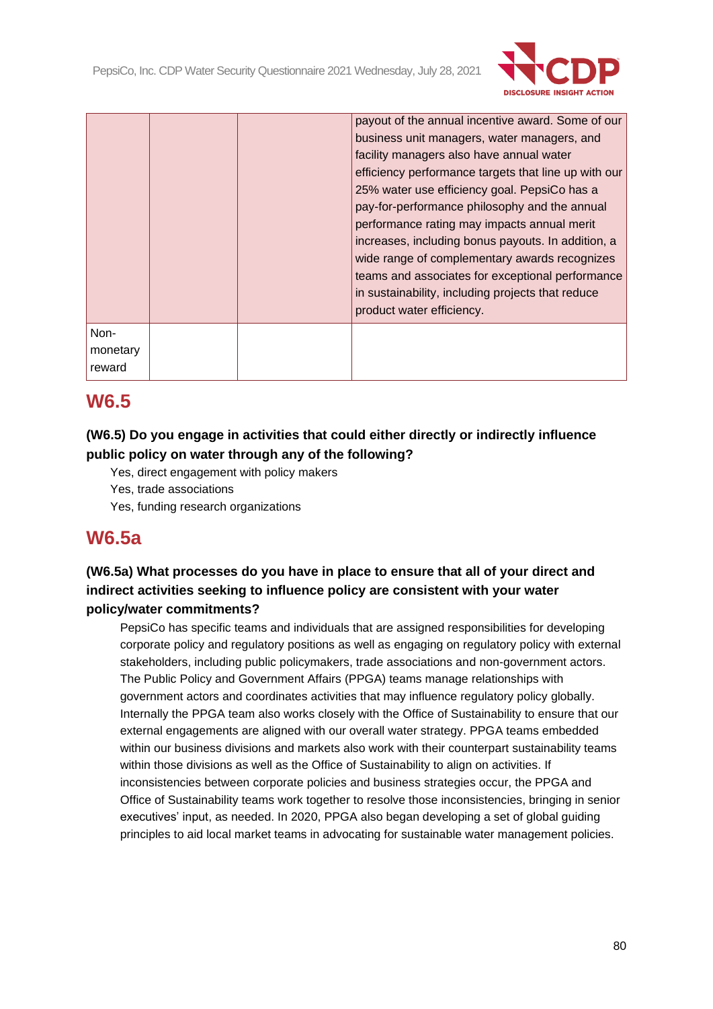

|                            |  | payout of the annual incentive award. Some of our<br>business unit managers, water managers, and<br>facility managers also have annual water<br>efficiency performance targets that line up with our<br>25% water use efficiency goal. PepsiCo has a<br>pay-for-performance philosophy and the annual<br>performance rating may impacts annual merit<br>increases, including bonus payouts. In addition, a<br>wide range of complementary awards recognizes<br>teams and associates for exceptional performance<br>in sustainability, including projects that reduce<br>product water efficiency. |
|----------------------------|--|---------------------------------------------------------------------------------------------------------------------------------------------------------------------------------------------------------------------------------------------------------------------------------------------------------------------------------------------------------------------------------------------------------------------------------------------------------------------------------------------------------------------------------------------------------------------------------------------------|
| Non-<br>monetary<br>reward |  |                                                                                                                                                                                                                                                                                                                                                                                                                                                                                                                                                                                                   |

# **W6.5**

### **(W6.5) Do you engage in activities that could either directly or indirectly influence public policy on water through any of the following?**

- Yes, direct engagement with policy makers
- Yes, trade associations
- Yes, funding research organizations

## **W6.5a**

### **(W6.5a) What processes do you have in place to ensure that all of your direct and indirect activities seeking to influence policy are consistent with your water policy/water commitments?**

PepsiCo has specific teams and individuals that are assigned responsibilities for developing corporate policy and regulatory positions as well as engaging on regulatory policy with external stakeholders, including public policymakers, trade associations and non-government actors. The Public Policy and Government Affairs (PPGA) teams manage relationships with government actors and coordinates activities that may influence regulatory policy globally. Internally the PPGA team also works closely with the Office of Sustainability to ensure that our external engagements are aligned with our overall water strategy. PPGA teams embedded within our business divisions and markets also work with their counterpart sustainability teams within those divisions as well as the Office of Sustainability to align on activities. If inconsistencies between corporate policies and business strategies occur, the PPGA and Office of Sustainability teams work together to resolve those inconsistencies, bringing in senior executives' input, as needed. In 2020, PPGA also began developing a set of global guiding principles to aid local market teams in advocating for sustainable water management policies.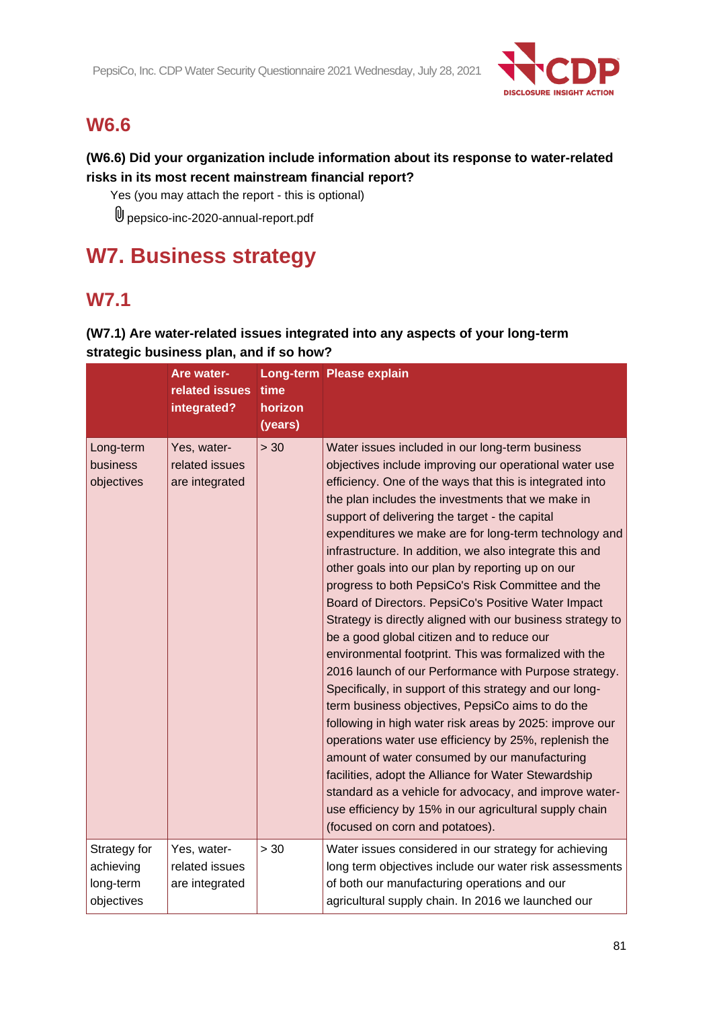

# **W6.6**

### **(W6.6) Did your organization include information about its response to water-related risks in its most recent mainstream financial report?**

Yes (you may attach the report - this is optional)

pepsico-inc-2020-annual-report.pdf

# **W7. Business strategy**

# **W7.1**

## **(W7.1) Are water-related issues integrated into any aspects of your long-term strategic business plan, and if so how?**

|                                                      | Are water-<br>related issues<br>integrated?     | time<br>horizon<br>(years) | Long-term Please explain                                                                                                                                                                                                                                                                                                                                                                                                                                                                                                                                                                                                                                                                                                                                                                                                                                                                                                                                                                                                                                                                                                                                                                                                                                                                          |
|------------------------------------------------------|-------------------------------------------------|----------------------------|---------------------------------------------------------------------------------------------------------------------------------------------------------------------------------------------------------------------------------------------------------------------------------------------------------------------------------------------------------------------------------------------------------------------------------------------------------------------------------------------------------------------------------------------------------------------------------------------------------------------------------------------------------------------------------------------------------------------------------------------------------------------------------------------------------------------------------------------------------------------------------------------------------------------------------------------------------------------------------------------------------------------------------------------------------------------------------------------------------------------------------------------------------------------------------------------------------------------------------------------------------------------------------------------------|
| Long-term<br>business<br>objectives                  | Yes, water-<br>related issues<br>are integrated | > 30                       | Water issues included in our long-term business<br>objectives include improving our operational water use<br>efficiency. One of the ways that this is integrated into<br>the plan includes the investments that we make in<br>support of delivering the target - the capital<br>expenditures we make are for long-term technology and<br>infrastructure. In addition, we also integrate this and<br>other goals into our plan by reporting up on our<br>progress to both PepsiCo's Risk Committee and the<br>Board of Directors. PepsiCo's Positive Water Impact<br>Strategy is directly aligned with our business strategy to<br>be a good global citizen and to reduce our<br>environmental footprint. This was formalized with the<br>2016 launch of our Performance with Purpose strategy.<br>Specifically, in support of this strategy and our long-<br>term business objectives, PepsiCo aims to do the<br>following in high water risk areas by 2025: improve our<br>operations water use efficiency by 25%, replenish the<br>amount of water consumed by our manufacturing<br>facilities, adopt the Alliance for Water Stewardship<br>standard as a vehicle for advocacy, and improve water-<br>use efficiency by 15% in our agricultural supply chain<br>(focused on corn and potatoes). |
| Strategy for<br>achieving<br>long-term<br>objectives | Yes, water-<br>related issues<br>are integrated | > 30                       | Water issues considered in our strategy for achieving<br>long term objectives include our water risk assessments<br>of both our manufacturing operations and our<br>agricultural supply chain. In 2016 we launched our                                                                                                                                                                                                                                                                                                                                                                                                                                                                                                                                                                                                                                                                                                                                                                                                                                                                                                                                                                                                                                                                            |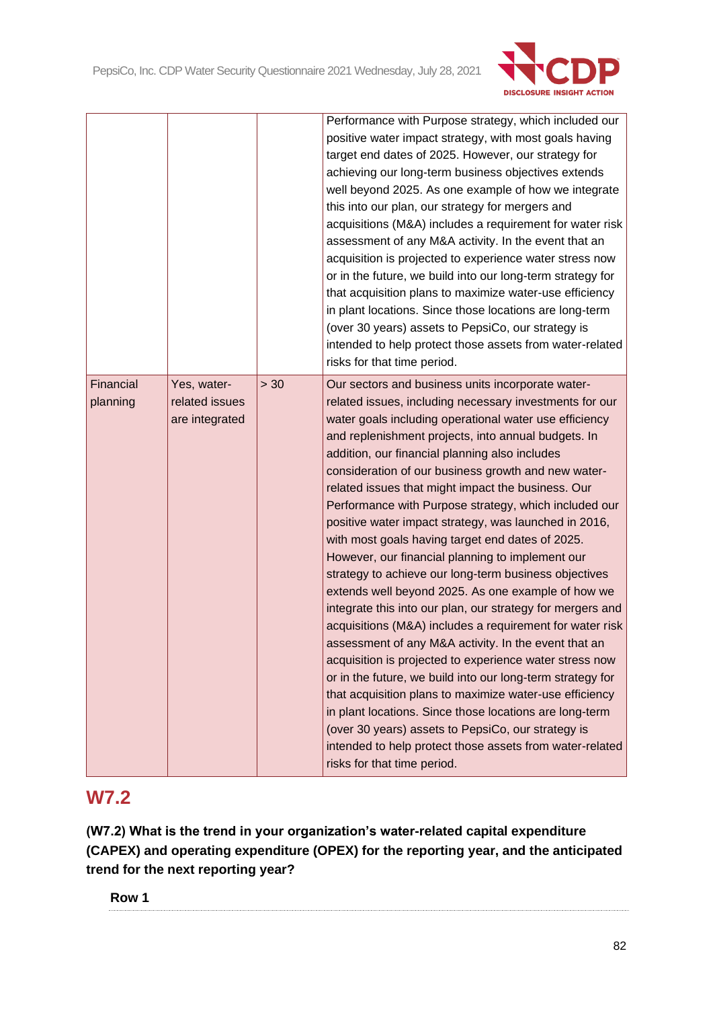

|                       |                                                 |      | Performance with Purpose strategy, which included our<br>positive water impact strategy, with most goals having<br>target end dates of 2025. However, our strategy for<br>achieving our long-term business objectives extends<br>well beyond 2025. As one example of how we integrate<br>this into our plan, our strategy for mergers and<br>acquisitions (M&A) includes a requirement for water risk<br>assessment of any M&A activity. In the event that an<br>acquisition is projected to experience water stress now<br>or in the future, we build into our long-term strategy for<br>that acquisition plans to maximize water-use efficiency<br>in plant locations. Since those locations are long-term<br>(over 30 years) assets to PepsiCo, our strategy is<br>intended to help protect those assets from water-related<br>risks for that time period.                                                                                                                                                                                                                                                                                                                                                                                                                                                           |
|-----------------------|-------------------------------------------------|------|-------------------------------------------------------------------------------------------------------------------------------------------------------------------------------------------------------------------------------------------------------------------------------------------------------------------------------------------------------------------------------------------------------------------------------------------------------------------------------------------------------------------------------------------------------------------------------------------------------------------------------------------------------------------------------------------------------------------------------------------------------------------------------------------------------------------------------------------------------------------------------------------------------------------------------------------------------------------------------------------------------------------------------------------------------------------------------------------------------------------------------------------------------------------------------------------------------------------------------------------------------------------------------------------------------------------------|
| Financial<br>planning | Yes, water-<br>related issues<br>are integrated | > 30 | Our sectors and business units incorporate water-<br>related issues, including necessary investments for our<br>water goals including operational water use efficiency<br>and replenishment projects, into annual budgets. In<br>addition, our financial planning also includes<br>consideration of our business growth and new water-<br>related issues that might impact the business. Our<br>Performance with Purpose strategy, which included our<br>positive water impact strategy, was launched in 2016,<br>with most goals having target end dates of 2025.<br>However, our financial planning to implement our<br>strategy to achieve our long-term business objectives<br>extends well beyond 2025. As one example of how we<br>integrate this into our plan, our strategy for mergers and<br>acquisitions (M&A) includes a requirement for water risk<br>assessment of any M&A activity. In the event that an<br>acquisition is projected to experience water stress now<br>or in the future, we build into our long-term strategy for<br>that acquisition plans to maximize water-use efficiency<br>in plant locations. Since those locations are long-term<br>(over 30 years) assets to PepsiCo, our strategy is<br>intended to help protect those assets from water-related<br>risks for that time period. |

# **W7.2**

**(W7.2) What is the trend in your organization's water-related capital expenditure (CAPEX) and operating expenditure (OPEX) for the reporting year, and the anticipated trend for the next reporting year?**

**Row 1**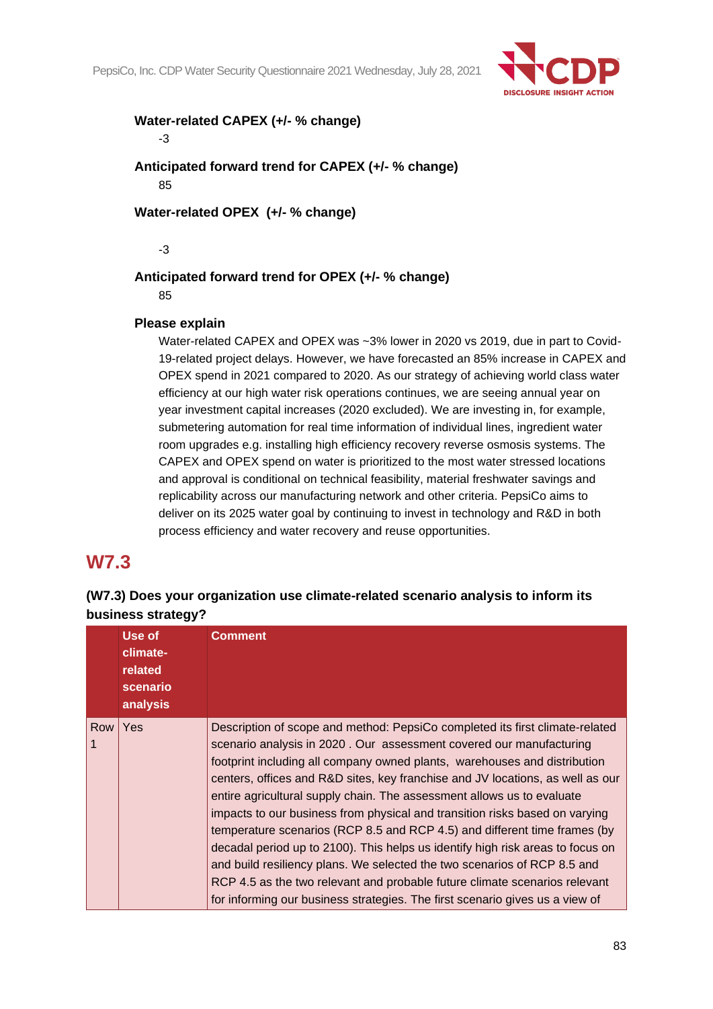

### **Water-related CAPEX (+/- % change)**

-3

**Anticipated forward trend for CAPEX (+/- % change)** 85

**Water-related OPEX (+/- % change)**

-3

### **Anticipated forward trend for OPEX (+/- % change)**

85

### **Please explain**

Water-related CAPEX and OPEX was ~3% lower in 2020 vs 2019, due in part to Covid-19-related project delays. However, we have forecasted an 85% increase in CAPEX and OPEX spend in 2021 compared to 2020. As our strategy of achieving world class water efficiency at our high water risk operations continues, we are seeing annual year on year investment capital increases (2020 excluded). We are investing in, for example, submetering automation for real time information of individual lines, ingredient water room upgrades e.g. installing high efficiency recovery reverse osmosis systems. The CAPEX and OPEX spend on water is prioritized to the most water stressed locations and approval is conditional on technical feasibility, material freshwater savings and replicability across our manufacturing network and other criteria. PepsiCo aims to deliver on its 2025 water goal by continuing to invest in technology and R&D in both process efficiency and water recovery and reuse opportunities.

# **W7.3**

### **(W7.3) Does your organization use climate-related scenario analysis to inform its business strategy?**

|            | Use of<br>climate-<br>related<br>scenario<br>analysis | <b>Comment</b>                                                                                                                                                                                                                                                                                                                                                                                                                                                                                                                                                                                                                                                                                                                                                                                                                                                                       |
|------------|-------------------------------------------------------|--------------------------------------------------------------------------------------------------------------------------------------------------------------------------------------------------------------------------------------------------------------------------------------------------------------------------------------------------------------------------------------------------------------------------------------------------------------------------------------------------------------------------------------------------------------------------------------------------------------------------------------------------------------------------------------------------------------------------------------------------------------------------------------------------------------------------------------------------------------------------------------|
| <b>Row</b> | Yes                                                   | Description of scope and method: PepsiCo completed its first climate-related<br>scenario analysis in 2020. Our assessment covered our manufacturing<br>footprint including all company owned plants, warehouses and distribution<br>centers, offices and R&D sites, key franchise and JV locations, as well as our<br>entire agricultural supply chain. The assessment allows us to evaluate<br>impacts to our business from physical and transition risks based on varying<br>temperature scenarios (RCP 8.5 and RCP 4.5) and different time frames (by<br>decadal period up to 2100). This helps us identify high risk areas to focus on<br>and build resiliency plans. We selected the two scenarios of RCP 8.5 and<br>RCP 4.5 as the two relevant and probable future climate scenarios relevant<br>for informing our business strategies. The first scenario gives us a view of |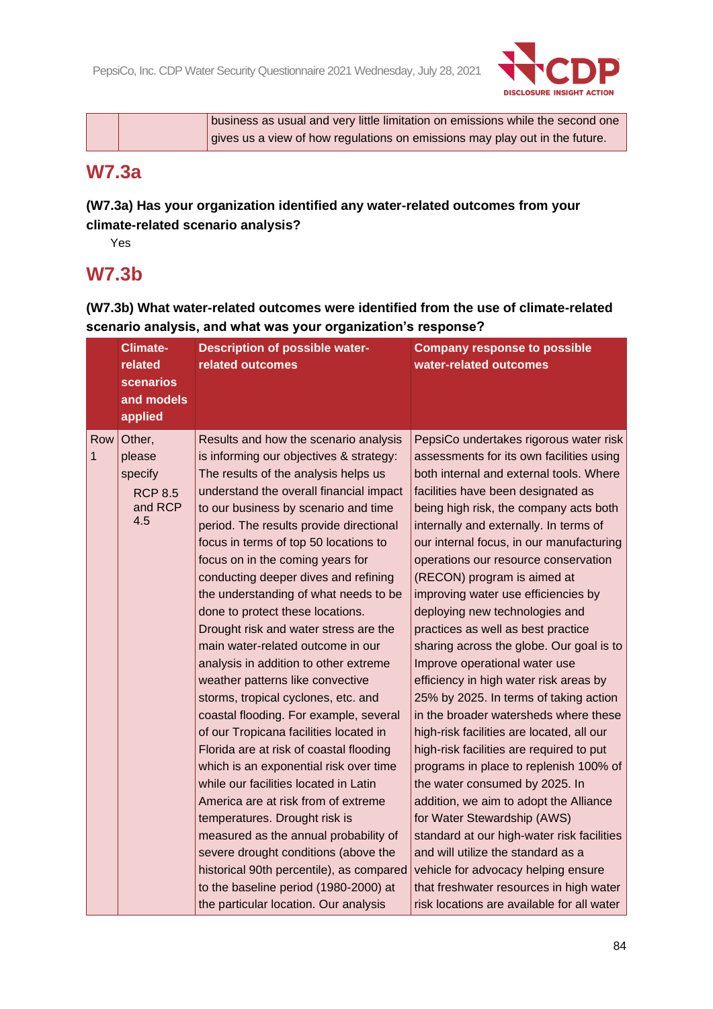

business as usual and very little limitation on emissions while the second one gives us a view of how regulations on emissions may play out in the future.

# **W7.3a**

**(W7.3a) Has your organization identified any water-related outcomes from your climate-related scenario analysis?**

Yes

# **W7.3b**

**(W7.3b) What water-related outcomes were identified from the use of climate-related scenario analysis, and what was your organization's response?**

|          | <b>Climate-</b><br>related<br><b>scenarios</b><br>and models<br>applied | <b>Description of possible water-</b><br>related outcomes                                                                                                                                                                                                                                                                                                                                                                                                                                                                                                                                                                                                                                                                                                                                                                                                                                                                                                                                                                                                                                                                                                           | <b>Company response to possible</b><br>water-related outcomes                                                                                                                                                                                                                                                                                                                                                                                                                                                                                                                                                                                                                                                                                                                                                                                                                                                                                                                                                                                                                                                                                                         |
|----------|-------------------------------------------------------------------------|---------------------------------------------------------------------------------------------------------------------------------------------------------------------------------------------------------------------------------------------------------------------------------------------------------------------------------------------------------------------------------------------------------------------------------------------------------------------------------------------------------------------------------------------------------------------------------------------------------------------------------------------------------------------------------------------------------------------------------------------------------------------------------------------------------------------------------------------------------------------------------------------------------------------------------------------------------------------------------------------------------------------------------------------------------------------------------------------------------------------------------------------------------------------|-----------------------------------------------------------------------------------------------------------------------------------------------------------------------------------------------------------------------------------------------------------------------------------------------------------------------------------------------------------------------------------------------------------------------------------------------------------------------------------------------------------------------------------------------------------------------------------------------------------------------------------------------------------------------------------------------------------------------------------------------------------------------------------------------------------------------------------------------------------------------------------------------------------------------------------------------------------------------------------------------------------------------------------------------------------------------------------------------------------------------------------------------------------------------|
| Row<br>1 | Other,<br>please<br>specify<br><b>RCP 8.5</b><br>and RCP<br>4.5         | Results and how the scenario analysis<br>is informing our objectives & strategy:<br>The results of the analysis helps us<br>understand the overall financial impact<br>to our business by scenario and time<br>period. The results provide directional<br>focus in terms of top 50 locations to<br>focus on in the coming years for<br>conducting deeper dives and refining<br>the understanding of what needs to be<br>done to protect these locations.<br>Drought risk and water stress are the<br>main water-related outcome in our<br>analysis in addition to other extreme<br>weather patterns like convective<br>storms, tropical cyclones, etc. and<br>coastal flooding. For example, several<br>of our Tropicana facilities located in<br>Florida are at risk of coastal flooding<br>which is an exponential risk over time<br>while our facilities located in Latin<br>America are at risk from of extreme<br>temperatures. Drought risk is<br>measured as the annual probability of<br>severe drought conditions (above the<br>historical 90th percentile), as compared<br>to the baseline period (1980-2000) at<br>the particular location. Our analysis | PepsiCo undertakes rigorous water risk<br>assessments for its own facilities using<br>both internal and external tools. Where<br>facilities have been designated as<br>being high risk, the company acts both<br>internally and externally. In terms of<br>our internal focus, in our manufacturing<br>operations our resource conservation<br>(RECON) program is aimed at<br>improving water use efficiencies by<br>deploying new technologies and<br>practices as well as best practice<br>sharing across the globe. Our goal is to<br>Improve operational water use<br>efficiency in high water risk areas by<br>25% by 2025. In terms of taking action<br>in the broader watersheds where these<br>high-risk facilities are located, all our<br>high-risk facilities are required to put<br>programs in place to replenish 100% of<br>the water consumed by 2025. In<br>addition, we aim to adopt the Alliance<br>for Water Stewardship (AWS)<br>standard at our high-water risk facilities<br>and will utilize the standard as a<br>vehicle for advocacy helping ensure<br>that freshwater resources in high water<br>risk locations are available for all water |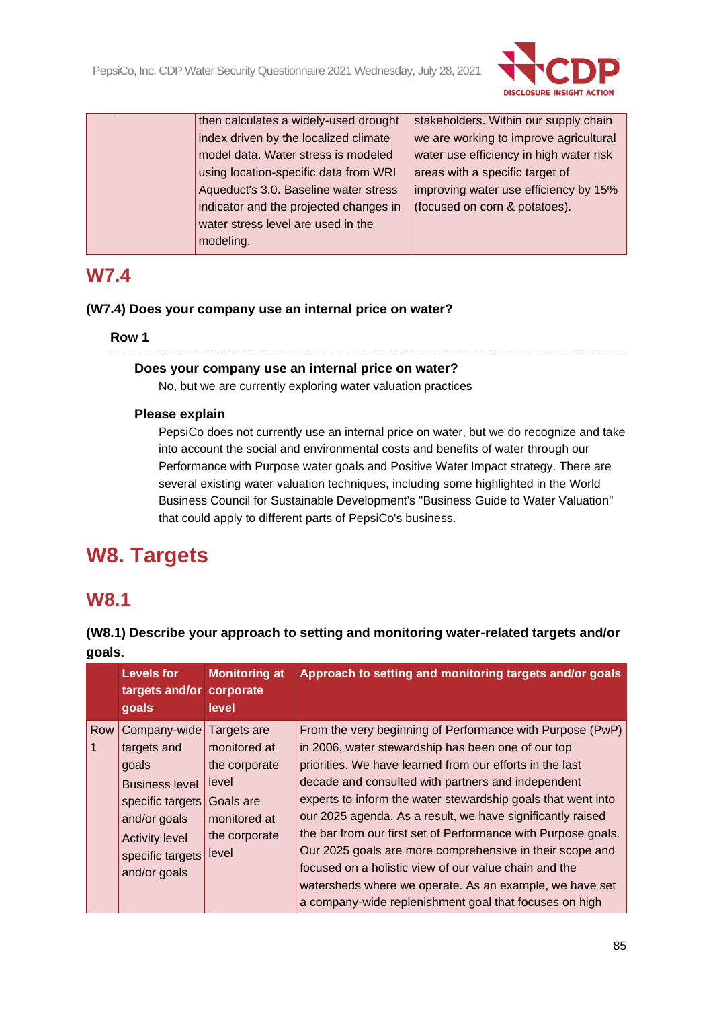

|  | then calculates a widely-used drought  | stakeholders. Within our supply chain   |
|--|----------------------------------------|-----------------------------------------|
|  | index driven by the localized climate  | we are working to improve agricultural  |
|  | model data. Water stress is modeled    | water use efficiency in high water risk |
|  | using location-specific data from WRI  | areas with a specific target of         |
|  | Aqueduct's 3.0. Baseline water stress  | improving water use efficiency by 15%   |
|  | indicator and the projected changes in | (focused on corn & potatoes).           |
|  | water stress level are used in the     |                                         |
|  | modeling.                              |                                         |
|  |                                        |                                         |

# **W7.4**

### **(W7.4) Does your company use an internal price on water?**

### **Row 1**

#### **Does your company use an internal price on water?**

No, but we are currently exploring water valuation practices

### **Please explain**

PepsiCo does not currently use an internal price on water, but we do recognize and take into account the social and environmental costs and benefits of water through our Performance with Purpose water goals and Positive Water Impact strategy. There are several existing water valuation techniques, including some highlighted in the World Business Council for Sustainable Development's "Business Guide to Water Valuation" that could apply to different parts of PepsiCo's business.

# **W8. Targets**

# **W8.1**

|                                                                                                                                   | <b>Levels for</b><br>targets and/or<br>goals | <b>Monitoring at</b><br>corporate<br>level                                                          | Approach to setting and monitoring targets and/or goals                                                                                                                                                                                                                                                                                                                                                                          |
|-----------------------------------------------------------------------------------------------------------------------------------|----------------------------------------------|-----------------------------------------------------------------------------------------------------|----------------------------------------------------------------------------------------------------------------------------------------------------------------------------------------------------------------------------------------------------------------------------------------------------------------------------------------------------------------------------------------------------------------------------------|
| Company-wide<br>Row<br>targets and<br>goals<br><b>Business level</b><br>specific targets<br>and/or goals<br><b>Activity level</b> |                                              | Targets are<br>monitored at<br>the corporate<br>level<br>Goals are<br>monitored at<br>the corporate | From the very beginning of Performance with Purpose (PwP)<br>in 2006, water stewardship has been one of our top<br>priorities. We have learned from our efforts in the last<br>decade and consulted with partners and independent<br>experts to inform the water stewardship goals that went into<br>our 2025 agenda. As a result, we have significantly raised<br>the bar from our first set of Performance with Purpose goals. |
|                                                                                                                                   | specific targets<br>and/or goals             | level                                                                                               | Our 2025 goals are more comprehensive in their scope and<br>focused on a holistic view of our value chain and the<br>watersheds where we operate. As an example, we have set<br>a company-wide replenishment goal that focuses on high                                                                                                                                                                                           |

## **(W8.1) Describe your approach to setting and monitoring water-related targets and/or goals.**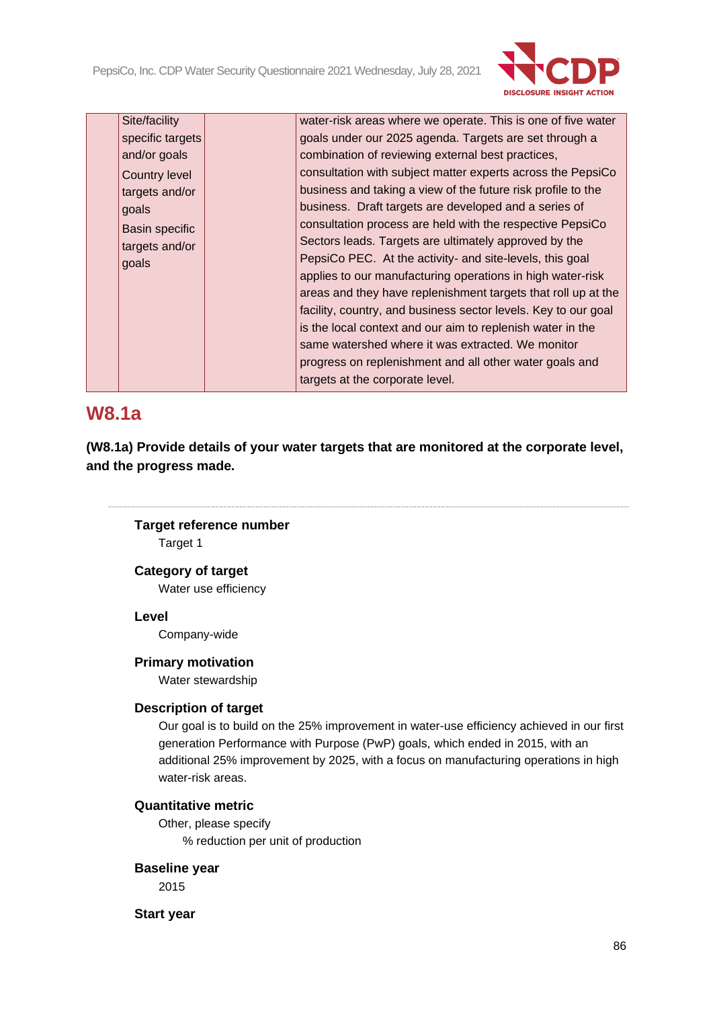PepsiCo, Inc. CDP Water Security Questionnaire 2021 Wednesday, July 28, 2021



| Site/facility         | water-risk areas where we operate. This is one of five water   |
|-----------------------|----------------------------------------------------------------|
| specific targets      | goals under our 2025 agenda. Targets are set through a         |
| and/or goals          | combination of reviewing external best practices,              |
| <b>Country level</b>  | consultation with subject matter experts across the PepsiCo    |
| targets and/or        | business and taking a view of the future risk profile to the   |
| goals                 | business. Draft targets are developed and a series of          |
| <b>Basin specific</b> | consultation process are held with the respective PepsiCo      |
| targets and/or        | Sectors leads. Targets are ultimately approved by the          |
| goals                 | PepsiCo PEC. At the activity- and site-levels, this goal       |
|                       | applies to our manufacturing operations in high water-risk     |
|                       | areas and they have replenishment targets that roll up at the  |
|                       | facility, country, and business sector levels. Key to our goal |
|                       | is the local context and our aim to replenish water in the     |
|                       | same watershed where it was extracted. We monitor              |
|                       | progress on replenishment and all other water goals and        |
|                       | targets at the corporate level.                                |
|                       |                                                                |

## **W8.1a**

**(W8.1a) Provide details of your water targets that are monitored at the corporate level, and the progress made.**

### **Target reference number**

Target 1

#### **Category of target**

Water use efficiency

#### **Level**

Company-wide

#### **Primary motivation**

Water stewardship

#### **Description of target**

Our goal is to build on the 25% improvement in water-use efficiency achieved in our first generation Performance with Purpose (PwP) goals, which ended in 2015, with an additional 25% improvement by 2025, with a focus on manufacturing operations in high water-risk areas.

#### **Quantitative metric**

Other, please specify % reduction per unit of production

#### **Baseline year**

2015

**Start year**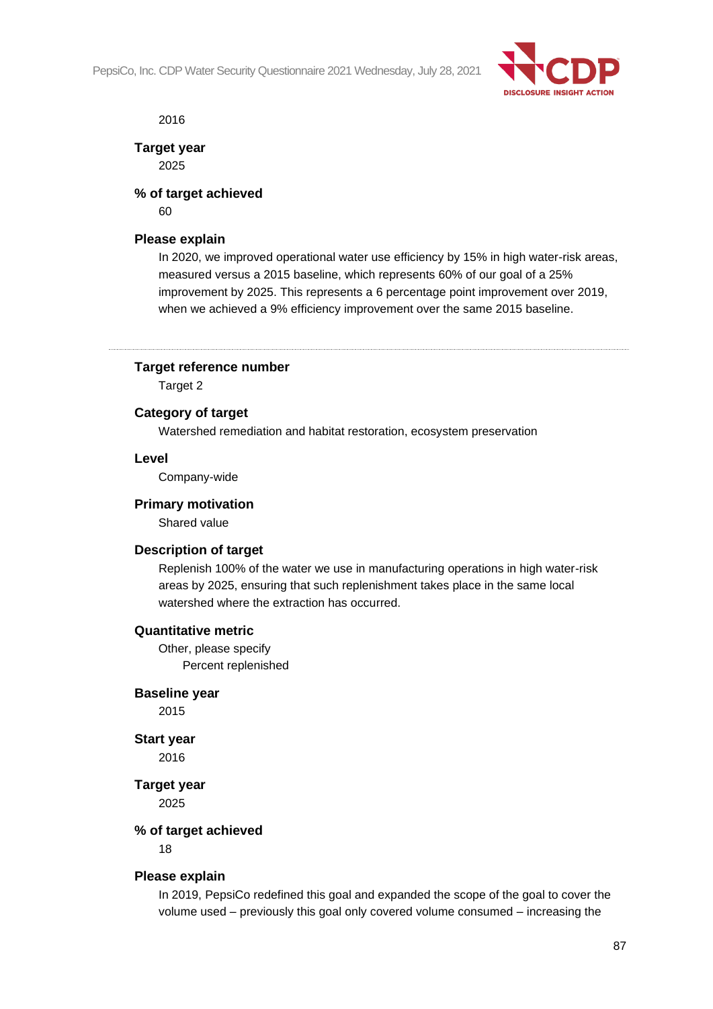PepsiCo, Inc. CDP Water Security Questionnaire 2021 Wednesday, July 28, 2021



2016

**Target year** 2025

# **% of target achieved**

60

### **Please explain**

In 2020, we improved operational water use efficiency by 15% in high water-risk areas, measured versus a 2015 baseline, which represents 60% of our goal of a 25% improvement by 2025. This represents a 6 percentage point improvement over 2019, when we achieved a 9% efficiency improvement over the same 2015 baseline.

### **Target reference number**

Target 2

### **Category of target**

Watershed remediation and habitat restoration, ecosystem preservation

#### **Level**

Company-wide

#### **Primary motivation**

Shared value

### **Description of target**

Replenish 100% of the water we use in manufacturing operations in high water-risk areas by 2025, ensuring that such replenishment takes place in the same local watershed where the extraction has occurred.

#### **Quantitative metric**

Other, please specify Percent replenished

#### **Baseline year**

2015

### **Start year**

2016

**Target year**

2025

### **% of target achieved**

18

### **Please explain**

In 2019, PepsiCo redefined this goal and expanded the scope of the goal to cover the volume used – previously this goal only covered volume consumed – increasing the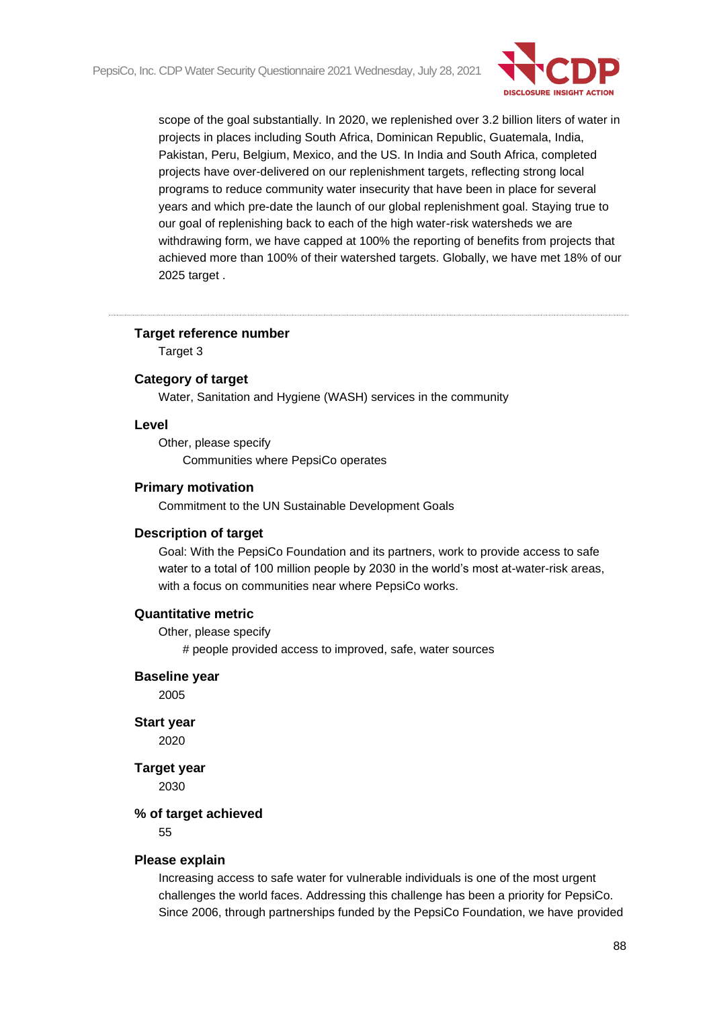

scope of the goal substantially. In 2020, we replenished over 3.2 billion liters of water in projects in places including South Africa, Dominican Republic, Guatemala, India, Pakistan, Peru, Belgium, Mexico, and the US. In India and South Africa, completed projects have over-delivered on our replenishment targets, reflecting strong local programs to reduce community water insecurity that have been in place for several years and which pre-date the launch of our global replenishment goal. Staying true to our goal of replenishing back to each of the high water-risk watersheds we are withdrawing form, we have capped at 100% the reporting of benefits from projects that achieved more than 100% of their watershed targets. Globally, we have met 18% of our 2025 target .

#### **Target reference number**

Target 3

#### **Category of target**

Water, Sanitation and Hygiene (WASH) services in the community

#### **Level**

Other, please specify Communities where PepsiCo operates

#### **Primary motivation**

Commitment to the UN Sustainable Development Goals

#### **Description of target**

Goal: With the PepsiCo Foundation and its partners, work to provide access to safe water to a total of 100 million people by 2030 in the world's most at-water-risk areas, with a focus on communities near where PepsiCo works.

#### **Quantitative metric**

Other, please specify

# people provided access to improved, safe, water sources

#### **Baseline year**

2005

#### **Start year**

2020

#### **Target year**

2030

#### **% of target achieved**

55

#### **Please explain**

Increasing access to safe water for vulnerable individuals is one of the most urgent challenges the world faces. Addressing this challenge has been a priority for PepsiCo. Since 2006, through partnerships funded by the PepsiCo Foundation, we have provided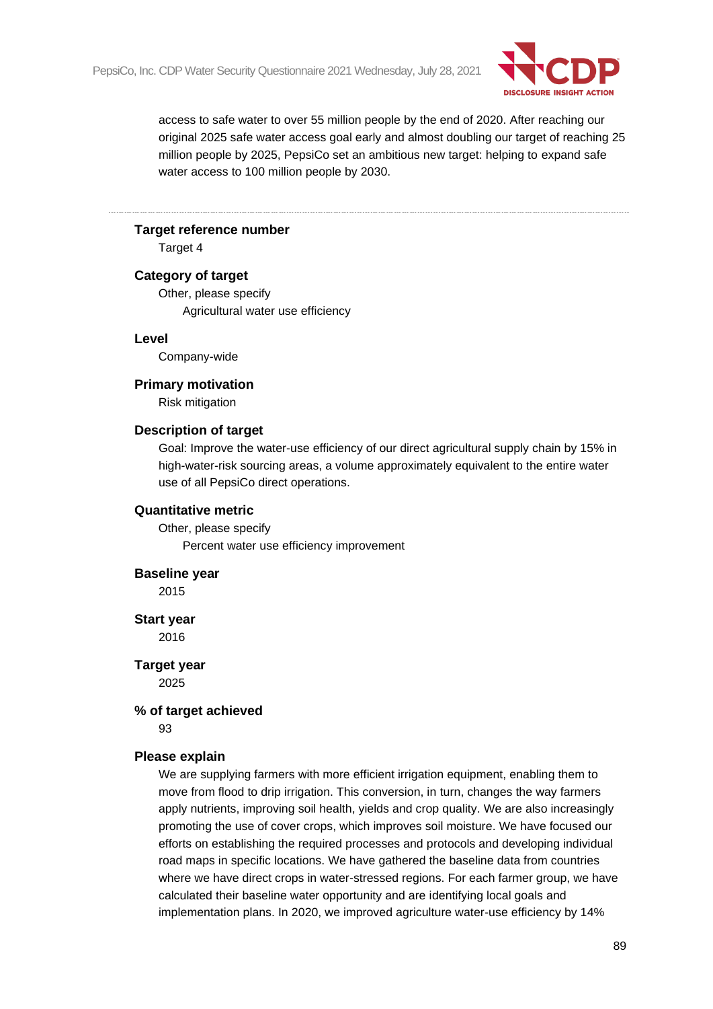

access to safe water to over 55 million people by the end of 2020. After reaching our original 2025 safe water access goal early and almost doubling our target of reaching 25 million people by 2025, PepsiCo set an ambitious new target: helping to expand safe water access to 100 million people by 2030.

#### **Target reference number**

Target 4

#### **Category of target**

Other, please specify Agricultural water use efficiency

#### **Level**

Company-wide

#### **Primary motivation**

Risk mitigation

#### **Description of target**

Goal: Improve the water-use efficiency of our direct agricultural supply chain by 15% in high-water-risk sourcing areas, a volume approximately equivalent to the entire water use of all PepsiCo direct operations.

#### **Quantitative metric**

Other, please specify Percent water use efficiency improvement

#### **Baseline year**

2015

#### **Start year**

2016

**Target year** 2025

#### **% of target achieved**

93

#### **Please explain**

We are supplying farmers with more efficient irrigation equipment, enabling them to move from flood to drip irrigation. This conversion, in turn, changes the way farmers apply nutrients, improving soil health, yields and crop quality. We are also increasingly promoting the use of cover crops, which improves soil moisture. We have focused our efforts on establishing the required processes and protocols and developing individual road maps in specific locations. We have gathered the baseline data from countries where we have direct crops in water-stressed regions. For each farmer group, we have calculated their baseline water opportunity and are identifying local goals and implementation plans. In 2020, we improved agriculture water-use efficiency by 14%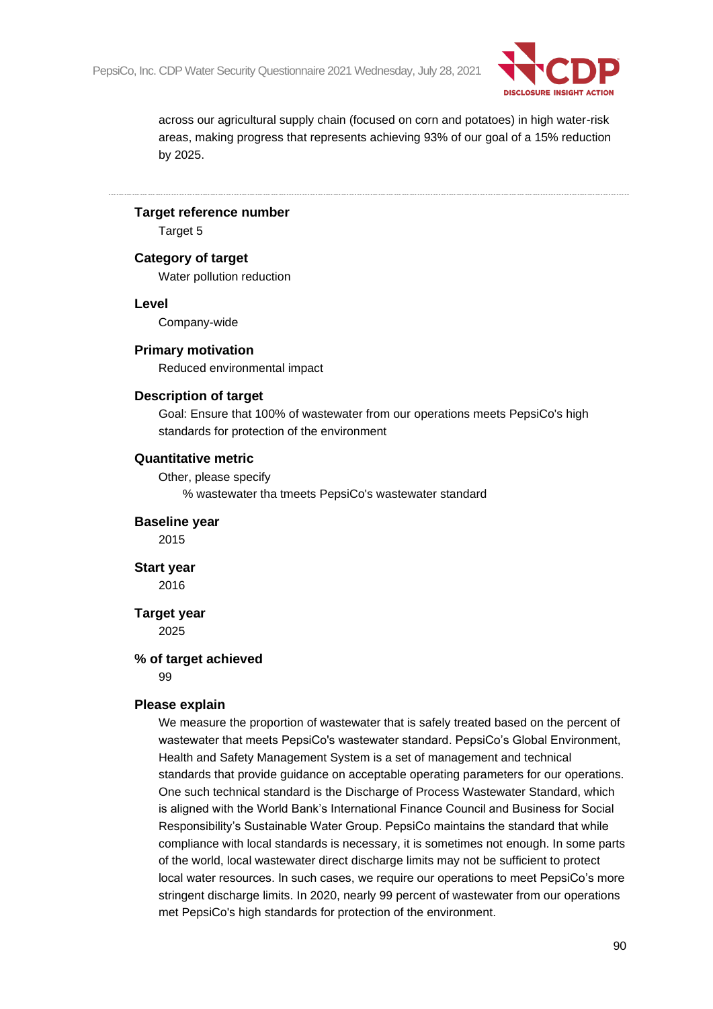

across our agricultural supply chain (focused on corn and potatoes) in high water-risk areas, making progress that represents achieving 93% of our goal of a 15% reduction by 2025.

#### **Target reference number**

Target 5

### **Category of target**

Water pollution reduction

#### **Level**

Company-wide

#### **Primary motivation**

Reduced environmental impact

#### **Description of target**

Goal: Ensure that 100% of wastewater from our operations meets PepsiCo's high standards for protection of the environment

#### **Quantitative metric**

Other, please specify

% wastewater tha tmeets PepsiCo's wastewater standard

#### **Baseline year**

2015

#### **Start year** 2016

# **Target year**

2025

#### **% of target achieved**

99

#### **Please explain**

We measure the proportion of wastewater that is safely treated based on the percent of wastewater that meets PepsiCo's wastewater standard. PepsiCo's Global Environment, Health and Safety Management System is a set of management and technical standards that provide guidance on acceptable operating parameters for our operations. One such technical standard is the Discharge of Process Wastewater Standard, which is aligned with the World Bank's International Finance Council and Business for Social Responsibility's Sustainable Water Group. PepsiCo maintains the standard that while compliance with local standards is necessary, it is sometimes not enough. In some parts of the world, local wastewater direct discharge limits may not be sufficient to protect local water resources. In such cases, we require our operations to meet PepsiCo's more stringent discharge limits. In 2020, nearly 99 percent of wastewater from our operations met PepsiCo's high standards for protection of the environment.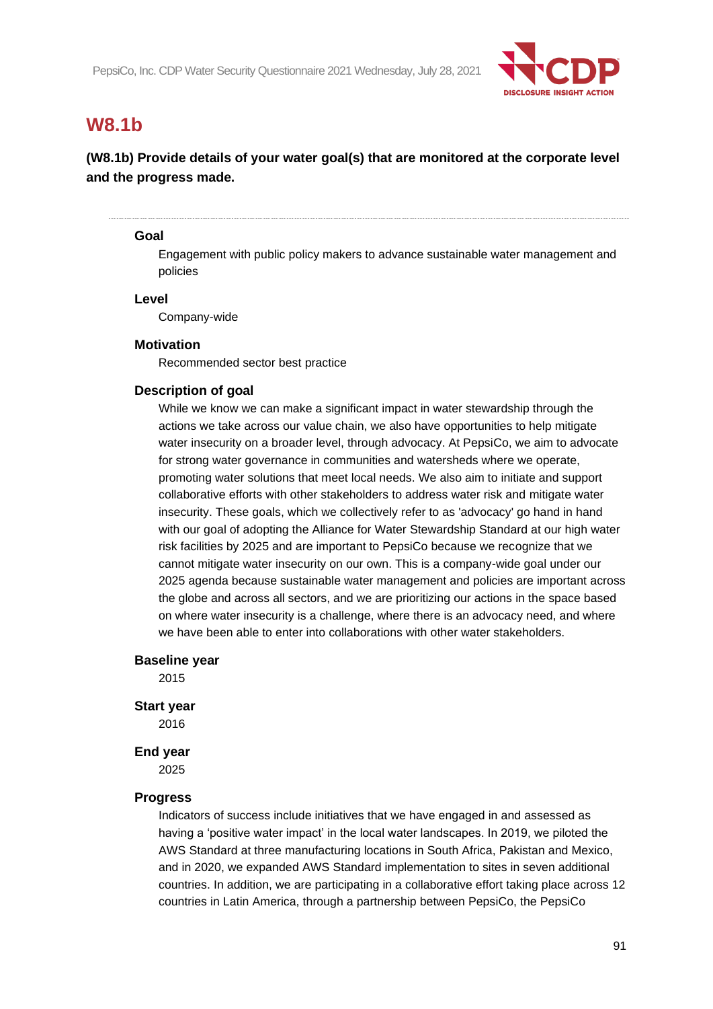

# **W8.1b**

### **(W8.1b) Provide details of your water goal(s) that are monitored at the corporate level and the progress made.**

#### **Goal**

Engagement with public policy makers to advance sustainable water management and policies

#### **Level**

Company-wide

#### **Motivation**

Recommended sector best practice

#### **Description of goal**

While we know we can make a significant impact in water stewardship through the actions we take across our value chain, we also have opportunities to help mitigate water insecurity on a broader level, through advocacy. At PepsiCo, we aim to advocate for strong water governance in communities and watersheds where we operate, promoting water solutions that meet local needs. We also aim to initiate and support collaborative efforts with other stakeholders to address water risk and mitigate water insecurity. These goals, which we collectively refer to as 'advocacy' go hand in hand with our goal of adopting the Alliance for Water Stewardship Standard at our high water risk facilities by 2025 and are important to PepsiCo because we recognize that we cannot mitigate water insecurity on our own. This is a company-wide goal under our 2025 agenda because sustainable water management and policies are important across the globe and across all sectors, and we are prioritizing our actions in the space based on where water insecurity is a challenge, where there is an advocacy need, and where we have been able to enter into collaborations with other water stakeholders.

#### **Baseline year**

2015

#### **Start year**

2016

#### **End year**

2025

#### **Progress**

Indicators of success include initiatives that we have engaged in and assessed as having a 'positive water impact' in the local water landscapes. In 2019, we piloted the AWS Standard at three manufacturing locations in South Africa, Pakistan and Mexico, and in 2020, we expanded AWS Standard implementation to sites in seven additional countries. In addition, we are participating in a collaborative effort taking place across 12 countries in Latin America, through a partnership between PepsiCo, the PepsiCo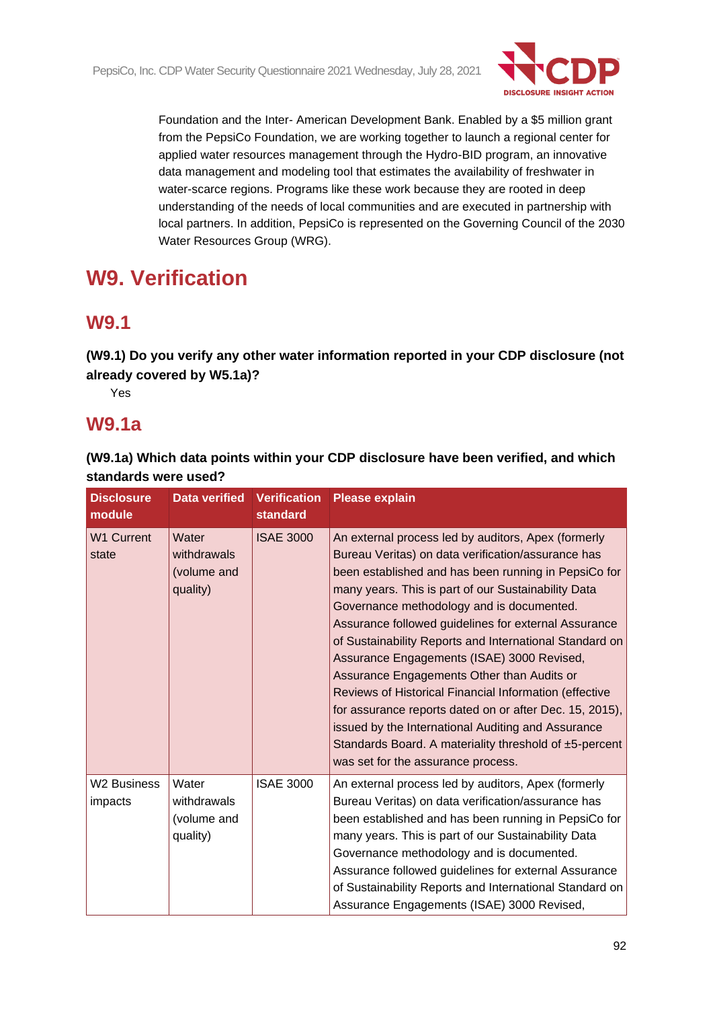

Foundation and the Inter- American Development Bank. Enabled by a \$5 million grant from the PepsiCo Foundation, we are working together to launch a regional center for applied water resources management through the Hydro-BID program, an innovative data management and modeling tool that estimates the availability of freshwater in water-scarce regions. Programs like these work because they are rooted in deep understanding of the needs of local communities and are executed in partnership with local partners. In addition, PepsiCo is represented on the Governing Council of the 2030 Water Resources Group (WRG).

# **W9. Verification**

# **W9.1**

**(W9.1) Do you verify any other water information reported in your CDP disclosure (not already covered by W5.1a)?**

Yes

# **W9.1a**

**(W9.1a) Which data points within your CDP disclosure have been verified, and which standards were used?**

| <b>Disclosure</b><br>module | <b>Data verified Verification</b>               | standard         | <b>Please explain</b>                                                                                                                                                                                                                                                                                                                                                                                                                                                                                                                                                                                                                                                                                                                                           |
|-----------------------------|-------------------------------------------------|------------------|-----------------------------------------------------------------------------------------------------------------------------------------------------------------------------------------------------------------------------------------------------------------------------------------------------------------------------------------------------------------------------------------------------------------------------------------------------------------------------------------------------------------------------------------------------------------------------------------------------------------------------------------------------------------------------------------------------------------------------------------------------------------|
| <b>W1 Current</b><br>state  | Water<br>withdrawals<br>(volume and<br>quality) | <b>ISAE 3000</b> | An external process led by auditors, Apex (formerly<br>Bureau Veritas) on data verification/assurance has<br>been established and has been running in PepsiCo for<br>many years. This is part of our Sustainability Data<br>Governance methodology and is documented.<br>Assurance followed guidelines for external Assurance<br>of Sustainability Reports and International Standard on<br>Assurance Engagements (ISAE) 3000 Revised,<br>Assurance Engagements Other than Audits or<br>Reviews of Historical Financial Information (effective<br>for assurance reports dated on or after Dec. 15, 2015),<br>issued by the International Auditing and Assurance<br>Standards Board. A materiality threshold of ±5-percent<br>was set for the assurance process. |
| W2 Business<br>impacts      | Water<br>withdrawals<br>(volume and<br>quality) | <b>ISAE 3000</b> | An external process led by auditors, Apex (formerly<br>Bureau Veritas) on data verification/assurance has<br>been established and has been running in PepsiCo for<br>many years. This is part of our Sustainability Data<br>Governance methodology and is documented.<br>Assurance followed guidelines for external Assurance<br>of Sustainability Reports and International Standard on<br>Assurance Engagements (ISAE) 3000 Revised,                                                                                                                                                                                                                                                                                                                          |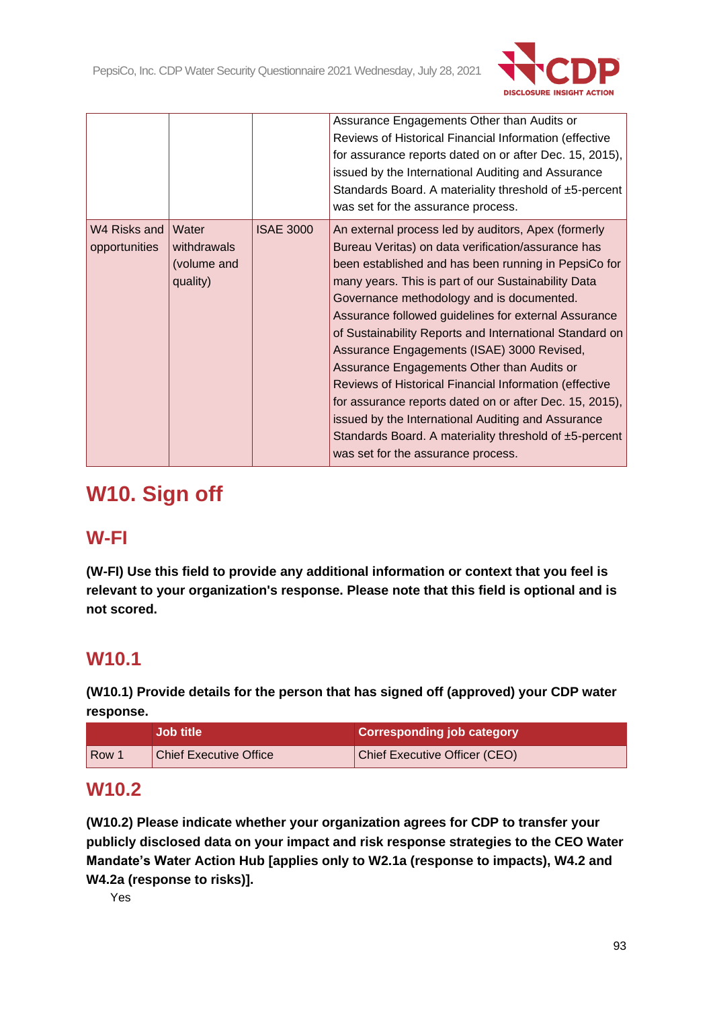

|                               |                         |                  | Assurance Engagements Other than Audits or<br>Reviews of Historical Financial Information (effective<br>for assurance reports dated on or after Dec. 15, 2015),<br>issued by the International Auditing and Assurance<br>Standards Board. A materiality threshold of ±5-percent<br>was set for the assurance process.                                                                                                                                                                                                                                                                                        |
|-------------------------------|-------------------------|------------------|--------------------------------------------------------------------------------------------------------------------------------------------------------------------------------------------------------------------------------------------------------------------------------------------------------------------------------------------------------------------------------------------------------------------------------------------------------------------------------------------------------------------------------------------------------------------------------------------------------------|
| W4 Risks and<br>opportunities | Water<br>withdrawals    | <b>ISAE 3000</b> | An external process led by auditors, Apex (formerly<br>Bureau Veritas) on data verification/assurance has                                                                                                                                                                                                                                                                                                                                                                                                                                                                                                    |
|                               | (volume and<br>quality) |                  | been established and has been running in PepsiCo for<br>many years. This is part of our Sustainability Data<br>Governance methodology and is documented.<br>Assurance followed guidelines for external Assurance<br>of Sustainability Reports and International Standard on<br>Assurance Engagements (ISAE) 3000 Revised,<br>Assurance Engagements Other than Audits or<br>Reviews of Historical Financial Information (effective<br>for assurance reports dated on or after Dec. 15, 2015),<br>issued by the International Auditing and Assurance<br>Standards Board. A materiality threshold of ±5-percent |

# **W10. Sign off**

# **W-FI**

**(W-FI) Use this field to provide any additional information or context that you feel is relevant to your organization's response. Please note that this field is optional and is not scored.**

# **W10.1**

**(W10.1) Provide details for the person that has signed off (approved) your CDP water response.**

|            | <b>Job title</b>              | <b>Corresponding job category</b> |
|------------|-------------------------------|-----------------------------------|
| <b>Row</b> | <b>Chief Executive Office</b> | Chief Executive Officer (CEO)     |

# **W10.2**

**(W10.2) Please indicate whether your organization agrees for CDP to transfer your publicly disclosed data on your impact and risk response strategies to the CEO Water Mandate's Water Action Hub [applies only to W2.1a (response to impacts), W4.2 and W4.2a (response to risks)].**

Yes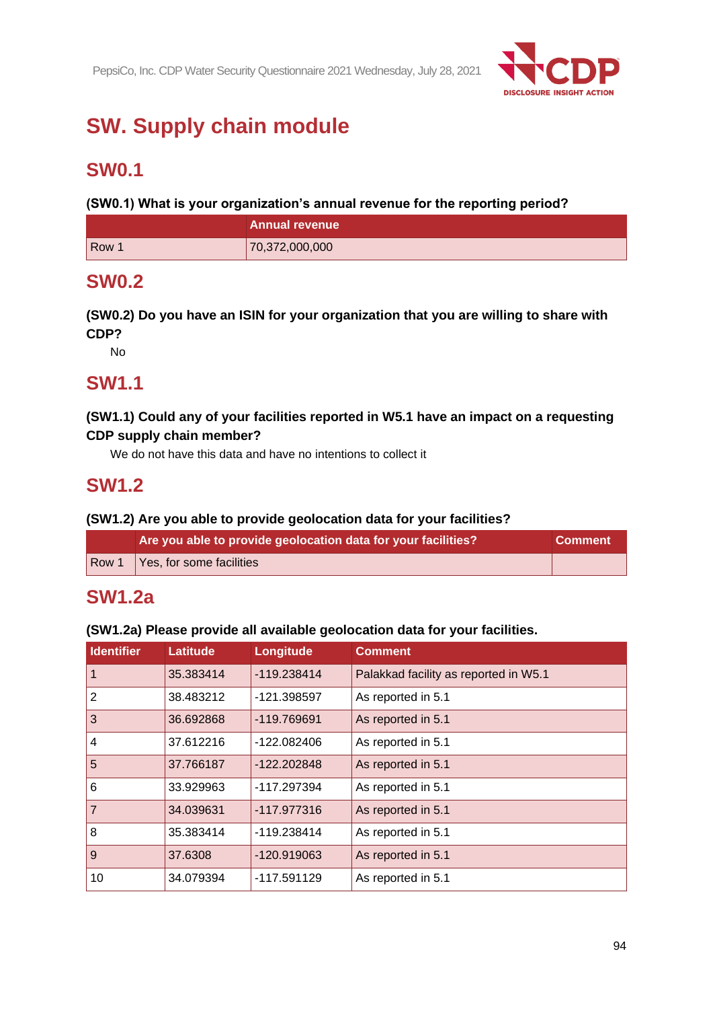

# **SW. Supply chain module**

# **SW0.1**

**(SW0.1) What is your organization's annual revenue for the reporting period?**

|       | <b>Annual revenue</b> |
|-------|-----------------------|
| Row 1 | 70,372,000,000        |

# **SW0.2**

**(SW0.2) Do you have an ISIN for your organization that you are willing to share with CDP?**

No

# **SW1.1**

### **(SW1.1) Could any of your facilities reported in W5.1 have an impact on a requesting CDP supply chain member?**

We do not have this data and have no intentions to collect it

# **SW1.2**

### **(SW1.2) Are you able to provide geolocation data for your facilities?**

| Are you able to provide geolocation data for your facilities? | <b>Comment</b> |
|---------------------------------------------------------------|----------------|
| Row 1 $\sqrt{$ Yes, for some facilities                       |                |

# **SW1.2a**

### **(SW1.2a) Please provide all available geolocation data for your facilities.**

| <b>Identifier</b> | <b>Latitude</b> | Longitude   | <b>Comment</b>                        |
|-------------------|-----------------|-------------|---------------------------------------|
| $\vert$ 1         | 35.383414       | -119.238414 | Palakkad facility as reported in W5.1 |
| $\vert$ 2         | 38.483212       | -121.398597 | As reported in 5.1                    |
| <sub>3</sub>      | 36.692868       | -119.769691 | As reported in 5.1                    |
| 4                 | 37.612216       | -122.082406 | As reported in 5.1                    |
| $\overline{5}$    | 37.766187       | -122.202848 | As reported in 5.1                    |
| $\overline{6}$    | 33.929963       | -117.297394 | As reported in 5.1                    |
| $\overline{7}$    | 34.039631       | -117.977316 | As reported in 5.1                    |
| $\overline{8}$    | 35.383414       | -119.238414 | As reported in 5.1                    |
| $\overline{9}$    | 37.6308         | -120.919063 | As reported in 5.1                    |
| 10                | 34.079394       | -117.591129 | As reported in 5.1                    |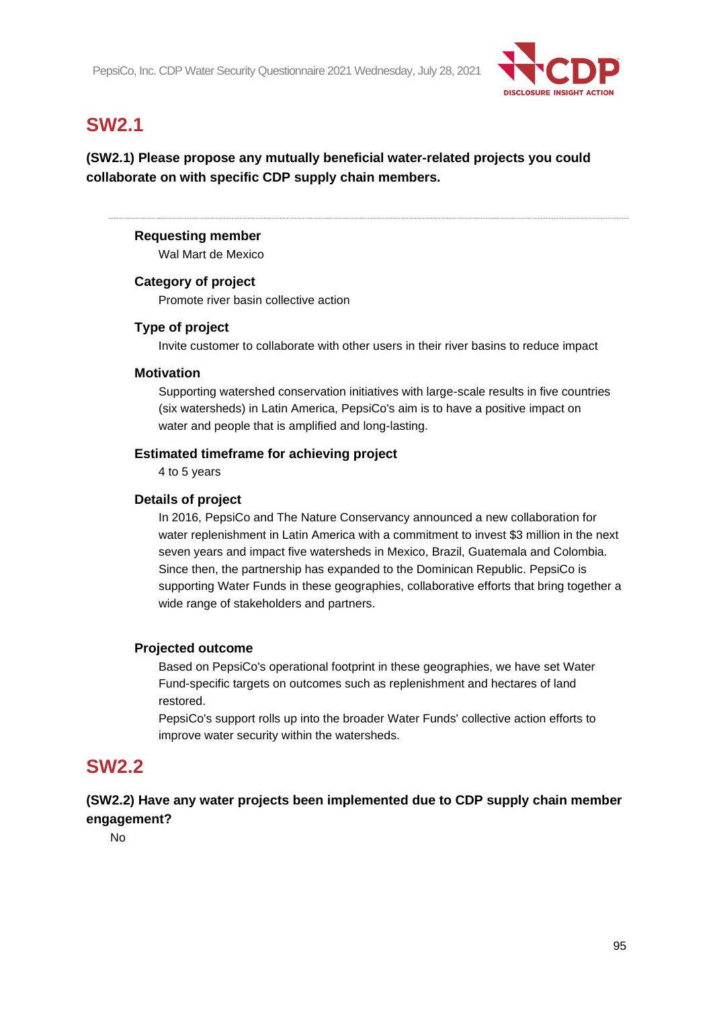

# **SW2.1**

**(SW2.1) Please propose any mutually beneficial water-related projects you could collaborate on with specific CDP supply chain members.**

### **Requesting member**

Wal Mart de Mexico

### **Category of project**

Promote river basin collective action

### **Type of project**

Invite customer to collaborate with other users in their river basins to reduce impact

### **Motivation**

Supporting watershed conservation initiatives with large-scale results in five countries (six watersheds) in Latin America, PepsiCo's aim is to have a positive impact on water and people that is amplified and long-lasting.

### **Estimated timeframe for achieving project**

4 to 5 years

### **Details of project**

In 2016, PepsiCo and The Nature Conservancy announced a new collaboration for water replenishment in Latin America with a commitment to invest \$3 million in the next seven years and impact five watersheds in Mexico, Brazil, Guatemala and Colombia. Since then, the partnership has expanded to the Dominican Republic. PepsiCo is supporting Water Funds in these geographies, collaborative efforts that bring together a wide range of stakeholders and partners.

### **Projected outcome**

Based on PepsiCo's operational footprint in these geographies, we have set Water Fund-specific targets on outcomes such as replenishment and hectares of land restored.

PepsiCo's support rolls up into the broader Water Funds' collective action efforts to improve water security within the watersheds.

# **SW2.2**

**(SW2.2) Have any water projects been implemented due to CDP supply chain member engagement?**

No